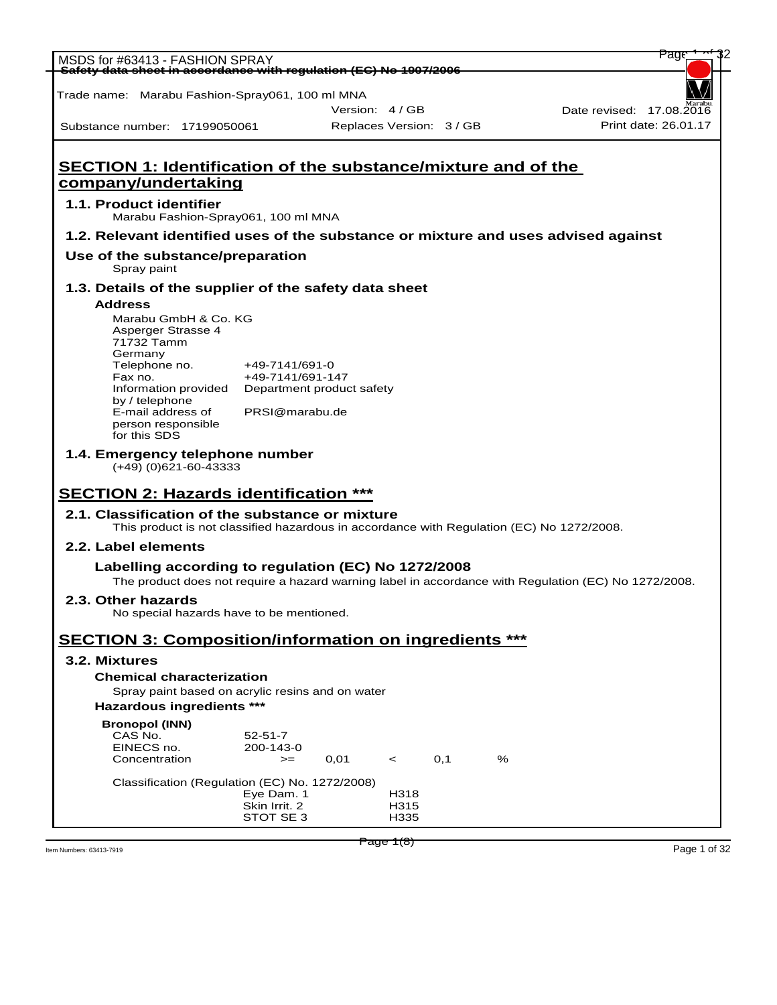| MSDS for #63413 - FASHION SPRAY<br>Safety data sheet in accordance with regulation (EC) No 1907/2006                                                                                                 |                                                                                   |                          |                      |     |   | rage                                                                                                 |
|------------------------------------------------------------------------------------------------------------------------------------------------------------------------------------------------------|-----------------------------------------------------------------------------------|--------------------------|----------------------|-----|---|------------------------------------------------------------------------------------------------------|
|                                                                                                                                                                                                      |                                                                                   |                          |                      |     |   |                                                                                                      |
| Trade name: Marabu Fashion-Spray061, 100 ml MNA                                                                                                                                                      |                                                                                   | Version: 4/GB            |                      |     |   | Date revised: 17.08.2016                                                                             |
| Substance number: 17199050061                                                                                                                                                                        |                                                                                   | Replaces Version: 3 / GB |                      |     |   | Print date: 26.01.17                                                                                 |
| <b>SECTION 1: Identification of the substance/mixture and of the</b><br>company/undertaking<br>1.1. Product identifier                                                                               |                                                                                   |                          |                      |     |   |                                                                                                      |
| Marabu Fashion-Spray061, 100 ml MNA                                                                                                                                                                  |                                                                                   |                          |                      |     |   |                                                                                                      |
| 1.2. Relevant identified uses of the substance or mixture and uses advised against                                                                                                                   |                                                                                   |                          |                      |     |   |                                                                                                      |
| Use of the substance/preparation<br>Spray paint                                                                                                                                                      |                                                                                   |                          |                      |     |   |                                                                                                      |
| 1.3. Details of the supplier of the safety data sheet<br><b>Address</b>                                                                                                                              |                                                                                   |                          |                      |     |   |                                                                                                      |
| Marabu GmbH & Co. KG<br>Asperger Strasse 4<br>71732 Tamm<br>Germany<br>Telephone no.<br>Fax no.<br>Information provided<br>by / telephone<br>E-mail address of<br>person responsible<br>for this SDS | +49-7141/691-0<br>+49-7141/691-147<br>Department product safety<br>PRSI@marabu.de |                          |                      |     |   |                                                                                                      |
| 1.4. Emergency telephone number<br>$(+49)$ (0)621-60-43333                                                                                                                                           |                                                                                   |                          |                      |     |   |                                                                                                      |
| <b>SECTION 2: Hazards identification ***</b>                                                                                                                                                         |                                                                                   |                          |                      |     |   |                                                                                                      |
| 2.1. Classification of the substance or mixture<br>This product is not classified hazardous in accordance with Regulation (EC) No 1272/2008.                                                         |                                                                                   |                          |                      |     |   |                                                                                                      |
| 2.2. Label elements                                                                                                                                                                                  |                                                                                   |                          |                      |     |   |                                                                                                      |
| Labelling according to regulation (EC) No 1272/2008                                                                                                                                                  |                                                                                   |                          |                      |     |   | The product does not require a hazard warning label in accordance with Regulation (EC) No 1272/2008. |
| 2.3. Other hazards<br>No special hazards have to be mentioned.                                                                                                                                       |                                                                                   |                          |                      |     |   |                                                                                                      |
| <b>SECTION 3: Composition/information on ingredients ***</b>                                                                                                                                         |                                                                                   |                          |                      |     |   |                                                                                                      |
| 3.2. Mixtures                                                                                                                                                                                        |                                                                                   |                          |                      |     |   |                                                                                                      |
| <b>Chemical characterization</b>                                                                                                                                                                     |                                                                                   |                          |                      |     |   |                                                                                                      |
| Spray paint based on acrylic resins and on water                                                                                                                                                     |                                                                                   |                          |                      |     |   |                                                                                                      |
| <b>Hazardous ingredients ***</b>                                                                                                                                                                     |                                                                                   |                          |                      |     |   |                                                                                                      |
| <b>Bronopol (INN)</b><br>CAS No.<br>EINECS no.<br>Concentration                                                                                                                                      | $52 - 51 - 7$<br>200-143-0<br>$>=$                                                | 0,01                     | $\prec$              | 0,1 | % |                                                                                                      |
| Classification (Regulation (EC) No. 1272/2008)                                                                                                                                                       | Eye Dam. 1<br>Skin Irrit. 2<br>STOT SE 3                                          |                          | H318<br>H315<br>H335 |     |   |                                                                                                      |
|                                                                                                                                                                                                      |                                                                                   | Page 1(8)                |                      |     |   | Page 1 of 32                                                                                         |
| Item Numbers: 63413-7919                                                                                                                                                                             |                                                                                   |                          |                      |     |   |                                                                                                      |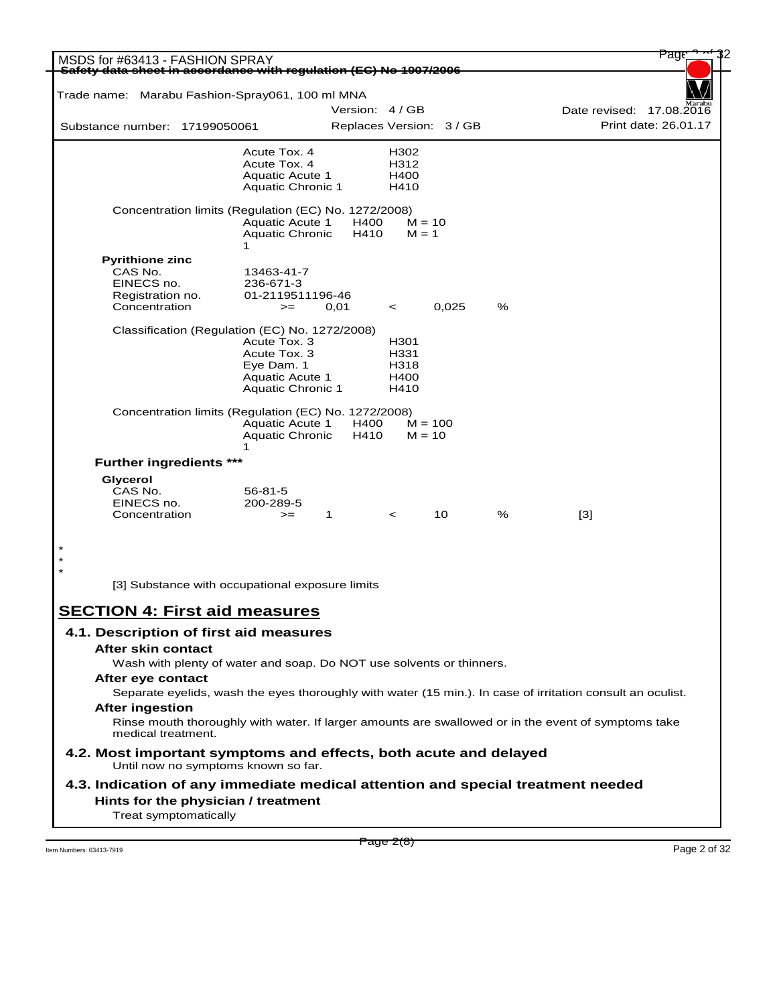| MSDS for #63413 - FASHION SPRAY                                                                                           |                                                  |              |                          |           |   |       | Page                                             |
|---------------------------------------------------------------------------------------------------------------------------|--------------------------------------------------|--------------|--------------------------|-----------|---|-------|--------------------------------------------------|
| Safety data sheet in accordance with regulation (EC) No 1907/2006                                                         |                                                  |              |                          |           |   |       |                                                  |
| Trade name: Marabu Fashion-Spray061, 100 ml MNA                                                                           |                                                  |              | Version: 4/GB            |           |   |       |                                                  |
| Substance number: 17199050061                                                                                             |                                                  |              | Replaces Version: 3 / GB |           |   |       | Date revised: 17.08.2016<br>Print date: 26.01.17 |
|                                                                                                                           |                                                  |              |                          |           |   |       |                                                  |
|                                                                                                                           | Acute Tox. 4                                     |              | H302                     |           |   |       |                                                  |
|                                                                                                                           | Acute Tox. 4<br><b>Aquatic Acute 1</b>           |              | H312<br>H400             |           |   |       |                                                  |
|                                                                                                                           | <b>Aquatic Chronic 1</b>                         |              | H410                     |           |   |       |                                                  |
| Concentration limits (Regulation (EC) No. 1272/2008)                                                                      | <b>Aquatic Acute 1</b>                           | H400         | $M = 10$                 |           |   |       |                                                  |
|                                                                                                                           | <b>Aquatic Chronic</b><br>1                      | H410         | $M = 1$                  |           |   |       |                                                  |
| <b>Pyrithione zinc</b>                                                                                                    |                                                  |              |                          |           |   |       |                                                  |
| CAS No.                                                                                                                   | 13463-41-7                                       |              |                          |           |   |       |                                                  |
| EINECS no.<br>Registration no.                                                                                            | 236-671-3<br>01-2119511196-46                    |              |                          |           |   |       |                                                  |
| Concentration                                                                                                             | $>=$                                             | 0,01         | $\,<\,$                  | 0,025     | % |       |                                                  |
| Classification (Regulation (EC) No. 1272/2008)                                                                            |                                                  |              |                          |           |   |       |                                                  |
|                                                                                                                           | Acute Tox. 3                                     |              | H301                     |           |   |       |                                                  |
|                                                                                                                           | Acute Tox. 3                                     |              | H331                     |           |   |       |                                                  |
|                                                                                                                           | Eye Dam. 1                                       |              | H318                     |           |   |       |                                                  |
|                                                                                                                           | <b>Aquatic Acute 1</b>                           |              | H400                     |           |   |       |                                                  |
|                                                                                                                           | <b>Aquatic Chronic 1</b>                         |              | H410                     |           |   |       |                                                  |
| Concentration limits (Regulation (EC) No. 1272/2008)                                                                      |                                                  |              |                          |           |   |       |                                                  |
|                                                                                                                           | <b>Aquatic Acute 1</b><br><b>Aquatic Chronic</b> | H400<br>H410 | $M = 10$                 | $M = 100$ |   |       |                                                  |
| <b>Further ingredients ***</b>                                                                                            | 1                                                |              |                          |           |   |       |                                                  |
| Glycerol                                                                                                                  |                                                  |              |                          |           |   |       |                                                  |
| CAS No.                                                                                                                   | $56 - 81 - 5$                                    |              |                          |           |   |       |                                                  |
| EINECS no.                                                                                                                | 200-289-5                                        |              |                          |           |   |       |                                                  |
| Concentration                                                                                                             | $>=$                                             | 1            | $\,<\,$                  | 10        | % | $[3]$ |                                                  |
|                                                                                                                           |                                                  |              |                          |           |   |       |                                                  |
|                                                                                                                           |                                                  |              |                          |           |   |       |                                                  |
|                                                                                                                           |                                                  |              |                          |           |   |       |                                                  |
| [3] Substance with occupational exposure limits                                                                           |                                                  |              |                          |           |   |       |                                                  |
| <b>SECTION 4: First aid measures</b>                                                                                      |                                                  |              |                          |           |   |       |                                                  |
| 4.1. Description of first aid measures                                                                                    |                                                  |              |                          |           |   |       |                                                  |
| After skin contact                                                                                                        |                                                  |              |                          |           |   |       |                                                  |
| Wash with plenty of water and soap. Do NOT use solvents or thinners.                                                      |                                                  |              |                          |           |   |       |                                                  |
|                                                                                                                           |                                                  |              |                          |           |   |       |                                                  |
| After eye contact                                                                                                         |                                                  |              |                          |           |   |       |                                                  |
| Separate eyelids, wash the eyes thoroughly with water (15 min.). In case of irritation consult an oculist.                |                                                  |              |                          |           |   |       |                                                  |
| <b>After ingestion</b>                                                                                                    |                                                  |              |                          |           |   |       |                                                  |
| Rinse mouth thoroughly with water. If larger amounts are swallowed or in the event of symptoms take<br>medical treatment. |                                                  |              |                          |           |   |       |                                                  |
| 4.2. Most important symptoms and effects, both acute and delayed<br>Until now no symptoms known so far.                   |                                                  |              |                          |           |   |       |                                                  |
| 4.3. Indication of any immediate medical attention and special treatment needed                                           |                                                  |              |                          |           |   |       |                                                  |
|                                                                                                                           |                                                  |              |                          |           |   |       |                                                  |
| Treat symptomatically                                                                                                     |                                                  |              |                          |           |   |       |                                                  |
| Hints for the physician / treatment                                                                                       |                                                  |              |                          |           |   |       |                                                  |

 $\frac{1}{2}$  Item Numbers: 63413-7919 Page 2 of 32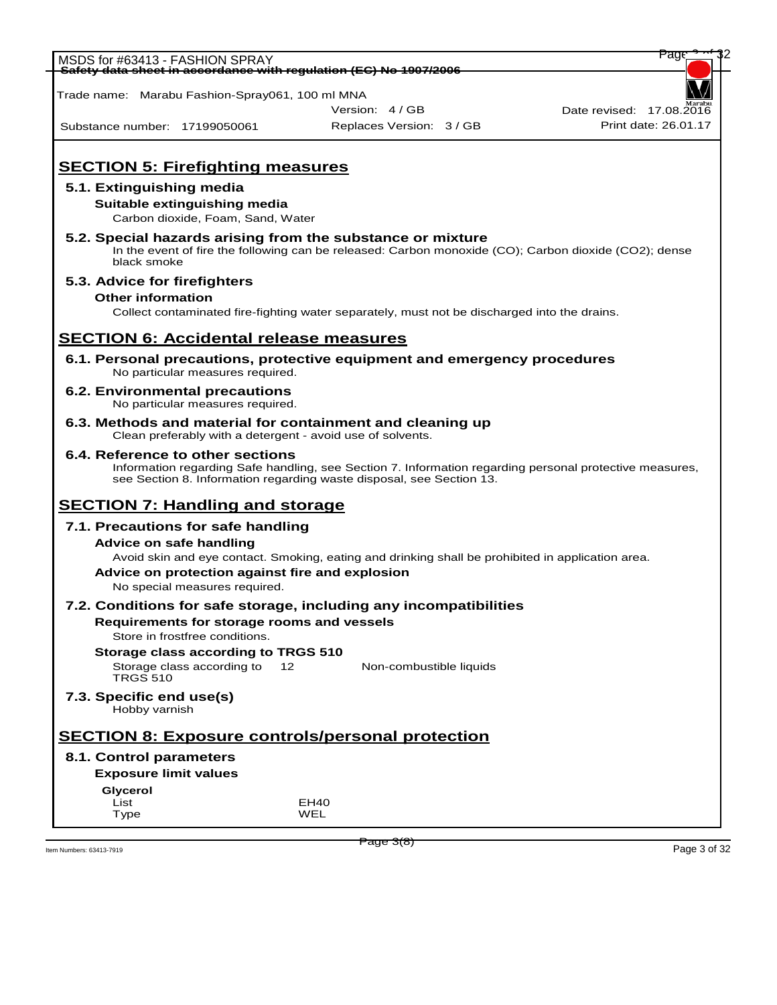| MSDS for #63413 - FASHION SPRAY                                                                                         |                                                                                                                                                                                 | Pag                      |
|-------------------------------------------------------------------------------------------------------------------------|---------------------------------------------------------------------------------------------------------------------------------------------------------------------------------|--------------------------|
| Safety data sheet in accordance with regulation (EC) No 1907/2006                                                       |                                                                                                                                                                                 |                          |
| Trade name: Marabu Fashion-Spray061, 100 ml MNA                                                                         |                                                                                                                                                                                 |                          |
|                                                                                                                         | Version: 4 / GB                                                                                                                                                                 | Date revised: 17,08,2016 |
| Substance number: 17199050061                                                                                           | Replaces Version: 3 / GB                                                                                                                                                        | Print date: 26.01.17     |
|                                                                                                                         |                                                                                                                                                                                 |                          |
| <b>SECTION 5: Firefighting measures</b>                                                                                 |                                                                                                                                                                                 |                          |
| 5.1. Extinguishing media                                                                                                |                                                                                                                                                                                 |                          |
| Suitable extinguishing media                                                                                            |                                                                                                                                                                                 |                          |
| Carbon dioxide, Foam, Sand, Water                                                                                       |                                                                                                                                                                                 |                          |
| 5.2. Special hazards arising from the substance or mixture<br>black smoke                                               | In the event of fire the following can be released: Carbon monoxide (CO); Carbon dioxide (CO2); dense                                                                           |                          |
| 5.3. Advice for firefighters                                                                                            |                                                                                                                                                                                 |                          |
| <b>Other information</b>                                                                                                |                                                                                                                                                                                 |                          |
|                                                                                                                         | Collect contaminated fire-fighting water separately, must not be discharged into the drains.                                                                                    |                          |
| <b>SECTION 6: Accidental release measures</b>                                                                           |                                                                                                                                                                                 |                          |
| No particular measures required.                                                                                        | 6.1. Personal precautions, protective equipment and emergency procedures                                                                                                        |                          |
| <b>6.2. Environmental precautions</b><br>No particular measures required.                                               |                                                                                                                                                                                 |                          |
| 6.3. Methods and material for containment and cleaning up<br>Clean preferably with a detergent - avoid use of solvents. |                                                                                                                                                                                 |                          |
| 6.4. Reference to other sections                                                                                        | Information regarding Safe handling, see Section 7. Information regarding personal protective measures,<br>see Section 8. Information regarding waste disposal, see Section 13. |                          |
| <b>SECTION 7: Handling and storage</b>                                                                                  |                                                                                                                                                                                 |                          |
| 7.1. Precautions for safe handling                                                                                      |                                                                                                                                                                                 |                          |
| <b>Advice on safe handling</b>                                                                                          |                                                                                                                                                                                 |                          |
|                                                                                                                         | Avoid skin and eye contact. Smoking, eating and drinking shall be prohibited in application area.                                                                               |                          |
| Advice on protection against fire and explosion                                                                         |                                                                                                                                                                                 |                          |
| No special measures required.                                                                                           |                                                                                                                                                                                 |                          |
| Requirements for storage rooms and vessels                                                                              | 7.2. Conditions for safe storage, including any incompatibilities                                                                                                               |                          |
| Store in frostfree conditions.                                                                                          |                                                                                                                                                                                 |                          |
| Storage class according to TRGS 510                                                                                     |                                                                                                                                                                                 |                          |
| Storage class according to<br><b>TRGS 510</b>                                                                           | 12 <sup>2</sup><br>Non-combustible liquids                                                                                                                                      |                          |
| 7.3. Specific end use(s)<br>Hobby varnish                                                                               |                                                                                                                                                                                 |                          |
| <b>SECTION 8: Exposure controls/personal protection</b>                                                                 |                                                                                                                                                                                 |                          |
| 8.1. Control parameters                                                                                                 |                                                                                                                                                                                 |                          |
| <b>Exposure limit values</b>                                                                                            |                                                                                                                                                                                 |                          |
| <b>Glycerol</b>                                                                                                         |                                                                                                                                                                                 |                          |
| List<br>Type                                                                                                            | EH40<br>WEL                                                                                                                                                                     |                          |
|                                                                                                                         |                                                                                                                                                                                 |                          |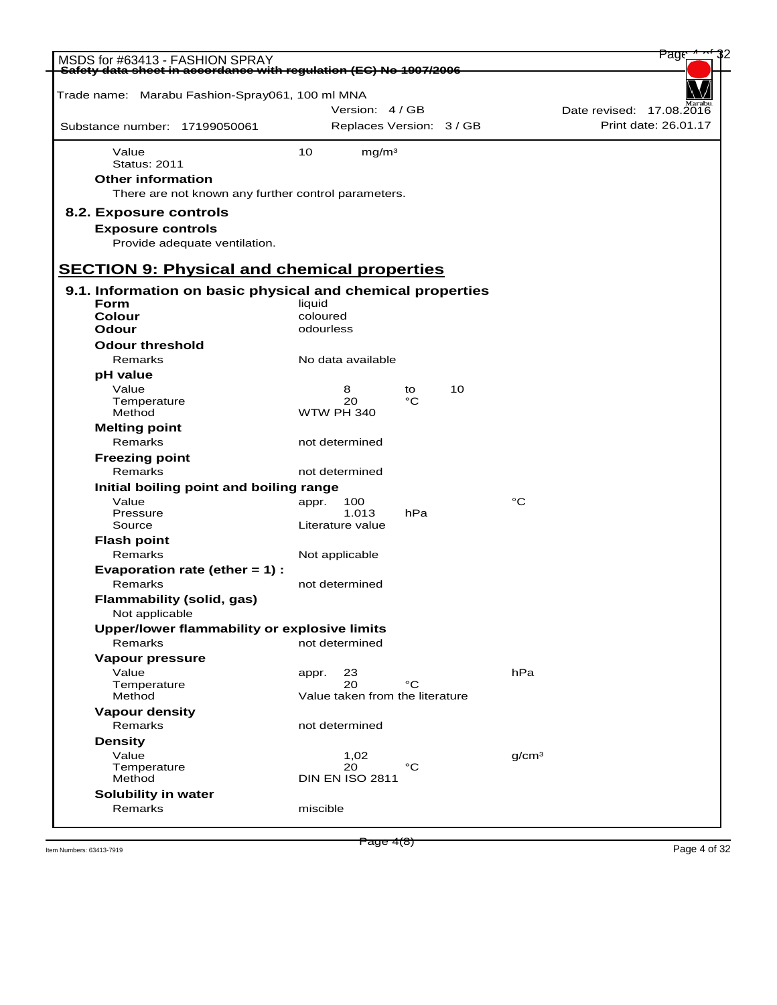| MSDS for #63413 - FASHION SPRAY<br>Safety data sheet in accordance with requlation (EC) No 1907/2006                   |                                 |                                             |          |    |                   | Page                                             |
|------------------------------------------------------------------------------------------------------------------------|---------------------------------|---------------------------------------------|----------|----|-------------------|--------------------------------------------------|
| Trade name: Marabu Fashion-Spray061, 100 ml MNA                                                                        |                                 |                                             |          |    |                   |                                                  |
| Substance number: 17199050061                                                                                          |                                 | Version: 4/GB<br>Replaces Version: 3 / GB   |          |    |                   | Date revised: 17.08.2016<br>Print date: 26.01.17 |
|                                                                                                                        |                                 |                                             |          |    |                   |                                                  |
| Value<br><b>Status: 2011</b>                                                                                           | 10                              | mg/m <sup>3</sup>                           |          |    |                   |                                                  |
| <b>Other information</b><br>There are not known any further control parameters.                                        |                                 |                                             |          |    |                   |                                                  |
| 8.2. Exposure controls<br><b>Exposure controls</b><br>Provide adequate ventilation.                                    |                                 |                                             |          |    |                   |                                                  |
| <b>SECTION 9: Physical and chemical properties</b>                                                                     |                                 |                                             |          |    |                   |                                                  |
| 9.1. Information on basic physical and chemical properties<br><b>Form</b><br>Colour<br>Odour<br><b>Odour threshold</b> | liquid<br>coloured<br>odourless |                                             |          |    |                   |                                                  |
| Remarks                                                                                                                |                                 | No data available                           |          |    |                   |                                                  |
| pH value<br>Value<br>Temperature<br>Method                                                                             |                                 | 8<br>20<br><b>WTW PH 340</b>                | to<br>°C | 10 |                   |                                                  |
| <b>Melting point</b><br>Remarks                                                                                        |                                 | not determined                              |          |    |                   |                                                  |
| <b>Freezing point</b><br>Remarks                                                                                       |                                 | not determined                              |          |    |                   |                                                  |
| Initial boiling point and boiling range                                                                                |                                 |                                             |          |    |                   |                                                  |
| Value<br>Pressure<br>Source                                                                                            | appr.                           | 100<br>1.013<br>Literature value            | hPa      |    | °C                |                                                  |
| <b>Flash point</b><br>Remarks                                                                                          |                                 |                                             |          |    |                   |                                                  |
| Evaporation rate (ether $= 1$ ) :                                                                                      |                                 | Not applicable                              |          |    |                   |                                                  |
| Remarks<br><b>Flammability (solid, gas)</b><br>Not applicable                                                          |                                 | not determined                              |          |    |                   |                                                  |
| Upper/lower flammability or explosive limits                                                                           |                                 |                                             |          |    |                   |                                                  |
| Remarks                                                                                                                |                                 | not determined                              |          |    |                   |                                                  |
| <b>Vapour pressure</b><br>Value<br>Temperature<br>Method                                                               | appr.                           | 23<br>20<br>Value taken from the literature | °C       |    | hPa               |                                                  |
| <b>Vapour density</b>                                                                                                  |                                 |                                             |          |    |                   |                                                  |
| Remarks                                                                                                                |                                 | not determined                              |          |    |                   |                                                  |
| <b>Density</b><br>Value<br>Temperature<br>Method                                                                       |                                 | 1,02<br>20<br><b>DIN EN ISO 2811</b>        | °C       |    | q/cm <sup>3</sup> |                                                  |
| Solubility in water                                                                                                    |                                 |                                             |          |    |                   |                                                  |
| Remarks                                                                                                                | miscible                        |                                             |          |    |                   |                                                  |

Item Numbers: 63413-7919 Page 4 of 32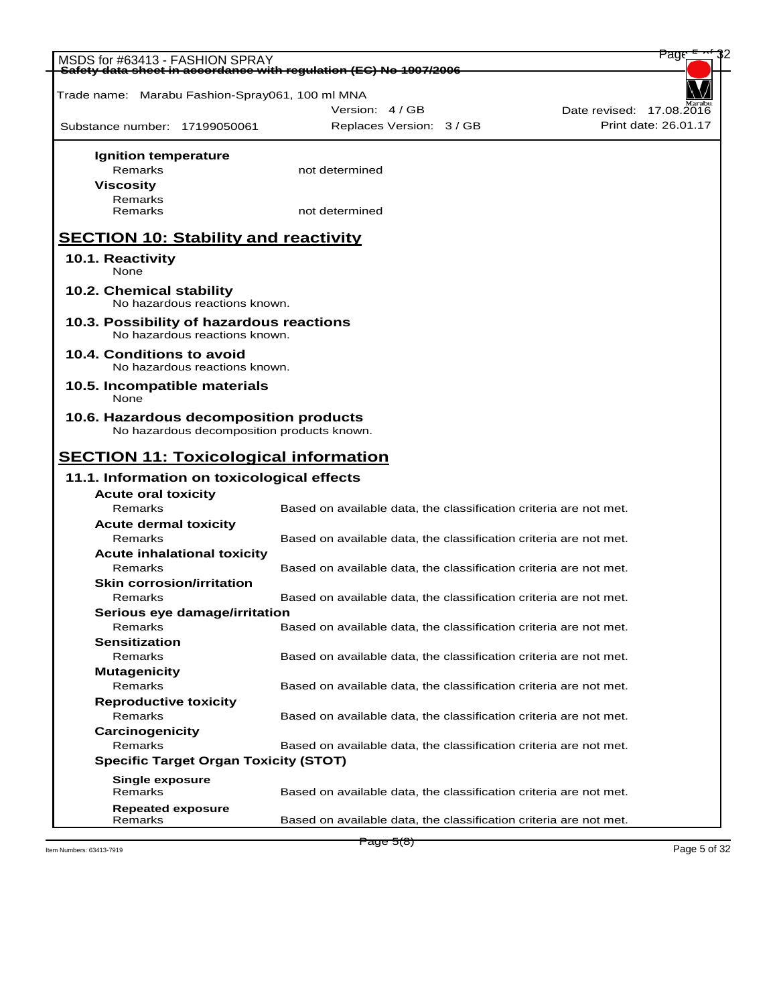| MSDS for #63413 - FASHION SPRAY<br>Safety data sheet in accordance with requlation (EC) No 1907/2006 |                                                                   | <del>Page</del>          |
|------------------------------------------------------------------------------------------------------|-------------------------------------------------------------------|--------------------------|
|                                                                                                      |                                                                   |                          |
| Trade name: Marabu Fashion-Spray061, 100 ml MNA                                                      |                                                                   |                          |
|                                                                                                      | Version: 4 / GB                                                   | Date revised: 17.08.2016 |
| Substance number: 17199050061                                                                        | Replaces Version: 3 / GB                                          | Print date: 26.01.17     |
|                                                                                                      |                                                                   |                          |
| Ignition temperature<br>Remarks                                                                      | not determined                                                    |                          |
| <b>Viscosity</b>                                                                                     |                                                                   |                          |
| Remarks                                                                                              |                                                                   |                          |
| Remarks                                                                                              | not determined                                                    |                          |
| <b>SECTION 10: Stability and reactivity</b>                                                          |                                                                   |                          |
|                                                                                                      |                                                                   |                          |
| 10.1. Reactivity<br>None                                                                             |                                                                   |                          |
| 10.2. Chemical stability                                                                             |                                                                   |                          |
| No hazardous reactions known.                                                                        |                                                                   |                          |
| 10.3. Possibility of hazardous reactions<br>No hazardous reactions known.                            |                                                                   |                          |
| 10.4. Conditions to avoid<br>No hazardous reactions known.                                           |                                                                   |                          |
| 10.5. Incompatible materials                                                                         |                                                                   |                          |
| None                                                                                                 |                                                                   |                          |
| 10.6. Hazardous decomposition products                                                               |                                                                   |                          |
| No hazardous decomposition products known.                                                           |                                                                   |                          |
| <b>SECTION 11: Toxicological information</b>                                                         |                                                                   |                          |
|                                                                                                      |                                                                   |                          |
| 11.1. Information on toxicological effects                                                           |                                                                   |                          |
| <b>Acute oral toxicity</b>                                                                           |                                                                   |                          |
| Remarks                                                                                              | Based on available data, the classification criteria are not met. |                          |
| <b>Acute dermal toxicity</b>                                                                         |                                                                   |                          |
| Remarks                                                                                              | Based on available data, the classification criteria are not met. |                          |
| <b>Acute inhalational toxicity</b>                                                                   |                                                                   |                          |
| Remarks                                                                                              | Based on available data, the classification criteria are not met. |                          |
| <b>Skin corrosion/irritation</b>                                                                     |                                                                   |                          |
| Remarks                                                                                              | Based on available data, the classification criteria are not met. |                          |
| Serious eye damage/irritation                                                                        |                                                                   |                          |
|                                                                                                      |                                                                   |                          |
| Remarks                                                                                              | Based on available data, the classification criteria are not met. |                          |
| <b>Sensitization</b>                                                                                 |                                                                   |                          |
| Remarks                                                                                              | Based on available data, the classification criteria are not met. |                          |
| <b>Mutagenicity</b>                                                                                  |                                                                   |                          |
| Remarks                                                                                              | Based on available data, the classification criteria are not met. |                          |
| <b>Reproductive toxicity</b>                                                                         |                                                                   |                          |
| Remarks                                                                                              | Based on available data, the classification criteria are not met. |                          |
| Carcinogenicity                                                                                      |                                                                   |                          |
| Remarks                                                                                              | Based on available data, the classification criteria are not met. |                          |
| <b>Specific Target Organ Toxicity (STOT)</b>                                                         |                                                                   |                          |
|                                                                                                      |                                                                   |                          |
| <b>Single exposure</b><br>Remarks                                                                    |                                                                   |                          |
| <b>Repeated exposure</b>                                                                             | Based on available data, the classification criteria are not met. |                          |

Item Numbers: 63413-7919 Page 5 of 32

Page 5(8)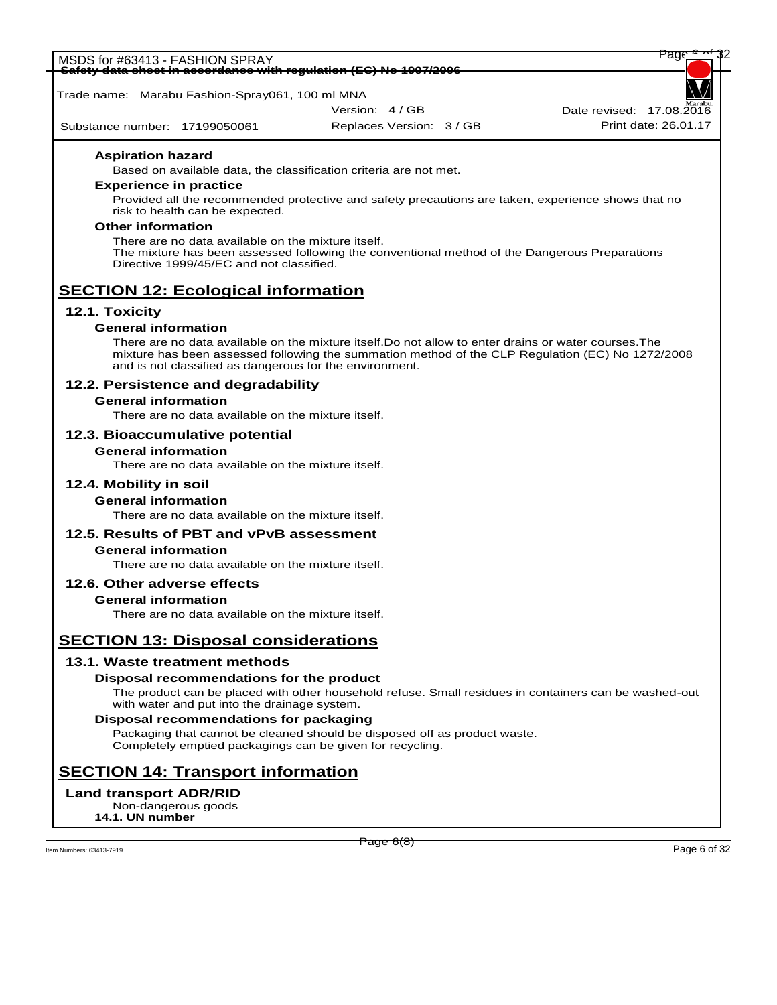

# **SECTION 14: Transport information**

# **Land transport ADR/RID**

Non-dangerous goods **14.1. UN number**

Item Numbers: 63413-7919 Page 6 of 32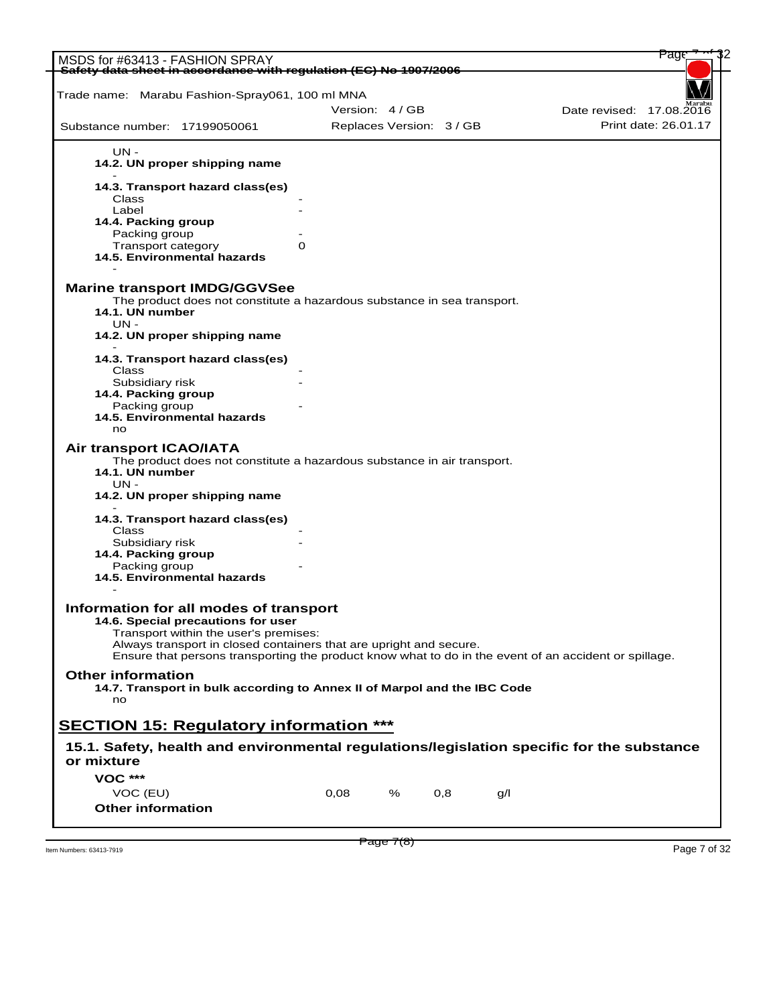|                                                                                                       |   |                          |   |     |     | Page                     |
|-------------------------------------------------------------------------------------------------------|---|--------------------------|---|-----|-----|--------------------------|
| MSDS for #63413 - FASHION SPRAY<br>Safety data sheet in accordance with regulation (EC) No 1907/2006  |   |                          |   |     |     |                          |
|                                                                                                       |   |                          |   |     |     |                          |
| Trade name: Marabu Fashion-Spray061, 100 ml MNA                                                       |   |                          |   |     |     |                          |
|                                                                                                       |   | Version: 4/GB            |   |     |     | Date revised: 17.08.2016 |
| Substance number: 17199050061                                                                         |   | Replaces Version: 3 / GB |   |     |     | Print date: 26.01.17     |
| UN -                                                                                                  |   |                          |   |     |     |                          |
| 14.2. UN proper shipping name                                                                         |   |                          |   |     |     |                          |
| 14.3. Transport hazard class(es)                                                                      |   |                          |   |     |     |                          |
| Class                                                                                                 |   |                          |   |     |     |                          |
| Label                                                                                                 |   |                          |   |     |     |                          |
| 14.4. Packing group                                                                                   |   |                          |   |     |     |                          |
| Packing group<br>Transport category                                                                   | 0 |                          |   |     |     |                          |
| 14.5. Environmental hazards                                                                           |   |                          |   |     |     |                          |
|                                                                                                       |   |                          |   |     |     |                          |
| <b>Marine transport IMDG/GGVSee</b>                                                                   |   |                          |   |     |     |                          |
| The product does not constitute a hazardous substance in sea transport.<br>14.1. UN number            |   |                          |   |     |     |                          |
| $UN -$                                                                                                |   |                          |   |     |     |                          |
| 14.2. UN proper shipping name                                                                         |   |                          |   |     |     |                          |
| 14.3. Transport hazard class(es)                                                                      |   |                          |   |     |     |                          |
| Class                                                                                                 |   |                          |   |     |     |                          |
| Subsidiary risk                                                                                       |   |                          |   |     |     |                          |
| 14.4. Packing group                                                                                   |   |                          |   |     |     |                          |
| Packing group                                                                                         |   |                          |   |     |     |                          |
| 14.5. Environmental hazards                                                                           |   |                          |   |     |     |                          |
| no                                                                                                    |   |                          |   |     |     |                          |
| Air transport ICAO/IATA                                                                               |   |                          |   |     |     |                          |
| The product does not constitute a hazardous substance in air transport.                               |   |                          |   |     |     |                          |
| 14.1. UN number                                                                                       |   |                          |   |     |     |                          |
| UN -                                                                                                  |   |                          |   |     |     |                          |
| 14.2. UN proper shipping name                                                                         |   |                          |   |     |     |                          |
|                                                                                                       |   |                          |   |     |     |                          |
| 14.3. Transport hazard class(es)                                                                      |   |                          |   |     |     |                          |
| Class<br>Subsidiary risk                                                                              |   |                          |   |     |     |                          |
| 14.4. Packing group                                                                                   |   |                          |   |     |     |                          |
| Packing group                                                                                         |   |                          |   |     |     |                          |
| 14.5. Environmental hazards                                                                           |   |                          |   |     |     |                          |
|                                                                                                       |   |                          |   |     |     |                          |
| Information for all modes of transport                                                                |   |                          |   |     |     |                          |
| 14.6. Special precautions for user                                                                    |   |                          |   |     |     |                          |
| Transport within the user's premises:                                                                 |   |                          |   |     |     |                          |
| Always transport in closed containers that are upright and secure.                                    |   |                          |   |     |     |                          |
| Ensure that persons transporting the product know what to do in the event of an accident or spillage. |   |                          |   |     |     |                          |
| <b>Other information</b>                                                                              |   |                          |   |     |     |                          |
| 14.7. Transport in bulk according to Annex II of Marpol and the IBC Code                              |   |                          |   |     |     |                          |
| no                                                                                                    |   |                          |   |     |     |                          |
|                                                                                                       |   |                          |   |     |     |                          |
| <b>SECTION 15: Regulatory information ***</b>                                                         |   |                          |   |     |     |                          |
|                                                                                                       |   |                          |   |     |     |                          |
| 15.1. Safety, health and environmental regulations/legislation specific for the substance             |   |                          |   |     |     |                          |
| or mixture                                                                                            |   |                          |   |     |     |                          |
| <b>VOC ***</b>                                                                                        |   |                          |   |     |     |                          |
|                                                                                                       |   |                          |   |     |     |                          |
| VOC (EU)<br><b>Other information</b>                                                                  |   | 0,08                     | % | 0,8 | q/l |                          |
|                                                                                                       |   |                          |   |     |     |                          |

 $P \cdot \text{age } I(8)$ <br>Item Numbers: 63413-7919 Page 7 of 32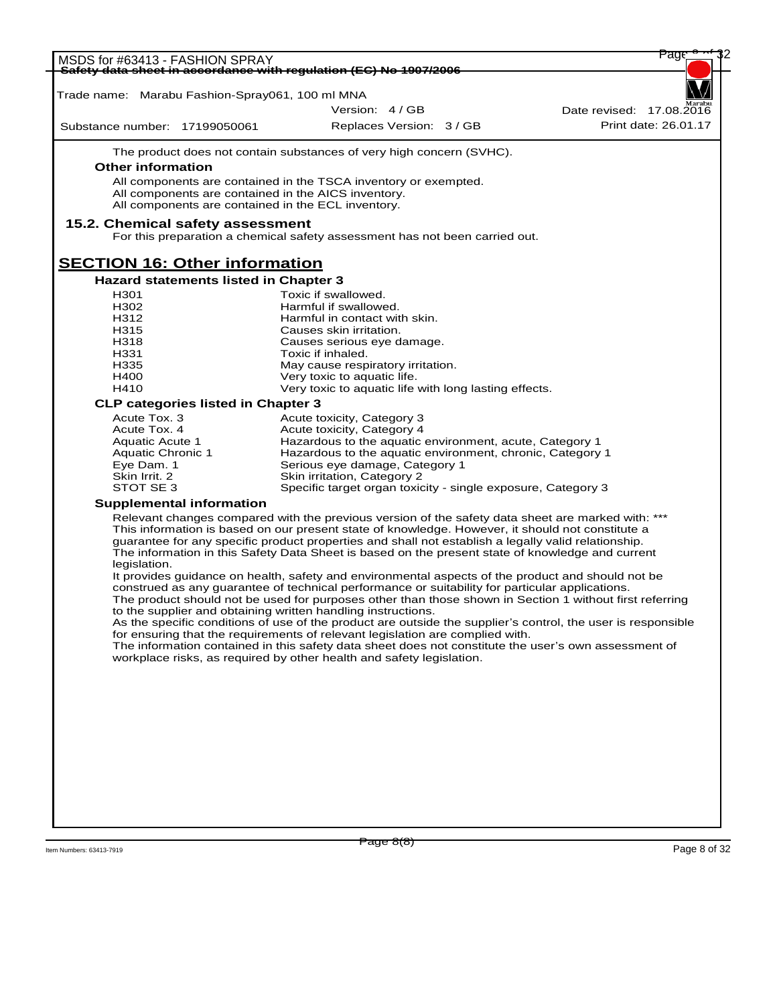| MSDS for #63413 - FASHION SPRAY                 | Safety data sheet in accordance with requlation (EC) No 1907/2006                                                                                                                                    | Page                                                                                                         |
|-------------------------------------------------|------------------------------------------------------------------------------------------------------------------------------------------------------------------------------------------------------|--------------------------------------------------------------------------------------------------------------|
|                                                 |                                                                                                                                                                                                      |                                                                                                              |
| Trade name: Marabu Fashion-Spray061, 100 ml MNA |                                                                                                                                                                                                      |                                                                                                              |
|                                                 | Version: 4/GB                                                                                                                                                                                        | Date revised: 17.08.2016                                                                                     |
| Substance number: 17199050061                   | Replaces Version: 3 / GB                                                                                                                                                                             | Print date: 26.01.17                                                                                         |
|                                                 | The product does not contain substances of very high concern (SVHC).                                                                                                                                 |                                                                                                              |
| <b>Other information</b>                        |                                                                                                                                                                                                      |                                                                                                              |
|                                                 | All components are contained in the TSCA inventory or exempted.                                                                                                                                      |                                                                                                              |
|                                                 | All components are contained in the AICS inventory.<br>All components are contained in the ECL inventory.                                                                                            |                                                                                                              |
|                                                 |                                                                                                                                                                                                      |                                                                                                              |
| 15.2. Chemical safety assessment                | For this preparation a chemical safety assessment has not been carried out.                                                                                                                          |                                                                                                              |
| <b>SECTION 16: Other information</b>            |                                                                                                                                                                                                      |                                                                                                              |
| <b>Hazard statements listed in Chapter 3</b>    |                                                                                                                                                                                                      |                                                                                                              |
| H <sub>301</sub>                                | Toxic if swallowed.                                                                                                                                                                                  |                                                                                                              |
| H302                                            | Harmful if swallowed.                                                                                                                                                                                |                                                                                                              |
| H312                                            | Harmful in contact with skin.                                                                                                                                                                        |                                                                                                              |
| H315                                            | Causes skin irritation.                                                                                                                                                                              |                                                                                                              |
| H318<br>H331                                    | Causes serious eye damage.                                                                                                                                                                           |                                                                                                              |
| H335                                            | Toxic if inhaled.<br>May cause respiratory irritation.                                                                                                                                               |                                                                                                              |
| H400                                            | Very toxic to aquatic life.                                                                                                                                                                          |                                                                                                              |
| H410                                            | Very toxic to aquatic life with long lasting effects.                                                                                                                                                |                                                                                                              |
| <b>CLP categories listed in Chapter 3</b>       |                                                                                                                                                                                                      |                                                                                                              |
| Acute Tox. 3                                    | Acute toxicity, Category 3                                                                                                                                                                           |                                                                                                              |
| Acute Tox. 4                                    | Acute toxicity, Category 4                                                                                                                                                                           |                                                                                                              |
| Aquatic Acute 1                                 | Hazardous to the aquatic environment, acute, Category 1                                                                                                                                              |                                                                                                              |
| Aquatic Chronic 1                               | Hazardous to the aquatic environment, chronic, Category 1                                                                                                                                            |                                                                                                              |
| Eye Dam. 1<br>Skin Irrit. 2                     | Serious eye damage, Category 1<br>Skin irritation, Category 2                                                                                                                                        |                                                                                                              |
| STOT SE 3                                       | Specific target organ toxicity - single exposure, Category 3                                                                                                                                         |                                                                                                              |
| <b>Supplemental information</b>                 |                                                                                                                                                                                                      |                                                                                                              |
|                                                 | Relevant changes compared with the previous version of the safety data sheet are marked with: ***                                                                                                    |                                                                                                              |
|                                                 | This information is based on our present state of knowledge. However, it should not constitute a                                                                                                     |                                                                                                              |
|                                                 | guarantee for any specific product properties and shall not establish a legally valid relationship.                                                                                                  |                                                                                                              |
|                                                 | The information in this Safety Data Sheet is based on the present state of knowledge and current                                                                                                     |                                                                                                              |
| legislation.                                    |                                                                                                                                                                                                      |                                                                                                              |
|                                                 | It provides guidance on health, safety and environmental aspects of the product and should not be<br>construed as any guarantee of technical performance or suitability for particular applications. |                                                                                                              |
|                                                 |                                                                                                                                                                                                      | The product should not be used for purposes other than those shown in Section 1 without first referring      |
|                                                 | to the supplier and obtaining written handling instructions.                                                                                                                                         |                                                                                                              |
|                                                 |                                                                                                                                                                                                      | As the specific conditions of use of the product are outside the supplier's control, the user is responsible |
|                                                 | for ensuring that the requirements of relevant legislation are complied with.                                                                                                                        |                                                                                                              |
|                                                 | The information contained in this safety data sheet does not constitute the user's own assessment of<br>workplace risks, as required by other health and safety legislation.                         |                                                                                                              |
|                                                 |                                                                                                                                                                                                      |                                                                                                              |
|                                                 |                                                                                                                                                                                                      |                                                                                                              |
|                                                 |                                                                                                                                                                                                      |                                                                                                              |
|                                                 |                                                                                                                                                                                                      |                                                                                                              |
|                                                 |                                                                                                                                                                                                      |                                                                                                              |
|                                                 |                                                                                                                                                                                                      |                                                                                                              |
|                                                 |                                                                                                                                                                                                      |                                                                                                              |
|                                                 |                                                                                                                                                                                                      |                                                                                                              |
|                                                 |                                                                                                                                                                                                      |                                                                                                              |
|                                                 |                                                                                                                                                                                                      |                                                                                                              |
|                                                 |                                                                                                                                                                                                      |                                                                                                              |
|                                                 |                                                                                                                                                                                                      |                                                                                                              |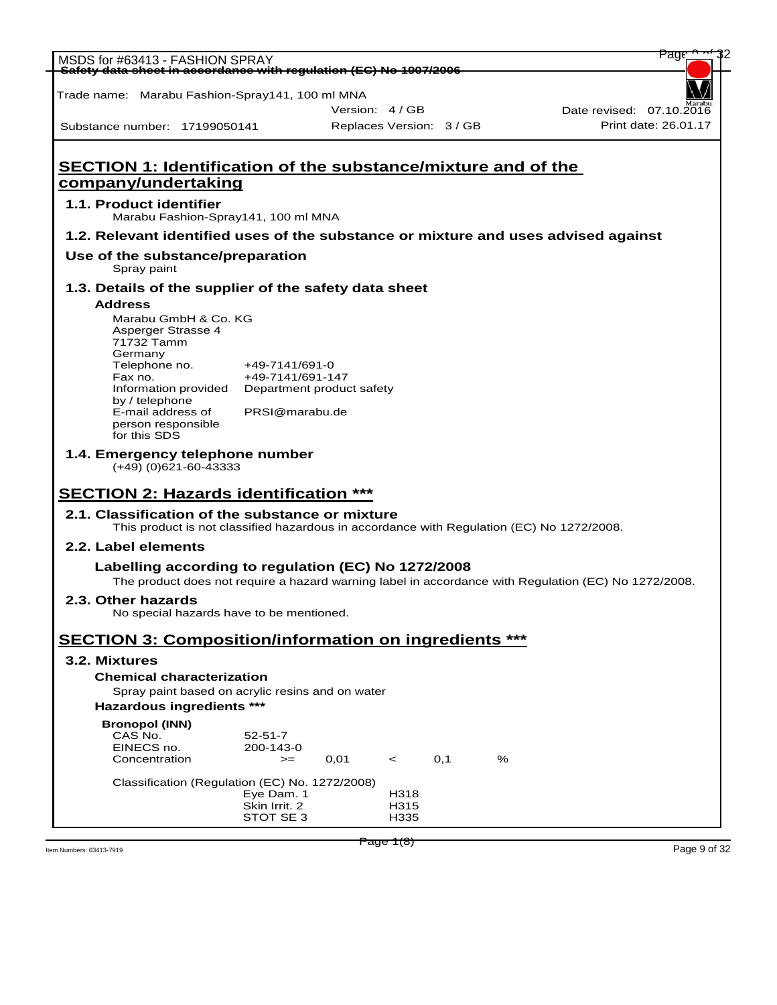| MSDS for #63413 - FASHION SPRAY                                                                                                              |                                    |                          |     |   | Page                                                                                                 |
|----------------------------------------------------------------------------------------------------------------------------------------------|------------------------------------|--------------------------|-----|---|------------------------------------------------------------------------------------------------------|
| Safety data sheet in accordance with regulation (EC) No 1907/2006                                                                            |                                    |                          |     |   |                                                                                                      |
| Trade name: Marabu Fashion-Spray141, 100 ml MNA                                                                                              |                                    |                          |     |   |                                                                                                      |
|                                                                                                                                              |                                    | Version: 4/GB            |     |   | Date revised: 07.10.2016                                                                             |
| Substance number: 17199050141                                                                                                                |                                    | Replaces Version: 3 / GB |     |   | Print date: 26.01.17                                                                                 |
|                                                                                                                                              |                                    |                          |     |   |                                                                                                      |
| <b>SECTION 1: Identification of the substance/mixture and of the</b>                                                                         |                                    |                          |     |   |                                                                                                      |
| company/undertaking                                                                                                                          |                                    |                          |     |   |                                                                                                      |
| 1.1. Product identifier<br>Marabu Fashion-Spray141, 100 ml MNA                                                                               |                                    |                          |     |   |                                                                                                      |
| 1.2. Relevant identified uses of the substance or mixture and uses advised against                                                           |                                    |                          |     |   |                                                                                                      |
| Use of the substance/preparation<br>Spray paint                                                                                              |                                    |                          |     |   |                                                                                                      |
| 1.3. Details of the supplier of the safety data sheet                                                                                        |                                    |                          |     |   |                                                                                                      |
| <b>Address</b>                                                                                                                               |                                    |                          |     |   |                                                                                                      |
| Marabu GmbH & Co. KG<br>Asperger Strasse 4                                                                                                   |                                    |                          |     |   |                                                                                                      |
| 71732 Tamm                                                                                                                                   |                                    |                          |     |   |                                                                                                      |
| Germany                                                                                                                                      |                                    |                          |     |   |                                                                                                      |
| Telephone no.<br>Fax no.                                                                                                                     | +49-7141/691-0<br>+49-7141/691-147 |                          |     |   |                                                                                                      |
| Information provided  Department product safety                                                                                              |                                    |                          |     |   |                                                                                                      |
| by / telephone                                                                                                                               | PRSI@marabu.de                     |                          |     |   |                                                                                                      |
| E-mail address of<br>person responsible                                                                                                      |                                    |                          |     |   |                                                                                                      |
| for this SDS                                                                                                                                 |                                    |                          |     |   |                                                                                                      |
| 1.4. Emergency telephone number                                                                                                              |                                    |                          |     |   |                                                                                                      |
| $(+49)$ (0)621-60-43333                                                                                                                      |                                    |                          |     |   |                                                                                                      |
|                                                                                                                                              |                                    |                          |     |   |                                                                                                      |
| <b>SECTION 2: Hazards identification ***</b>                                                                                                 |                                    |                          |     |   |                                                                                                      |
| 2.1. Classification of the substance or mixture<br>This product is not classified hazardous in accordance with Regulation (EC) No 1272/2008. |                                    |                          |     |   |                                                                                                      |
| 2.2. Label elements                                                                                                                          |                                    |                          |     |   |                                                                                                      |
| Labelling according to regulation (EC) No 1272/2008                                                                                          |                                    |                          |     |   | The product does not require a hazard warning label in accordance with Regulation (EC) No 1272/2008. |
| 2.3. Other hazards                                                                                                                           |                                    |                          |     |   |                                                                                                      |
| No special hazards have to be mentioned.                                                                                                     |                                    |                          |     |   |                                                                                                      |
| <b>SECTION 3: Composition/information on ingredients ***</b>                                                                                 |                                    |                          |     |   |                                                                                                      |
| 3.2. Mixtures                                                                                                                                |                                    |                          |     |   |                                                                                                      |
| <b>Chemical characterization</b>                                                                                                             |                                    |                          |     |   |                                                                                                      |
| Spray paint based on acrylic resins and on water                                                                                             |                                    |                          |     |   |                                                                                                      |
| Hazardous ingredients ***                                                                                                                    |                                    |                          |     |   |                                                                                                      |
| <b>Bronopol (INN)</b>                                                                                                                        |                                    |                          |     |   |                                                                                                      |
| CAS No.<br>EINECS no.                                                                                                                        | $52 - 51 - 7$                      |                          |     |   |                                                                                                      |
| Concentration                                                                                                                                | 200-143-0<br>$>=$                  | 0,01<br>$\prec$          | 0,1 | % |                                                                                                      |
|                                                                                                                                              |                                    |                          |     |   |                                                                                                      |
| Classification (Regulation (EC) No. 1272/2008)                                                                                               | Eye Dam. 1                         | H318                     |     |   |                                                                                                      |
|                                                                                                                                              | Skin Irrit. 2                      | H315                     |     |   |                                                                                                      |
|                                                                                                                                              | STOT SE 3                          | H335                     |     |   |                                                                                                      |
|                                                                                                                                              |                                    |                          |     |   |                                                                                                      |
|                                                                                                                                              |                                    | Page 1(8)                |     |   | Page 9 of 32                                                                                         |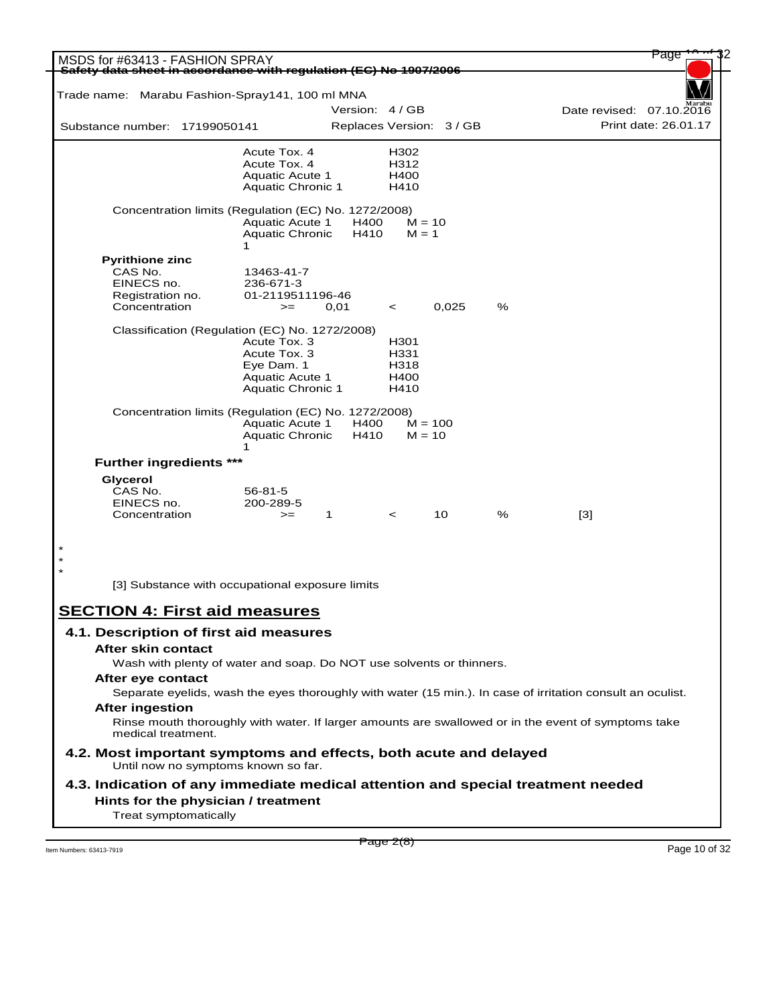| MSDS for #63413 - FASHION SPRAY<br>Safety data sheet in accordance with requlation (EC) No 1907/2006    |                                                  |                          |                     |       |   | Page                                                                                                       |
|---------------------------------------------------------------------------------------------------------|--------------------------------------------------|--------------------------|---------------------|-------|---|------------------------------------------------------------------------------------------------------------|
|                                                                                                         |                                                  |                          |                     |       |   |                                                                                                            |
| Trade name: Marabu Fashion-Spray141, 100 ml MNA                                                         |                                                  | Version: 4 / GB          |                     |       |   | Date revised: 07.10.2016                                                                                   |
| Substance number: 17199050141                                                                           |                                                  | Replaces Version: 3 / GB |                     |       |   | Print date: 26.01.17                                                                                       |
|                                                                                                         |                                                  |                          |                     |       |   |                                                                                                            |
|                                                                                                         | Acute Tox. 4<br>Acute Tox. 4                     |                          | H302<br>H312        |       |   |                                                                                                            |
|                                                                                                         | <b>Aquatic Acute 1</b>                           |                          | H400                |       |   |                                                                                                            |
|                                                                                                         | <b>Aquatic Chronic 1</b>                         |                          | H410                |       |   |                                                                                                            |
| Concentration limits (Regulation (EC) No. 1272/2008)                                                    | <b>Aquatic Acute 1</b><br><b>Aquatic Chronic</b> | H400<br>H410             | $M = 10$<br>$M = 1$ |       |   |                                                                                                            |
|                                                                                                         | 1                                                |                          |                     |       |   |                                                                                                            |
| <b>Pyrithione zinc</b>                                                                                  |                                                  |                          |                     |       |   |                                                                                                            |
| CAS No.<br>EINECS no.                                                                                   | 13463-41-7<br>236-671-3                          |                          |                     |       |   |                                                                                                            |
| Registration no.                                                                                        | 01-2119511196-46                                 |                          |                     |       |   |                                                                                                            |
| Concentration                                                                                           | $>=$                                             | 0,01                     | $\,<\,$             | 0.025 | % |                                                                                                            |
| Classification (Regulation (EC) No. 1272/2008)                                                          |                                                  |                          |                     |       |   |                                                                                                            |
|                                                                                                         | Acute Tox. 3                                     |                          | H301                |       |   |                                                                                                            |
|                                                                                                         | Acute Tox. 3                                     |                          | H331                |       |   |                                                                                                            |
|                                                                                                         | Eye Dam. 1                                       |                          | H318                |       |   |                                                                                                            |
|                                                                                                         | <b>Aquatic Acute 1</b>                           |                          | H400                |       |   |                                                                                                            |
|                                                                                                         | <b>Aquatic Chronic 1</b>                         |                          | H410                |       |   |                                                                                                            |
| Concentration limits (Regulation (EC) No. 1272/2008)                                                    |                                                  |                          |                     |       |   |                                                                                                            |
|                                                                                                         | <b>Aquatic Acute 1</b>                           | H400                     | $M = 100$           |       |   |                                                                                                            |
|                                                                                                         | <b>Aquatic Chronic</b>                           | H410                     | $M = 10$            |       |   |                                                                                                            |
| <b>Further ingredients ***</b>                                                                          | 1                                                |                          |                     |       |   |                                                                                                            |
| Glycerol                                                                                                |                                                  |                          |                     |       |   |                                                                                                            |
| CAS No.                                                                                                 | $56 - 81 - 5$                                    |                          |                     |       |   |                                                                                                            |
| EINECS no.                                                                                              | 200-289-5                                        |                          |                     |       |   |                                                                                                            |
| Concentration                                                                                           | $>=$                                             | 1                        | $\,<\,$             | 10    | % | $[3]$                                                                                                      |
|                                                                                                         |                                                  |                          |                     |       |   |                                                                                                            |
|                                                                                                         |                                                  |                          |                     |       |   |                                                                                                            |
| [3] Substance with occupational exposure limits                                                         |                                                  |                          |                     |       |   |                                                                                                            |
| <b>SECTION 4: First aid measures</b>                                                                    |                                                  |                          |                     |       |   |                                                                                                            |
|                                                                                                         |                                                  |                          |                     |       |   |                                                                                                            |
| 4.1. Description of first aid measures                                                                  |                                                  |                          |                     |       |   |                                                                                                            |
| After skin contact                                                                                      |                                                  |                          |                     |       |   |                                                                                                            |
| Wash with plenty of water and soap. Do NOT use solvents or thinners.                                    |                                                  |                          |                     |       |   |                                                                                                            |
| After eye contact                                                                                       |                                                  |                          |                     |       |   |                                                                                                            |
|                                                                                                         |                                                  |                          |                     |       |   | Separate eyelids, wash the eyes thoroughly with water (15 min.). In case of irritation consult an oculist. |
| <b>After ingestion</b>                                                                                  |                                                  |                          |                     |       |   |                                                                                                            |
| medical treatment.                                                                                      |                                                  |                          |                     |       |   | Rinse mouth thoroughly with water. If larger amounts are swallowed or in the event of symptoms take        |
| 4.2. Most important symptoms and effects, both acute and delayed<br>Until now no symptoms known so far. |                                                  |                          |                     |       |   |                                                                                                            |
| 4.3. Indication of any immediate medical attention and special treatment needed                         |                                                  |                          |                     |       |   |                                                                                                            |
| Hints for the physician / treatment<br>Treat symptomatically                                            |                                                  |                          |                     |       |   |                                                                                                            |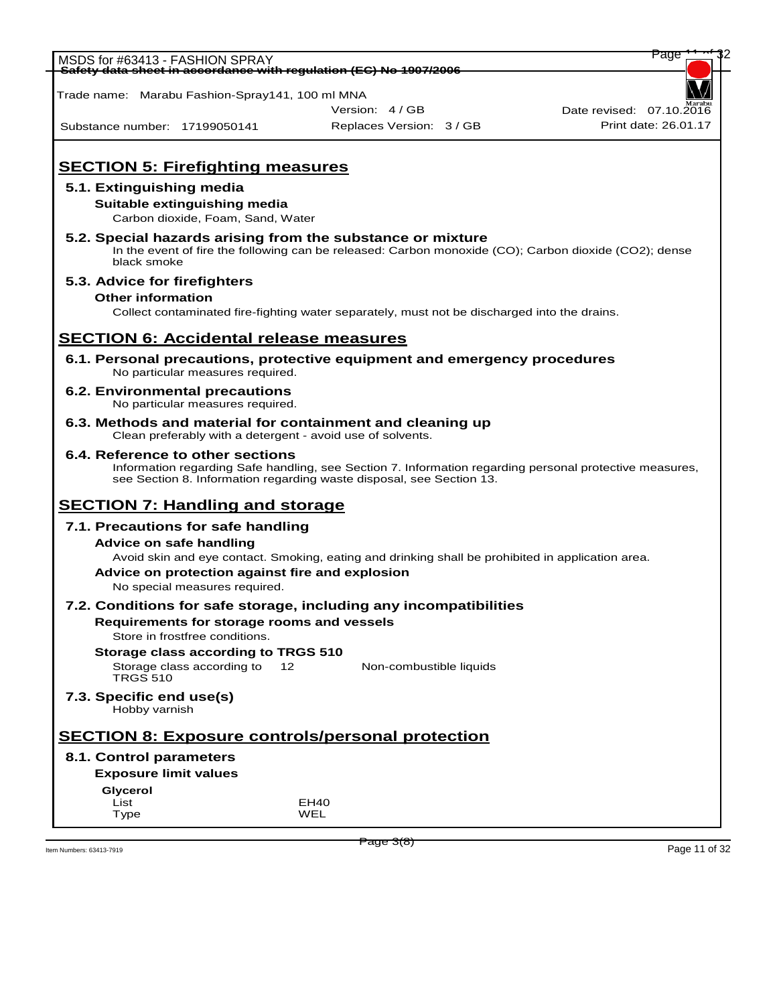| MSDS for #63413 - FASHION SPRAY                 |                                   |                                                                                                         | Page                     |
|-------------------------------------------------|-----------------------------------|---------------------------------------------------------------------------------------------------------|--------------------------|
|                                                 |                                   | <del>Safety data sheet in accordance with regulation (EC) No 1907/2006</del>                            |                          |
| Trade name: Marabu Fashion-Spray141, 100 ml MNA |                                   |                                                                                                         |                          |
|                                                 |                                   | Version: 4/GB                                                                                           | Date revised: 07.10.2016 |
| Substance number: 17199050141                   |                                   | Replaces Version: 3 / GB                                                                                | Print date: 26.01.17     |
|                                                 |                                   |                                                                                                         |                          |
|                                                 |                                   |                                                                                                         |                          |
| <b>SECTION 5: Firefighting measures</b>         |                                   |                                                                                                         |                          |
| 5.1. Extinguishing media                        |                                   |                                                                                                         |                          |
| Suitable extinguishing media                    |                                   |                                                                                                         |                          |
|                                                 | Carbon dioxide, Foam, Sand, Water |                                                                                                         |                          |
|                                                 |                                   | 5.2. Special hazards arising from the substance or mixture                                              |                          |
|                                                 |                                   | In the event of fire the following can be released: Carbon monoxide (CO); Carbon dioxide (CO2); dense   |                          |
| black smoke                                     |                                   |                                                                                                         |                          |
| 5.3. Advice for firefighters                    |                                   |                                                                                                         |                          |
| <b>Other information</b>                        |                                   |                                                                                                         |                          |
|                                                 |                                   | Collect contaminated fire-fighting water separately, must not be discharged into the drains.            |                          |
|                                                 |                                   |                                                                                                         |                          |
| <b>SECTION 6: Accidental release measures</b>   |                                   |                                                                                                         |                          |
|                                                 | No particular measures required.  | 6.1. Personal precautions, protective equipment and emergency procedures                                |                          |
| <b>6.2. Environmental precautions</b>           |                                   |                                                                                                         |                          |
|                                                 | No particular measures required.  |                                                                                                         |                          |
|                                                 |                                   | 6.3. Methods and material for containment and cleaning up                                               |                          |
|                                                 |                                   | Clean preferably with a detergent - avoid use of solvents.                                              |                          |
| 6.4. Reference to other sections                |                                   |                                                                                                         |                          |
|                                                 |                                   | Information regarding Safe handling, see Section 7. Information regarding personal protective measures, |                          |
|                                                 |                                   | see Section 8. Information regarding waste disposal, see Section 13.                                    |                          |
| <b>SECTION 7: Handling and storage</b>          |                                   |                                                                                                         |                          |
| 7.1. Precautions for safe handling              |                                   |                                                                                                         |                          |
| <b>Advice on safe handling</b>                  |                                   |                                                                                                         |                          |
|                                                 |                                   | Avoid skin and eye contact. Smoking, eating and drinking shall be prohibited in application area.       |                          |
|                                                 |                                   | Advice on protection against fire and explosion                                                         |                          |
| No special measures required.                   |                                   |                                                                                                         |                          |
|                                                 |                                   | 7.2. Conditions for safe storage, including any incompatibilities                                       |                          |
| Requirements for storage rooms and vessels      |                                   |                                                                                                         |                          |
| Store in frostfree conditions.                  |                                   |                                                                                                         |                          |
| Storage class according to TRGS 510             |                                   |                                                                                                         |                          |
| Storage class according to                      | 12 <sup>1</sup>                   | Non-combustible liquids                                                                                 |                          |
| <b>TRGS 510</b>                                 |                                   |                                                                                                         |                          |
| 7.3. Specific end use(s)<br>Hobby varnish       |                                   |                                                                                                         |                          |
|                                                 |                                   | <b>SECTION 8: Exposure controls/personal protection</b>                                                 |                          |
| 8.1. Control parameters                         |                                   |                                                                                                         |                          |
| <b>Exposure limit values</b>                    |                                   |                                                                                                         |                          |
| Glycerol                                        |                                   |                                                                                                         |                          |
| List                                            |                                   | EH <sub>40</sub>                                                                                        |                          |
| Type                                            |                                   | WEL                                                                                                     |                          |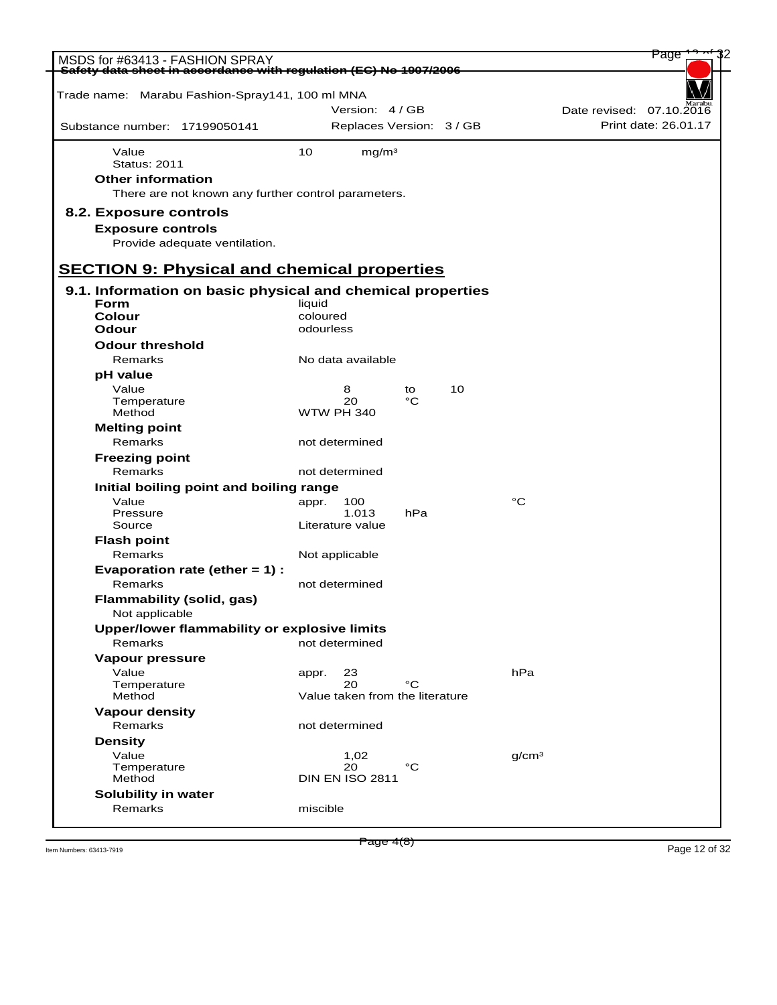| MSDS for #63413 - FASHION SPRAY                                   |                       |                                 |     |    |                   | Page                                             |  |
|-------------------------------------------------------------------|-----------------------|---------------------------------|-----|----|-------------------|--------------------------------------------------|--|
| Safety data sheet in accordance with regulation (EC) No 1907/2006 |                       |                                 |     |    |                   |                                                  |  |
|                                                                   |                       |                                 |     |    |                   |                                                  |  |
| Trade name: Marabu Fashion-Spray141, 100 ml MNA                   |                       | Version: 4/GB                   |     |    |                   |                                                  |  |
|                                                                   |                       |                                 |     |    |                   | Date revised: 07.10.2016<br>Print date: 26.01.17 |  |
| Substance number: 17199050141                                     |                       | Replaces Version: 3 / GB        |     |    |                   |                                                  |  |
| Value                                                             | 10                    | mg/m <sup>3</sup>               |     |    |                   |                                                  |  |
| <b>Status: 2011</b>                                               |                       |                                 |     |    |                   |                                                  |  |
| <b>Other information</b>                                          |                       |                                 |     |    |                   |                                                  |  |
| There are not known any further control parameters.               |                       |                                 |     |    |                   |                                                  |  |
| 8.2. Exposure controls                                            |                       |                                 |     |    |                   |                                                  |  |
| <b>Exposure controls</b>                                          |                       |                                 |     |    |                   |                                                  |  |
| Provide adequate ventilation.                                     |                       |                                 |     |    |                   |                                                  |  |
|                                                                   |                       |                                 |     |    |                   |                                                  |  |
| <b>SECTION 9: Physical and chemical properties</b>                |                       |                                 |     |    |                   |                                                  |  |
| 9.1. Information on basic physical and chemical properties        |                       |                                 |     |    |                   |                                                  |  |
| <b>Form</b>                                                       | liquid                |                                 |     |    |                   |                                                  |  |
| <b>Colour</b><br>Odour                                            | coloured<br>odourless |                                 |     |    |                   |                                                  |  |
| <b>Odour threshold</b>                                            |                       |                                 |     |    |                   |                                                  |  |
| Remarks                                                           |                       | No data available               |     |    |                   |                                                  |  |
| pH value                                                          |                       |                                 |     |    |                   |                                                  |  |
| Value                                                             |                       | 8                               | to  | 10 |                   |                                                  |  |
| Temperature                                                       |                       | 20                              | °C  |    |                   |                                                  |  |
| Method                                                            |                       | <b>WTW PH 340</b>               |     |    |                   |                                                  |  |
| <b>Melting point</b>                                              |                       |                                 |     |    |                   |                                                  |  |
| Remarks                                                           |                       | not determined                  |     |    |                   |                                                  |  |
| <b>Freezing point</b>                                             |                       |                                 |     |    |                   |                                                  |  |
| Remarks                                                           |                       | not determined                  |     |    |                   |                                                  |  |
| Initial boiling point and boiling range<br>Value                  | appr.                 | 100                             |     |    | $^{\circ}C$       |                                                  |  |
| Pressure                                                          |                       | 1.013                           | hPa |    |                   |                                                  |  |
| Source                                                            |                       | Literature value                |     |    |                   |                                                  |  |
| <b>Flash point</b>                                                |                       |                                 |     |    |                   |                                                  |  |
| Remarks                                                           |                       | Not applicable                  |     |    |                   |                                                  |  |
| Evaporation rate (ether $= 1$ ) :                                 |                       |                                 |     |    |                   |                                                  |  |
| Remarks                                                           |                       | not determined                  |     |    |                   |                                                  |  |
| <b>Flammability (solid, gas)</b>                                  |                       |                                 |     |    |                   |                                                  |  |
| Not applicable                                                    |                       |                                 |     |    |                   |                                                  |  |
| Upper/lower flammability or explosive limits<br>Remarks           |                       | not determined                  |     |    |                   |                                                  |  |
| Vapour pressure                                                   |                       |                                 |     |    |                   |                                                  |  |
| Value                                                             | appr.                 | 23                              |     |    | hPa               |                                                  |  |
| Temperature                                                       |                       | 20                              | °C  |    |                   |                                                  |  |
| Method                                                            |                       | Value taken from the literature |     |    |                   |                                                  |  |
| <b>Vapour density</b>                                             |                       |                                 |     |    |                   |                                                  |  |
| Remarks                                                           |                       | not determined                  |     |    |                   |                                                  |  |
| <b>Density</b>                                                    |                       |                                 |     |    |                   |                                                  |  |
| Value<br>Temperature                                              |                       | 1,02<br>20                      | °C  |    | q/cm <sup>3</sup> |                                                  |  |
| Method                                                            |                       | <b>DIN EN ISO 2811</b>          |     |    |                   |                                                  |  |
| Solubility in water                                               |                       |                                 |     |    |                   |                                                  |  |
| Remarks                                                           | miscible              |                                 |     |    |                   |                                                  |  |
|                                                                   |                       |                                 |     |    |                   |                                                  |  |

 $P \text{age 4(8)}$  Item Numbers: 63413-7919 Page 12 of 32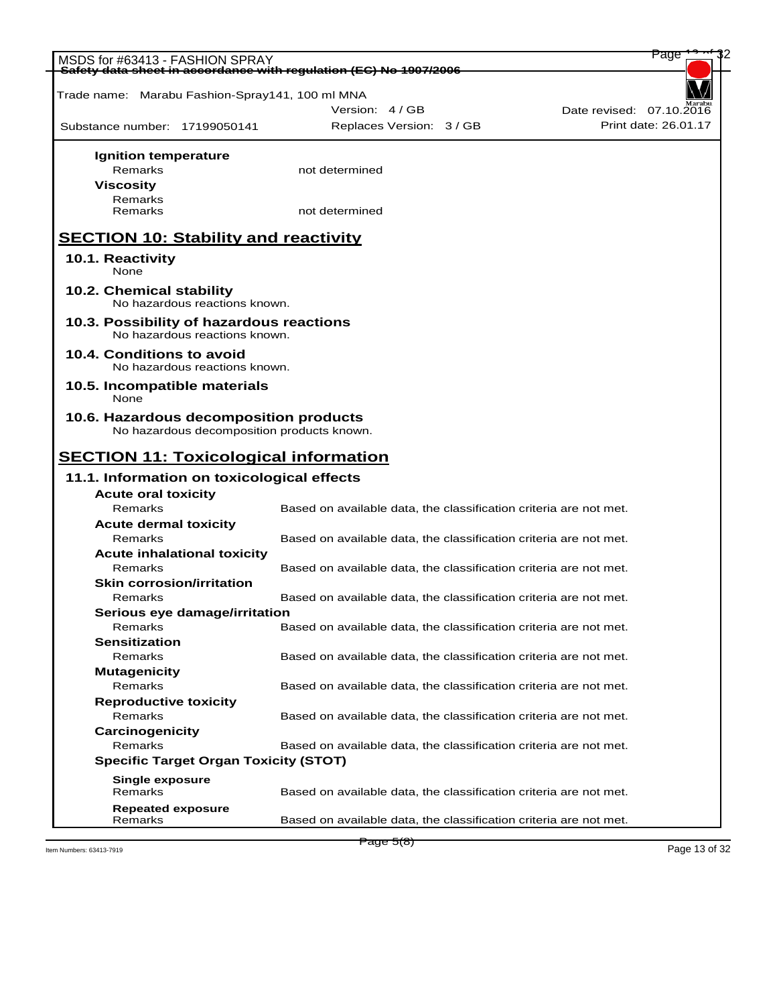| MSDS for #63413 - FASHION SPRAY                                   |                                                                   | Page                     |
|-------------------------------------------------------------------|-------------------------------------------------------------------|--------------------------|
| Safety data sheet in accordance with regulation (EC) No 1907/2006 |                                                                   |                          |
| Trade name: Marabu Fashion-Spray141, 100 ml MNA                   |                                                                   |                          |
|                                                                   | Version: 4 / GB                                                   | Date revised: 07.10.2016 |
| Substance number: 17199050141                                     | Replaces Version: 3 / GB                                          | Print date: 26.01.17     |
|                                                                   |                                                                   |                          |
| Ignition temperature                                              |                                                                   |                          |
| Remarks                                                           | not determined                                                    |                          |
| <b>Viscosity</b>                                                  |                                                                   |                          |
| Remarks                                                           |                                                                   |                          |
| Remarks                                                           | not determined                                                    |                          |
|                                                                   |                                                                   |                          |
| <b>SECTION 10: Stability and reactivity</b>                       |                                                                   |                          |
| 10.1. Reactivity                                                  |                                                                   |                          |
| None                                                              |                                                                   |                          |
| 10.2. Chemical stability                                          |                                                                   |                          |
| No hazardous reactions known.                                     |                                                                   |                          |
| 10.3. Possibility of hazardous reactions                          |                                                                   |                          |
| No hazardous reactions known.                                     |                                                                   |                          |
| 10.4. Conditions to avoid                                         |                                                                   |                          |
| No hazardous reactions known.                                     |                                                                   |                          |
| 10.5. Incompatible materials                                      |                                                                   |                          |
| None                                                              |                                                                   |                          |
| 10.6. Hazardous decomposition products                            |                                                                   |                          |
| No hazardous decomposition products known.                        |                                                                   |                          |
|                                                                   |                                                                   |                          |
| <b>SECTION 11: Toxicological information</b>                      |                                                                   |                          |
| 11.1. Information on toxicological effects                        |                                                                   |                          |
| <b>Acute oral toxicity</b>                                        |                                                                   |                          |
| Remarks                                                           | Based on available data, the classification criteria are not met. |                          |
| <b>Acute dermal toxicity</b>                                      |                                                                   |                          |
| Remarks                                                           | Based on available data, the classification criteria are not met. |                          |
| <b>Acute inhalational toxicity</b>                                |                                                                   |                          |
| Remarks                                                           | Based on available data, the classification criteria are not met. |                          |
| <b>Skin corrosion/irritation</b>                                  |                                                                   |                          |
| Remarks                                                           | Based on available data, the classification criteria are not met. |                          |
| Serious eye damage/irritation                                     |                                                                   |                          |
| Remarks                                                           | Based on available data, the classification criteria are not met. |                          |
| <b>Sensitization</b>                                              |                                                                   |                          |
| Remarks                                                           | Based on available data, the classification criteria are not met. |                          |
| <b>Mutagenicity</b>                                               |                                                                   |                          |
| Remarks                                                           | Based on available data, the classification criteria are not met. |                          |
| <b>Reproductive toxicity</b><br>Remarks                           | Based on available data, the classification criteria are not met. |                          |
| Carcinogenicity                                                   |                                                                   |                          |
| Remarks                                                           | Based on available data, the classification criteria are not met. |                          |
| <b>Specific Target Organ Toxicity (STOT)</b>                      |                                                                   |                          |
|                                                                   |                                                                   |                          |
| <b>Single exposure</b>                                            |                                                                   |                          |
| Remarks                                                           | Based on available data, the classification criteria are not met. |                          |
| <b>Repeated exposure</b>                                          |                                                                   |                          |
| Remarks                                                           | Based on available data, the classification criteria are not met. |                          |

Page 5(8)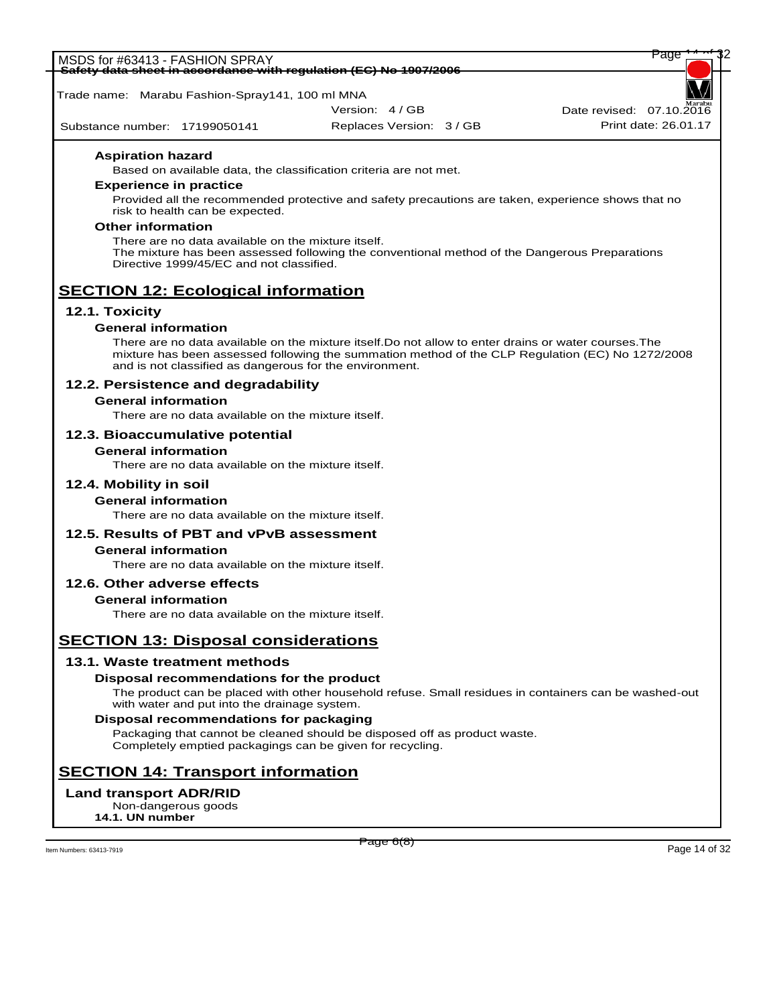|                                                                          | auc | ΨŁ |  |
|--------------------------------------------------------------------------|-----|----|--|
| MSDS for #63413 - FASHION \<br><b>SPRAY</b>                              |     |    |  |
|                                                                          |     |    |  |
| Safety data sheet in accordance with requistion (EC) No 1007/2006        |     |    |  |
| <u> Carciv Gaia Sheet In accordance with requiditon (EO) NO TSONZOOO</u> |     |    |  |

Trade name: Marabu Fashion-Spray141, 100 ml MNA

Version: 4 / GB

Substance number: 17199050141

Replaces Version: 3 / GB Print date: 26.01.17

Date revised:  $07.10.\overline{20}$ 

## **Aspiration hazard**

Based on available data, the classification criteria are not met.

### **Experience in practice**

Provided all the recommended protective and safety precautions are taken, experience shows that no risk to health can be expected.

### **Other information**

There are no data available on the mixture itself. The mixture has been assessed following the conventional method of the Dangerous Preparations Directive 1999/45/EC and not classified.

# **SECTION 12: Ecological information**

# **12.1. Toxicity**

# **General information**

There are no data available on the mixture itself.Do not allow to enter drains or water courses.The mixture has been assessed following the summation method of the CLP Regulation (EC) No 1272/2008 and is not classified as dangerous for the environment.

# **12.2. Persistence and degradability**

# **General information**

There are no data available on the mixture itself.

# **12.3. Bioaccumulative potential**

# **General information**

There are no data available on the mixture itself.

# **12.4. Mobility in soil**

# **General information**

There are no data available on the mixture itself.

# **12.5. Results of PBT and vPvB assessment**

# **General information**

There are no data available on the mixture itself.

# **12.6. Other adverse effects**

# **General information**

There are no data available on the mixture itself.

# **SECTION 13: Disposal considerations**

# **13.1. Waste treatment methods**

# **Disposal recommendations for the product**

The product can be placed with other household refuse. Small residues in containers can be washed-out with water and put into the drainage system.

# **Disposal recommendations for packaging**

Packaging that cannot be cleaned should be disposed off as product waste. Completely emptied packagings can be given for recycling.

# **SECTION 14: Transport information**

# **Land transport ADR/RID**

Non-dangerous goods **14.1. UN number**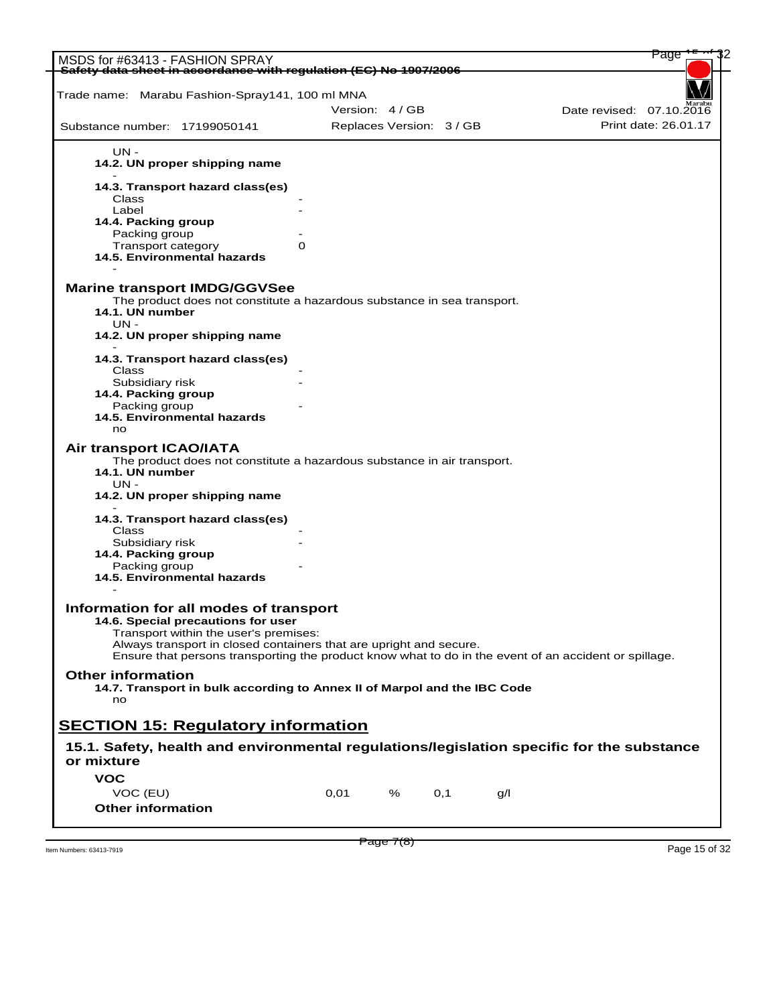| MSDS for #63413 - FASHION SPRAY                                                                                                                                                                                                                                                                      |   |                          |   |      |     | Page                     |
|------------------------------------------------------------------------------------------------------------------------------------------------------------------------------------------------------------------------------------------------------------------------------------------------------|---|--------------------------|---|------|-----|--------------------------|
| Safety data sheet in accordance with regulation (EC) No 1907/2006                                                                                                                                                                                                                                    |   |                          |   |      |     |                          |
|                                                                                                                                                                                                                                                                                                      |   |                          |   |      |     |                          |
| Trade name: Marabu Fashion-Spray141, 100 ml MNA                                                                                                                                                                                                                                                      |   |                          |   |      |     |                          |
|                                                                                                                                                                                                                                                                                                      |   | Version: 4/GB            |   |      |     | Date revised: 07.10.2016 |
| Substance number: 17199050141                                                                                                                                                                                                                                                                        |   | Replaces Version: 3 / GB |   |      |     | Print date: 26.01.17     |
| UN -                                                                                                                                                                                                                                                                                                 |   |                          |   |      |     |                          |
| 14.2. UN proper shipping name                                                                                                                                                                                                                                                                        |   |                          |   |      |     |                          |
| 14.3. Transport hazard class(es)                                                                                                                                                                                                                                                                     |   |                          |   |      |     |                          |
| Class                                                                                                                                                                                                                                                                                                |   |                          |   |      |     |                          |
| Label                                                                                                                                                                                                                                                                                                |   |                          |   |      |     |                          |
| 14.4. Packing group<br>Packing group                                                                                                                                                                                                                                                                 |   |                          |   |      |     |                          |
| Transport category                                                                                                                                                                                                                                                                                   | 0 |                          |   |      |     |                          |
| 14.5. Environmental hazards                                                                                                                                                                                                                                                                          |   |                          |   |      |     |                          |
|                                                                                                                                                                                                                                                                                                      |   |                          |   |      |     |                          |
| <b>Marine transport IMDG/GGVSee</b>                                                                                                                                                                                                                                                                  |   |                          |   |      |     |                          |
| The product does not constitute a hazardous substance in sea transport.                                                                                                                                                                                                                              |   |                          |   |      |     |                          |
| 14.1. UN number                                                                                                                                                                                                                                                                                      |   |                          |   |      |     |                          |
| $UN -$<br>14.2. UN proper shipping name                                                                                                                                                                                                                                                              |   |                          |   |      |     |                          |
|                                                                                                                                                                                                                                                                                                      |   |                          |   |      |     |                          |
| 14.3. Transport hazard class(es)                                                                                                                                                                                                                                                                     |   |                          |   |      |     |                          |
| Class                                                                                                                                                                                                                                                                                                |   |                          |   |      |     |                          |
| Subsidiary risk                                                                                                                                                                                                                                                                                      |   |                          |   |      |     |                          |
| 14.4. Packing group                                                                                                                                                                                                                                                                                  |   |                          |   |      |     |                          |
| Packing group                                                                                                                                                                                                                                                                                        |   |                          |   |      |     |                          |
| 14.5. Environmental hazards<br>no                                                                                                                                                                                                                                                                    |   |                          |   |      |     |                          |
| Air transport ICAO/IATA<br>The product does not constitute a hazardous substance in air transport.<br>14.1. UN number<br>UN -<br>14.2. UN proper shipping name                                                                                                                                       |   |                          |   |      |     |                          |
| 14.3. Transport hazard class(es)<br>Class                                                                                                                                                                                                                                                            |   |                          |   |      |     |                          |
| Subsidiary risk                                                                                                                                                                                                                                                                                      |   |                          |   |      |     |                          |
| 14.4. Packing group                                                                                                                                                                                                                                                                                  |   |                          |   |      |     |                          |
| Packing group                                                                                                                                                                                                                                                                                        |   |                          |   |      |     |                          |
| 14.5. Environmental hazards                                                                                                                                                                                                                                                                          |   |                          |   |      |     |                          |
| Information for all modes of transport<br>14.6. Special precautions for user<br>Transport within the user's premises:<br>Always transport in closed containers that are upright and secure.<br>Ensure that persons transporting the product know what to do in the event of an accident or spillage. |   |                          |   |      |     |                          |
| <b>Other information</b><br>14.7. Transport in bulk according to Annex II of Marpol and the IBC Code                                                                                                                                                                                                 |   |                          |   |      |     |                          |
| no                                                                                                                                                                                                                                                                                                   |   |                          |   |      |     |                          |
|                                                                                                                                                                                                                                                                                                      |   |                          |   |      |     |                          |
| <b>SECTION 15: Regulatory information</b>                                                                                                                                                                                                                                                            |   |                          |   |      |     |                          |
| 15.1. Safety, health and environmental regulations/legislation specific for the substance                                                                                                                                                                                                            |   |                          |   |      |     |                          |
| or mixture                                                                                                                                                                                                                                                                                           |   |                          |   |      |     |                          |
| <b>VOC</b>                                                                                                                                                                                                                                                                                           |   |                          |   |      |     |                          |
| VOC (EU)                                                                                                                                                                                                                                                                                             |   | 0,01                     | % | O, 1 | q/l |                          |
|                                                                                                                                                                                                                                                                                                      |   |                          |   |      |     |                          |
| <b>Other information</b>                                                                                                                                                                                                                                                                             |   |                          |   |      |     |                          |

 $P \text{age } I(8)$ <br>Item Numbers: 63413-7919 Page 15 of 32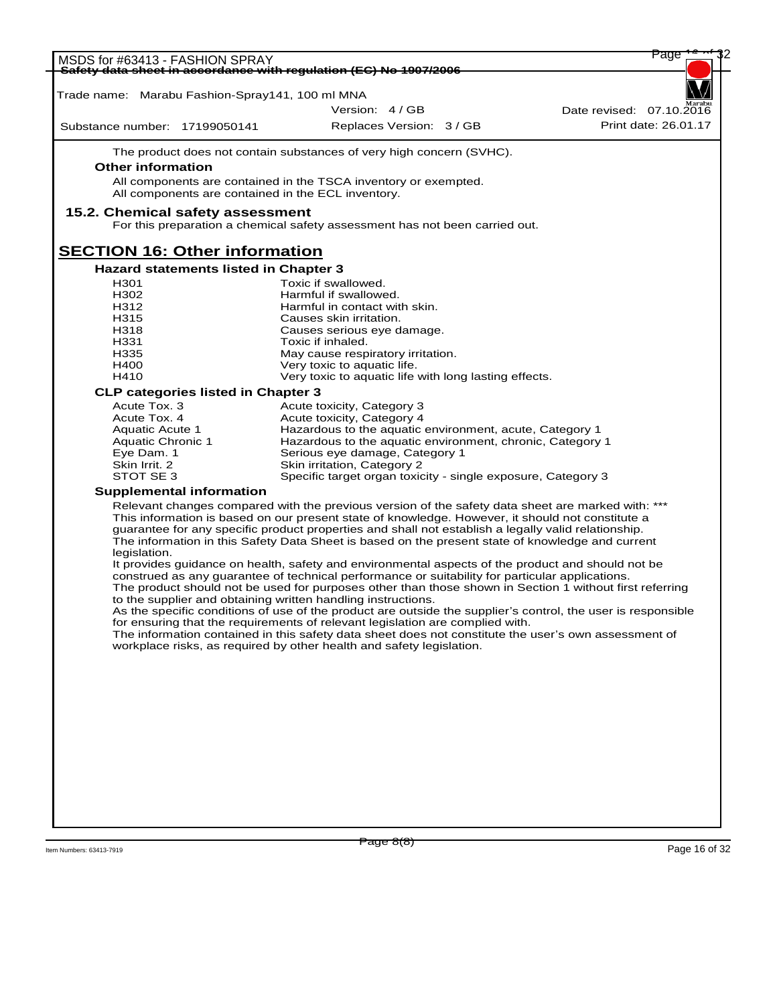| MSDS for #63413 - FASHION SPRAY                 |                                                                                                                                                                                               | Page                     |
|-------------------------------------------------|-----------------------------------------------------------------------------------------------------------------------------------------------------------------------------------------------|--------------------------|
|                                                 | Safety data sheet in accordance with regulation (EC) No 1907/2006                                                                                                                             |                          |
| Trade name: Marabu Fashion-Spray141, 100 ml MNA |                                                                                                                                                                                               |                          |
|                                                 | Version: 4/GB                                                                                                                                                                                 | Date revised: 07.10.2016 |
| Substance number: 17199050141                   | Replaces Version: 3 / GB                                                                                                                                                                      | Print date: 26.01.17     |
|                                                 | The product does not contain substances of very high concern (SVHC).                                                                                                                          |                          |
| <b>Other information</b>                        |                                                                                                                                                                                               |                          |
|                                                 | All components are contained in the TSCA inventory or exempted.                                                                                                                               |                          |
|                                                 | All components are contained in the ECL inventory.                                                                                                                                            |                          |
| 15.2. Chemical safety assessment                | For this preparation a chemical safety assessment has not been carried out.                                                                                                                   |                          |
| <b>SECTION 16: Other information</b>            |                                                                                                                                                                                               |                          |
| <b>Hazard statements listed in Chapter 3</b>    |                                                                                                                                                                                               |                          |
| H <sub>301</sub>                                | Toxic if swallowed.                                                                                                                                                                           |                          |
| H302                                            | Harmful if swallowed.                                                                                                                                                                         |                          |
| H312                                            | Harmful in contact with skin.                                                                                                                                                                 |                          |
| H315<br>H318                                    | Causes skin irritation.<br>Causes serious eye damage.                                                                                                                                         |                          |
| H331                                            | Toxic if inhaled.                                                                                                                                                                             |                          |
| H335                                            | May cause respiratory irritation.                                                                                                                                                             |                          |
| H400                                            | Very toxic to aquatic life.                                                                                                                                                                   |                          |
| H410                                            | Very toxic to aquatic life with long lasting effects.                                                                                                                                         |                          |
| <b>CLP categories listed in Chapter 3</b>       |                                                                                                                                                                                               |                          |
| Acute Tox. 3                                    | Acute toxicity, Category 3                                                                                                                                                                    |                          |
| Acute Tox. 4                                    | Acute toxicity, Category 4                                                                                                                                                                    |                          |
| <b>Aquatic Acute 1</b><br>Aquatic Chronic 1     | Hazardous to the aquatic environment, acute, Category 1<br>Hazardous to the aquatic environment, chronic, Category 1                                                                          |                          |
| Eye Dam. 1                                      | Serious eye damage, Category 1                                                                                                                                                                |                          |
| Skin Irrit. 2                                   | Skin irritation, Category 2                                                                                                                                                                   |                          |
| STOT SE 3                                       | Specific target organ toxicity - single exposure, Category 3                                                                                                                                  |                          |
| <b>Supplemental information</b>                 |                                                                                                                                                                                               |                          |
|                                                 | Relevant changes compared with the previous version of the safety data sheet are marked with: ***                                                                                             |                          |
|                                                 | This information is based on our present state of knowledge. However, it should not constitute a                                                                                              |                          |
|                                                 | guarantee for any specific product properties and shall not establish a legally valid relationship.                                                                                           |                          |
| legislation.                                    | The information in this Safety Data Sheet is based on the present state of knowledge and current                                                                                              |                          |
|                                                 | It provides guidance on health, safety and environmental aspects of the product and should not be                                                                                             |                          |
|                                                 | construed as any guarantee of technical performance or suitability for particular applications.                                                                                               |                          |
|                                                 | The product should not be used for purposes other than those shown in Section 1 without first referring                                                                                       |                          |
|                                                 | to the supplier and obtaining written handling instructions.                                                                                                                                  |                          |
|                                                 | As the specific conditions of use of the product are outside the supplier's control, the user is responsible<br>for ensuring that the requirements of relevant legislation are complied with. |                          |
|                                                 | The information contained in this safety data sheet does not constitute the user's own assessment of                                                                                          |                          |
|                                                 | workplace risks, as required by other health and safety legislation.                                                                                                                          |                          |
|                                                 |                                                                                                                                                                                               |                          |
|                                                 |                                                                                                                                                                                               |                          |
|                                                 |                                                                                                                                                                                               |                          |
|                                                 |                                                                                                                                                                                               |                          |
|                                                 |                                                                                                                                                                                               |                          |
|                                                 |                                                                                                                                                                                               |                          |
|                                                 |                                                                                                                                                                                               |                          |
|                                                 |                                                                                                                                                                                               |                          |
|                                                 |                                                                                                                                                                                               |                          |
|                                                 |                                                                                                                                                                                               |                          |
|                                                 |                                                                                                                                                                                               |                          |
|                                                 |                                                                                                                                                                                               |                          |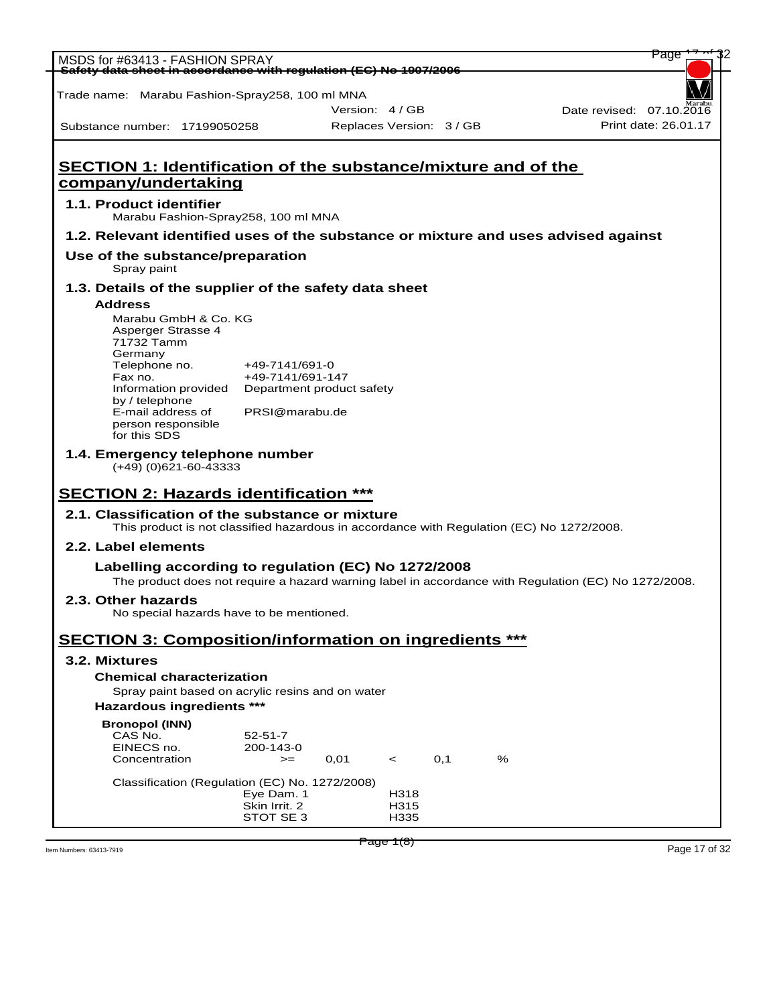| MSDS for #63413 - FASHION SPRAY                                                                                                              |                                               |                          |              |     |   | rage                                                                                                 |
|----------------------------------------------------------------------------------------------------------------------------------------------|-----------------------------------------------|--------------------------|--------------|-----|---|------------------------------------------------------------------------------------------------------|
| Safety data sheet in accordance with regulation (EC) No 1907/2006                                                                            |                                               |                          |              |     |   |                                                                                                      |
| Trade name: Marabu Fashion-Spray258, 100 ml MNA                                                                                              |                                               |                          |              |     |   |                                                                                                      |
| Substance number: 17199050258                                                                                                                |                                               | Version: 4/GB            |              |     |   | Date revised: 07.10.2016<br>Print date: 26.01.17                                                     |
|                                                                                                                                              |                                               | Replaces Version: 3 / GB |              |     |   |                                                                                                      |
| <b>SECTION 1: Identification of the substance/mixture and of the</b>                                                                         |                                               |                          |              |     |   |                                                                                                      |
| company/undertaking                                                                                                                          |                                               |                          |              |     |   |                                                                                                      |
| 1.1. Product identifier<br>Marabu Fashion-Spray258, 100 ml MNA                                                                               |                                               |                          |              |     |   |                                                                                                      |
| 1.2. Relevant identified uses of the substance or mixture and uses advised against                                                           |                                               |                          |              |     |   |                                                                                                      |
| Use of the substance/preparation<br>Spray paint                                                                                              |                                               |                          |              |     |   |                                                                                                      |
| 1.3. Details of the supplier of the safety data sheet                                                                                        |                                               |                          |              |     |   |                                                                                                      |
| <b>Address</b>                                                                                                                               |                                               |                          |              |     |   |                                                                                                      |
| Marabu GmbH & Co. KG<br>Asperger Strasse 4                                                                                                   |                                               |                          |              |     |   |                                                                                                      |
| 71732 Tamm<br>Germany                                                                                                                        |                                               |                          |              |     |   |                                                                                                      |
| Telephone no.                                                                                                                                | +49-7141/691-0                                |                          |              |     |   |                                                                                                      |
| Fax no.<br>Information provided                                                                                                              | +49-7141/691-147<br>Department product safety |                          |              |     |   |                                                                                                      |
| by / telephone<br>E-mail address of                                                                                                          | PRSI@marabu.de                                |                          |              |     |   |                                                                                                      |
| person responsible<br>for this SDS                                                                                                           |                                               |                          |              |     |   |                                                                                                      |
| 1.4. Emergency telephone number<br>$(+49)$ (0)621-60-43333                                                                                   |                                               |                          |              |     |   |                                                                                                      |
| <b>SECTION 2: Hazards identification ***</b>                                                                                                 |                                               |                          |              |     |   |                                                                                                      |
| 2.1. Classification of the substance or mixture<br>This product is not classified hazardous in accordance with Regulation (EC) No 1272/2008. |                                               |                          |              |     |   |                                                                                                      |
| 2.2. Label elements                                                                                                                          |                                               |                          |              |     |   |                                                                                                      |
| Labelling according to regulation (EC) No 1272/2008                                                                                          |                                               |                          |              |     |   | The product does not require a hazard warning label in accordance with Regulation (EC) No 1272/2008. |
| 2.3. Other hazards<br>No special hazards have to be mentioned.                                                                               |                                               |                          |              |     |   |                                                                                                      |
| <b>SECTION 3: Composition/information on ingredients ***</b>                                                                                 |                                               |                          |              |     |   |                                                                                                      |
| 3.2. Mixtures                                                                                                                                |                                               |                          |              |     |   |                                                                                                      |
| <b>Chemical characterization</b>                                                                                                             |                                               |                          |              |     |   |                                                                                                      |
| Spray paint based on acrylic resins and on water                                                                                             |                                               |                          |              |     |   |                                                                                                      |
|                                                                                                                                              |                                               |                          |              |     |   |                                                                                                      |
| Hazardous ingredients ***                                                                                                                    |                                               |                          |              |     |   |                                                                                                      |
| <b>Bronopol (INN)</b><br>CAS No.                                                                                                             | $52 - 51 - 7$                                 |                          |              |     |   |                                                                                                      |
| EINECS no.<br>Concentration                                                                                                                  | 200-143-0<br>$>=$                             | 0,01                     | $\prec$      | 0,1 | % |                                                                                                      |
|                                                                                                                                              |                                               |                          |              |     |   |                                                                                                      |
| Classification (Regulation (EC) No. 1272/2008)                                                                                               | Eye Dam. 1                                    |                          | H318         |     |   |                                                                                                      |
|                                                                                                                                              | Skin Irrit. 2<br>STOT SE 3                    |                          | H315<br>H335 |     |   |                                                                                                      |
|                                                                                                                                              |                                               |                          | Page 1(8)    |     |   | Page 17 of 32                                                                                        |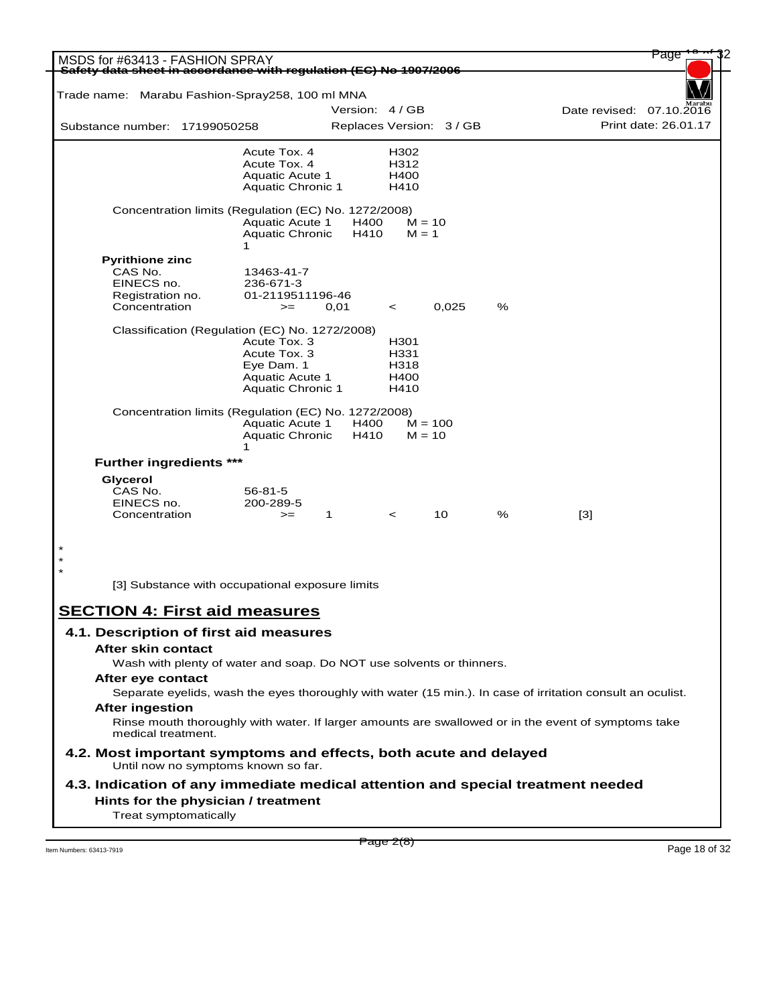| MSDS for #63413 - FASHION SPRAY                                                                                           |                                        |                          |              |       |   |                          | Page                 |
|---------------------------------------------------------------------------------------------------------------------------|----------------------------------------|--------------------------|--------------|-------|---|--------------------------|----------------------|
| Safety data sheet in accordance with regulation (EC) No 1907/2006                                                         |                                        |                          |              |       |   |                          |                      |
| Trade name: Marabu Fashion-Spray258, 100 ml MNA                                                                           |                                        |                          |              |       |   |                          |                      |
|                                                                                                                           |                                        | Version: 4/GB            |              |       |   | Date revised: 07.10.2016 |                      |
| Substance number: 17199050258                                                                                             |                                        | Replaces Version: 3 / GB |              |       |   |                          | Print date: 26.01.17 |
|                                                                                                                           | Acute Tox. 4                           |                          | H302         |       |   |                          |                      |
|                                                                                                                           | Acute Tox. 4<br><b>Aquatic Acute 1</b> |                          | H312<br>H400 |       |   |                          |                      |
|                                                                                                                           | <b>Aquatic Chronic 1</b>               |                          | H410         |       |   |                          |                      |
| Concentration limits (Regulation (EC) No. 1272/2008)                                                                      |                                        |                          |              |       |   |                          |                      |
|                                                                                                                           | <b>Aquatic Acute 1</b>                 | H400                     | $M = 10$     |       |   |                          |                      |
|                                                                                                                           | <b>Aquatic Chronic</b><br>1            | H410                     | $M = 1$      |       |   |                          |                      |
| <b>Pyrithione zinc</b>                                                                                                    |                                        |                          |              |       |   |                          |                      |
| CAS No.                                                                                                                   | 13463-41-7                             |                          |              |       |   |                          |                      |
| EINECS no.                                                                                                                | 236-671-3<br>01-2119511196-46          |                          |              |       |   |                          |                      |
| Registration no.<br>Concentration                                                                                         | $>=$                                   | 0,01                     | $\,<\,$      | 0,025 | % |                          |                      |
|                                                                                                                           |                                        |                          |              |       |   |                          |                      |
| Classification (Regulation (EC) No. 1272/2008)                                                                            |                                        |                          |              |       |   |                          |                      |
|                                                                                                                           | Acute Tox. 3<br>Acute Tox. 3           |                          | H301<br>H331 |       |   |                          |                      |
|                                                                                                                           | Eye Dam. 1                             |                          | H318         |       |   |                          |                      |
|                                                                                                                           | <b>Aquatic Acute 1</b>                 |                          | H400         |       |   |                          |                      |
|                                                                                                                           | <b>Aquatic Chronic 1</b>               |                          | H410         |       |   |                          |                      |
| Concentration limits (Regulation (EC) No. 1272/2008)                                                                      |                                        |                          |              |       |   |                          |                      |
|                                                                                                                           | <b>Aquatic Acute 1</b>                 | H400                     | $M = 100$    |       |   |                          |                      |
|                                                                                                                           | <b>Aquatic Chronic</b><br>1            | H410                     | $M = 10$     |       |   |                          |                      |
| <b>Further ingredients ***</b>                                                                                            |                                        |                          |              |       |   |                          |                      |
| Glycerol                                                                                                                  |                                        |                          |              |       |   |                          |                      |
| CAS No.                                                                                                                   | $56 - 81 - 5$                          |                          |              |       |   |                          |                      |
| EINECS no.<br>Concentration                                                                                               | 200-289-5                              | 1                        |              | 10    | % |                          |                      |
|                                                                                                                           | $>=$                                   |                          | $\,<\,$      |       |   | $[3]$                    |                      |
|                                                                                                                           |                                        |                          |              |       |   |                          |                      |
|                                                                                                                           |                                        |                          |              |       |   |                          |                      |
| [3] Substance with occupational exposure limits                                                                           |                                        |                          |              |       |   |                          |                      |
|                                                                                                                           |                                        |                          |              |       |   |                          |                      |
| <b>SECTION 4: First aid measures</b>                                                                                      |                                        |                          |              |       |   |                          |                      |
| 4.1. Description of first aid measures                                                                                    |                                        |                          |              |       |   |                          |                      |
| After skin contact                                                                                                        |                                        |                          |              |       |   |                          |                      |
| Wash with plenty of water and soap. Do NOT use solvents or thinners.                                                      |                                        |                          |              |       |   |                          |                      |
| After eye contact                                                                                                         |                                        |                          |              |       |   |                          |                      |
| Separate eyelids, wash the eyes thoroughly with water (15 min.). In case of irritation consult an oculist.                |                                        |                          |              |       |   |                          |                      |
| <b>After ingestion</b>                                                                                                    |                                        |                          |              |       |   |                          |                      |
| Rinse mouth thoroughly with water. If larger amounts are swallowed or in the event of symptoms take<br>medical treatment. |                                        |                          |              |       |   |                          |                      |
|                                                                                                                           |                                        |                          |              |       |   |                          |                      |
| 4.2. Most important symptoms and effects, both acute and delayed<br>Until now no symptoms known so far.                   |                                        |                          |              |       |   |                          |                      |
|                                                                                                                           |                                        |                          |              |       |   |                          |                      |
| 4.3. Indication of any immediate medical attention and special treatment needed<br>Hints for the physician / treatment    |                                        |                          |              |       |   |                          |                      |

 $P \cdot \text{age } 2(8)$  Item Numbers: 63413-7919 Page 18 of 32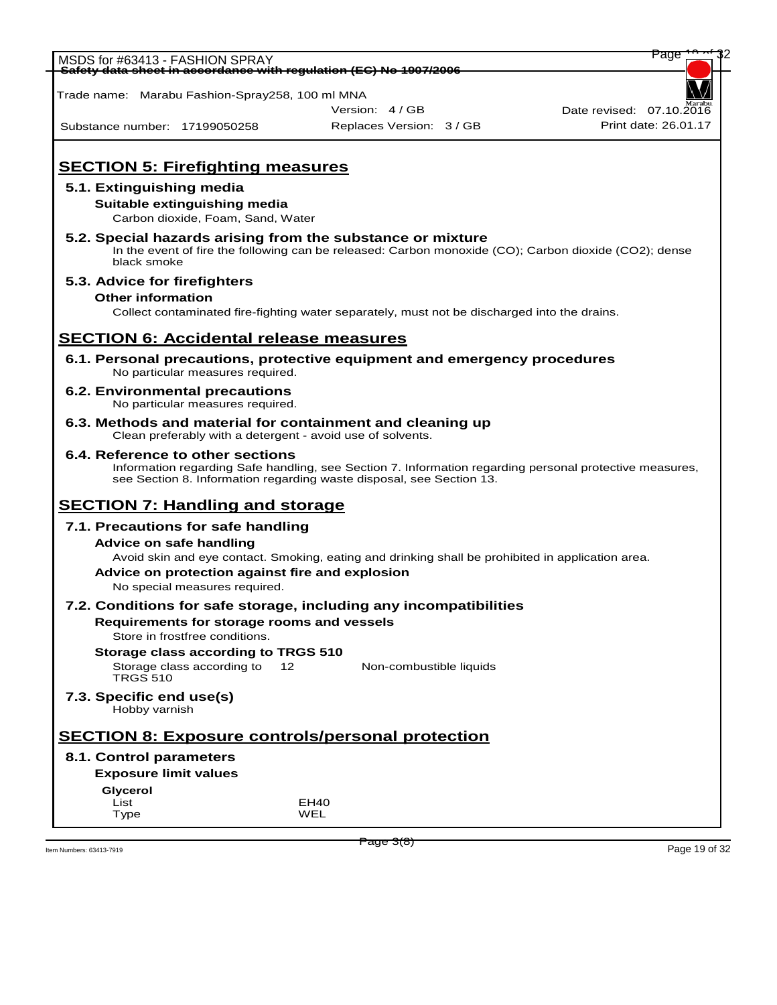| MSDS for #63413 - FASHION SPRAY                 |                                   |                                                                                                         | Page                                             |
|-------------------------------------------------|-----------------------------------|---------------------------------------------------------------------------------------------------------|--------------------------------------------------|
|                                                 |                                   | <del>Safety data sheet in accordance with regulation (EC) No 1907/2006</del>                            |                                                  |
|                                                 |                                   |                                                                                                         |                                                  |
| Trade name: Marabu Fashion-Spray258, 100 ml MNA |                                   |                                                                                                         |                                                  |
|                                                 |                                   | Version: 4 / GB                                                                                         | Date revised: 07.10.2016<br>Print date: 26.01.17 |
| Substance number: 17199050258                   |                                   | Replaces Version: 3 / GB                                                                                |                                                  |
|                                                 |                                   |                                                                                                         |                                                  |
| <b>SECTION 5: Firefighting measures</b>         |                                   |                                                                                                         |                                                  |
| 5.1. Extinguishing media                        |                                   |                                                                                                         |                                                  |
| Suitable extinguishing media                    |                                   |                                                                                                         |                                                  |
|                                                 | Carbon dioxide, Foam, Sand, Water |                                                                                                         |                                                  |
|                                                 |                                   | 5.2. Special hazards arising from the substance or mixture                                              |                                                  |
|                                                 |                                   | In the event of fire the following can be released: Carbon monoxide (CO); Carbon dioxide (CO2); dense   |                                                  |
| black smoke                                     |                                   |                                                                                                         |                                                  |
| 5.3. Advice for firefighters                    |                                   |                                                                                                         |                                                  |
| <b>Other information</b>                        |                                   |                                                                                                         |                                                  |
|                                                 |                                   | Collect contaminated fire-fighting water separately, must not be discharged into the drains.            |                                                  |
|                                                 |                                   |                                                                                                         |                                                  |
| <b>SECTION 6: Accidental release measures</b>   |                                   |                                                                                                         |                                                  |
|                                                 |                                   | 6.1. Personal precautions, protective equipment and emergency procedures                                |                                                  |
|                                                 | No particular measures required.  |                                                                                                         |                                                  |
| 6.2. Environmental precautions                  |                                   |                                                                                                         |                                                  |
|                                                 | No particular measures required.  |                                                                                                         |                                                  |
|                                                 |                                   | 6.3. Methods and material for containment and cleaning up                                               |                                                  |
|                                                 |                                   | Clean preferably with a detergent - avoid use of solvents.                                              |                                                  |
| 6.4. Reference to other sections                |                                   |                                                                                                         |                                                  |
|                                                 |                                   | Information regarding Safe handling, see Section 7. Information regarding personal protective measures, |                                                  |
|                                                 |                                   | see Section 8. Information regarding waste disposal, see Section 13.                                    |                                                  |
| <b>SECTION 7: Handling and storage</b>          |                                   |                                                                                                         |                                                  |
| 7.1. Precautions for safe handling              |                                   |                                                                                                         |                                                  |
| <b>Advice on safe handling</b>                  |                                   |                                                                                                         |                                                  |
|                                                 |                                   | Avoid skin and eye contact. Smoking, eating and drinking shall be prohibited in application area.       |                                                  |
|                                                 |                                   | Advice on protection against fire and explosion                                                         |                                                  |
|                                                 | No special measures required.     |                                                                                                         |                                                  |
|                                                 |                                   | 7.2. Conditions for safe storage, including any incompatibilities                                       |                                                  |
|                                                 |                                   | Requirements for storage rooms and vessels                                                              |                                                  |
| Store in frostfree conditions.                  |                                   |                                                                                                         |                                                  |
| Storage class according to TRGS 510             |                                   |                                                                                                         |                                                  |
| Storage class according to                      | $12 \overline{ }$                 | Non-combustible liquids                                                                                 |                                                  |
| <b>TRGS 510</b>                                 |                                   |                                                                                                         |                                                  |
| 7.3. Specific end use(s)                        |                                   |                                                                                                         |                                                  |
| Hobby varnish                                   |                                   |                                                                                                         |                                                  |
|                                                 |                                   |                                                                                                         |                                                  |
|                                                 |                                   | <b>SECTION 8: Exposure controls/personal protection</b>                                                 |                                                  |
| 8.1. Control parameters                         |                                   |                                                                                                         |                                                  |
| <b>Exposure limit values</b>                    |                                   |                                                                                                         |                                                  |
| <b>Glycerol</b>                                 |                                   |                                                                                                         |                                                  |
| List<br>Type                                    |                                   | EH40<br>WEL                                                                                             |                                                  |
|                                                 |                                   |                                                                                                         |                                                  |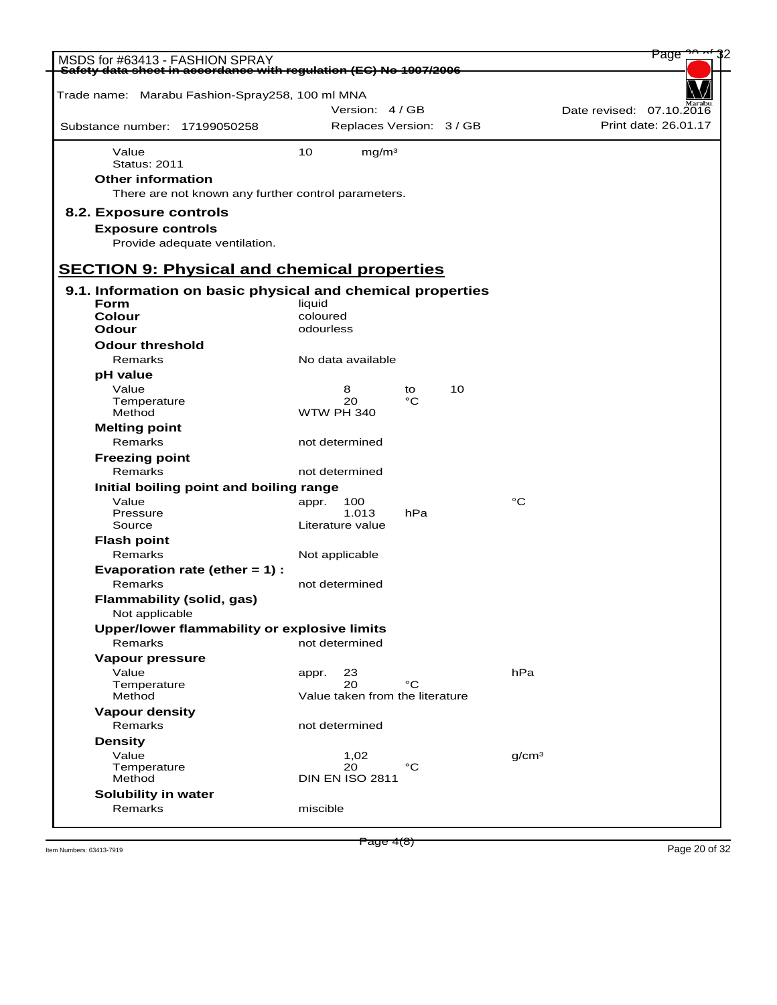| MSDS for #63413 - FASHION SPRAY                                   |           |                                       |     |    |                   | Page                                             |  |
|-------------------------------------------------------------------|-----------|---------------------------------------|-----|----|-------------------|--------------------------------------------------|--|
| Safety data sheet in accordance with regulation (EC) No 1907/2006 |           |                                       |     |    |                   |                                                  |  |
| Trade name: Marabu Fashion-Spray258, 100 ml MNA                   |           |                                       |     |    |                   |                                                  |  |
|                                                                   |           | Version: 4/GB                         |     |    |                   |                                                  |  |
|                                                                   |           |                                       |     |    |                   | Date revised: 07.10.2016<br>Print date: 26.01.17 |  |
| Substance number: 17199050258                                     |           | Replaces Version: 3 / GB              |     |    |                   |                                                  |  |
| Value                                                             | 10        | mg/m <sup>3</sup>                     |     |    |                   |                                                  |  |
| <b>Status: 2011</b>                                               |           |                                       |     |    |                   |                                                  |  |
| <b>Other information</b>                                          |           |                                       |     |    |                   |                                                  |  |
| There are not known any further control parameters.               |           |                                       |     |    |                   |                                                  |  |
| 8.2. Exposure controls                                            |           |                                       |     |    |                   |                                                  |  |
| <b>Exposure controls</b>                                          |           |                                       |     |    |                   |                                                  |  |
| Provide adequate ventilation.                                     |           |                                       |     |    |                   |                                                  |  |
|                                                                   |           |                                       |     |    |                   |                                                  |  |
| <b>SECTION 9: Physical and chemical properties</b>                |           |                                       |     |    |                   |                                                  |  |
| 9.1. Information on basic physical and chemical properties        |           |                                       |     |    |                   |                                                  |  |
| <b>Form</b>                                                       | liquid    |                                       |     |    |                   |                                                  |  |
| <b>Colour</b>                                                     | coloured  |                                       |     |    |                   |                                                  |  |
| Odour                                                             | odourless |                                       |     |    |                   |                                                  |  |
| <b>Odour threshold</b>                                            |           |                                       |     |    |                   |                                                  |  |
| Remarks                                                           |           | No data available                     |     |    |                   |                                                  |  |
| pH value                                                          |           |                                       |     |    |                   |                                                  |  |
| Value                                                             |           | 8                                     | to  | 10 |                   |                                                  |  |
| Temperature                                                       |           | 20                                    | °C  |    |                   |                                                  |  |
| Method                                                            |           | <b>WTW PH 340</b>                     |     |    |                   |                                                  |  |
| <b>Melting point</b>                                              |           |                                       |     |    |                   |                                                  |  |
| Remarks                                                           |           | not determined                        |     |    |                   |                                                  |  |
| <b>Freezing point</b>                                             |           |                                       |     |    |                   |                                                  |  |
| Remarks                                                           |           | not determined                        |     |    |                   |                                                  |  |
| Initial boiling point and boiling range                           |           |                                       |     |    |                   |                                                  |  |
| Value<br>Pressure                                                 | appr.     | 100<br>1.013                          | hPa |    | $^{\circ}C$       |                                                  |  |
| Source                                                            |           | Literature value                      |     |    |                   |                                                  |  |
| <b>Flash point</b>                                                |           |                                       |     |    |                   |                                                  |  |
| Remarks                                                           |           | Not applicable                        |     |    |                   |                                                  |  |
| Evaporation rate (ether $= 1$ ) :                                 |           |                                       |     |    |                   |                                                  |  |
| Remarks                                                           |           | not determined                        |     |    |                   |                                                  |  |
| <b>Flammability (solid, gas)</b>                                  |           |                                       |     |    |                   |                                                  |  |
| Not applicable                                                    |           |                                       |     |    |                   |                                                  |  |
| Upper/lower flammability or explosive limits                      |           |                                       |     |    |                   |                                                  |  |
| Remarks                                                           |           | not determined                        |     |    |                   |                                                  |  |
| Vapour pressure                                                   |           |                                       |     |    |                   |                                                  |  |
| Value                                                             | appr.     | 23                                    |     |    | hPa               |                                                  |  |
| Temperature                                                       |           | 20<br>Value taken from the literature | °C  |    |                   |                                                  |  |
| Method                                                            |           |                                       |     |    |                   |                                                  |  |
| <b>Vapour density</b><br>Remarks                                  |           | not determined                        |     |    |                   |                                                  |  |
| <b>Density</b>                                                    |           |                                       |     |    |                   |                                                  |  |
| Value                                                             |           | 1,02                                  |     |    | q/cm <sup>3</sup> |                                                  |  |
| Temperature                                                       |           | 20                                    | °C  |    |                   |                                                  |  |
| Method                                                            |           | <b>DIN EN ISO 2811</b>                |     |    |                   |                                                  |  |
| Solubility in water                                               |           |                                       |     |    |                   |                                                  |  |
| Remarks                                                           | miscible  |                                       |     |    |                   |                                                  |  |
|                                                                   |           |                                       |     |    |                   |                                                  |  |

Item Numbers: 63413-7919 **Page 20 of 32** Page 20 of 32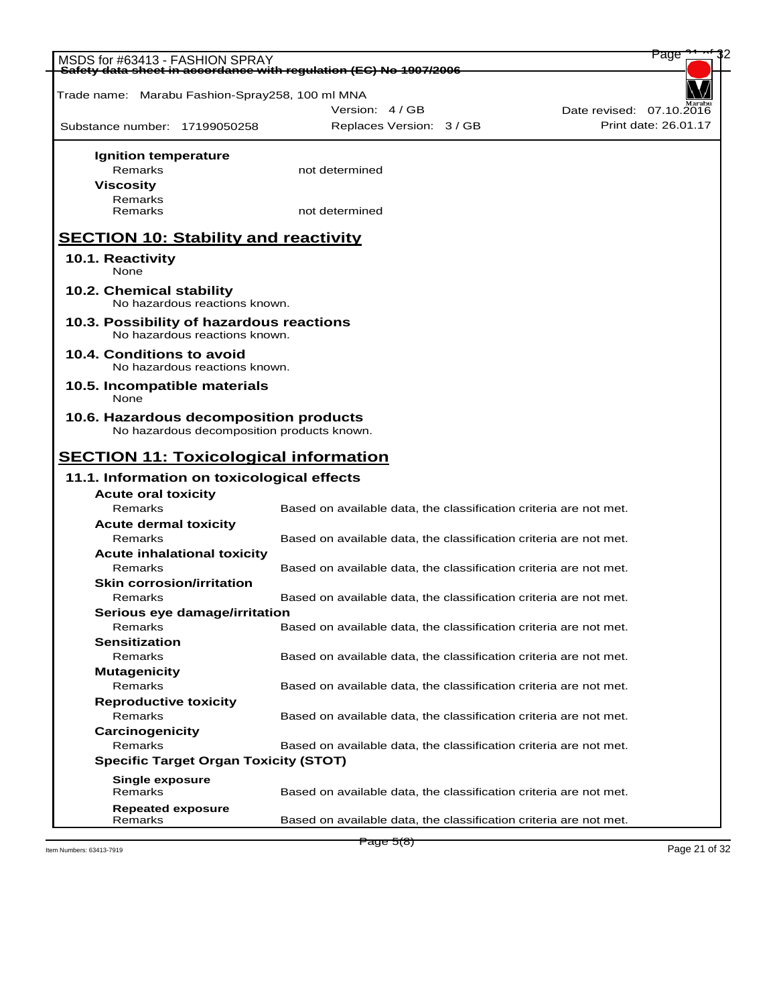| MSDS for #63413 - FASHION SPRAY                                   |                                                                   | Page                 |
|-------------------------------------------------------------------|-------------------------------------------------------------------|----------------------|
| Safety data sheet in accordance with requlation (EC) No 1907/2006 |                                                                   |                      |
| Trade name: Marabu Fashion-Spray258, 100 ml MNA                   |                                                                   |                      |
|                                                                   | Version: 4 / GB<br>Date revised: 07.10.2016                       |                      |
| Substance number: 17199050258                                     | Replaces Version: 3 / GB                                          | Print date: 26.01.17 |
|                                                                   |                                                                   |                      |
| <b>Ignition temperature</b>                                       |                                                                   |                      |
| Remarks                                                           | not determined                                                    |                      |
| <b>Viscosity</b>                                                  |                                                                   |                      |
| Remarks                                                           |                                                                   |                      |
| Remarks                                                           | not determined                                                    |                      |
|                                                                   |                                                                   |                      |
| <b>SECTION 10: Stability and reactivity</b>                       |                                                                   |                      |
| 10.1. Reactivity                                                  |                                                                   |                      |
| None                                                              |                                                                   |                      |
| 10.2. Chemical stability                                          |                                                                   |                      |
| No hazardous reactions known.                                     |                                                                   |                      |
| 10.3. Possibility of hazardous reactions                          |                                                                   |                      |
| No hazardous reactions known.                                     |                                                                   |                      |
| 10.4. Conditions to avoid                                         |                                                                   |                      |
| No hazardous reactions known.                                     |                                                                   |                      |
| 10.5. Incompatible materials                                      |                                                                   |                      |
| None                                                              |                                                                   |                      |
| 10.6. Hazardous decomposition products                            |                                                                   |                      |
| No hazardous decomposition products known.                        |                                                                   |                      |
|                                                                   |                                                                   |                      |
| <b>SECTION 11: Toxicological information</b>                      |                                                                   |                      |
|                                                                   |                                                                   |                      |
|                                                                   |                                                                   |                      |
| 11.1. Information on toxicological effects                        |                                                                   |                      |
| <b>Acute oral toxicity</b><br>Remarks                             | Based on available data, the classification criteria are not met. |                      |
| <b>Acute dermal toxicity</b>                                      |                                                                   |                      |
| Remarks                                                           | Based on available data, the classification criteria are not met. |                      |
| <b>Acute inhalational toxicity</b>                                |                                                                   |                      |
| Remarks                                                           | Based on available data, the classification criteria are not met. |                      |
| <b>Skin corrosion/irritation</b>                                  |                                                                   |                      |
| Remarks                                                           | Based on available data, the classification criteria are not met. |                      |
| Serious eye damage/irritation                                     |                                                                   |                      |
| Remarks                                                           | Based on available data, the classification criteria are not met. |                      |
| <b>Sensitization</b>                                              |                                                                   |                      |
| Remarks                                                           | Based on available data, the classification criteria are not met. |                      |
| <b>Mutagenicity</b>                                               |                                                                   |                      |
| Remarks                                                           | Based on available data, the classification criteria are not met. |                      |
| <b>Reproductive toxicity</b>                                      |                                                                   |                      |
| Remarks                                                           | Based on available data, the classification criteria are not met. |                      |
| Carcinogenicity                                                   |                                                                   |                      |
| Remarks                                                           | Based on available data, the classification criteria are not met. |                      |
| <b>Specific Target Organ Toxicity (STOT)</b>                      |                                                                   |                      |
| <b>Single exposure</b>                                            |                                                                   |                      |
| Remarks                                                           | Based on available data, the classification criteria are not met. |                      |
| <b>Repeated exposure</b><br>Remarks                               | Based on available data, the classification criteria are not met. |                      |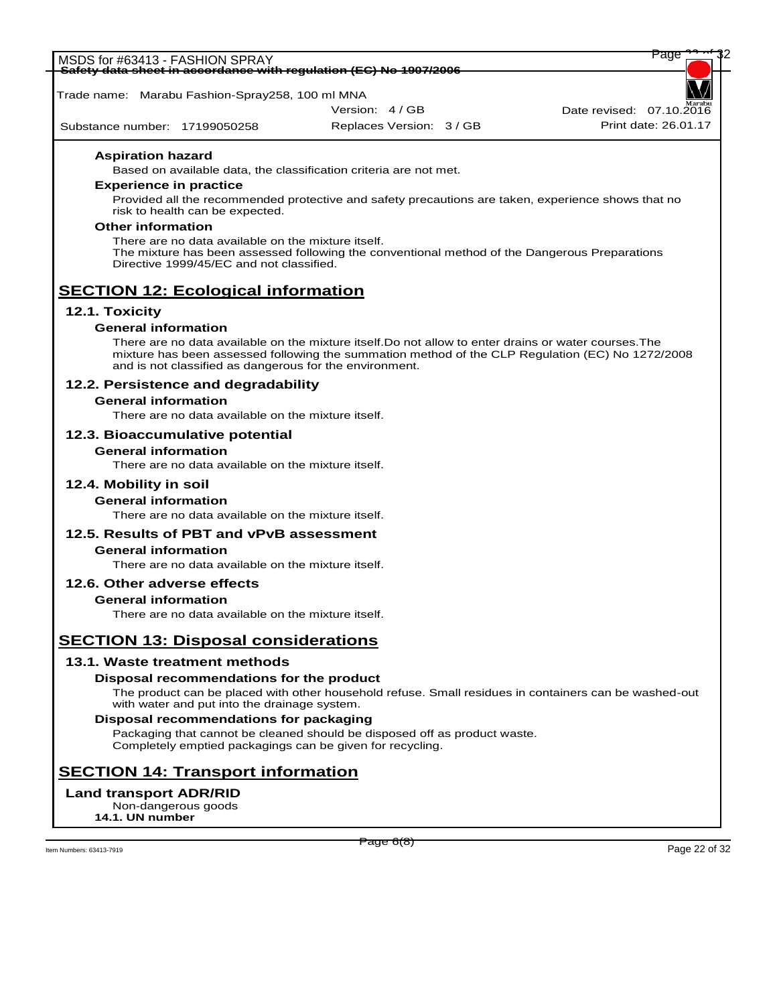| -Safety data sheet in accordance with regulation (EC) No 1907/2006                            |                                                                                                    |                                   |
|-----------------------------------------------------------------------------------------------|----------------------------------------------------------------------------------------------------|-----------------------------------|
| Trade name: Marabu Fashion-Spray258, 100 ml MNA                                               |                                                                                                    |                                   |
|                                                                                               | Version: 4 / GB                                                                                    | Marab<br>Date revised: 07.10.2016 |
| Substance number: 17199050258                                                                 | Replaces Version: 3 / GB                                                                           | Print date: 26.01.17              |
| <b>Aspiration hazard</b><br>Based on available data, the classification criteria are not met. |                                                                                                    |                                   |
| <b>Experience in practice</b>                                                                 |                                                                                                    |                                   |
| risk to health can be expected.                                                               | Provided all the recommended protective and safety precautions are taken, experience shows that no |                                   |

MSDS for #63413 - FASHION SPRAY Page 22 of 32 of 32 of 32 of 32 of 32 of 32 of 32 of 32 of 32 of 32 of 32 of 3

#### **Other information**

There are no data available on the mixture itself. The mixture has been assessed following the conventional method of the Dangerous Preparations Directive 1999/45/EC and not classified.

# **SECTION 12: Ecological information**

## **12.1. Toxicity**

# **General information**

There are no data available on the mixture itself.Do not allow to enter drains or water courses.The mixture has been assessed following the summation method of the CLP Regulation (EC) No 1272/2008 and is not classified as dangerous for the environment.

### **12.2. Persistence and degradability**

#### **General information**

There are no data available on the mixture itself.

### **12.3. Bioaccumulative potential**

#### **General information**

There are no data available on the mixture itself.

#### **12.4. Mobility in soil**

#### **General information**

There are no data available on the mixture itself.

#### **12.5. Results of PBT and vPvB assessment**

## **General information**

There are no data available on the mixture itself.

#### **12.6. Other adverse effects**

#### **General information**

There are no data available on the mixture itself.

# **SECTION 13: Disposal considerations**

#### **13.1. Waste treatment methods**

#### **Disposal recommendations for the product**

The product can be placed with other household refuse. Small residues in containers can be washed-out with water and put into the drainage system.

#### **Disposal recommendations for packaging**

Packaging that cannot be cleaned should be disposed off as product waste. Completely emptied packagings can be given for recycling.

# **SECTION 14: Transport information**

# **Land transport ADR/RID**

Non-dangerous goods **14.1. UN number**

Item Numbers: 63413-7919 Page 22 of 32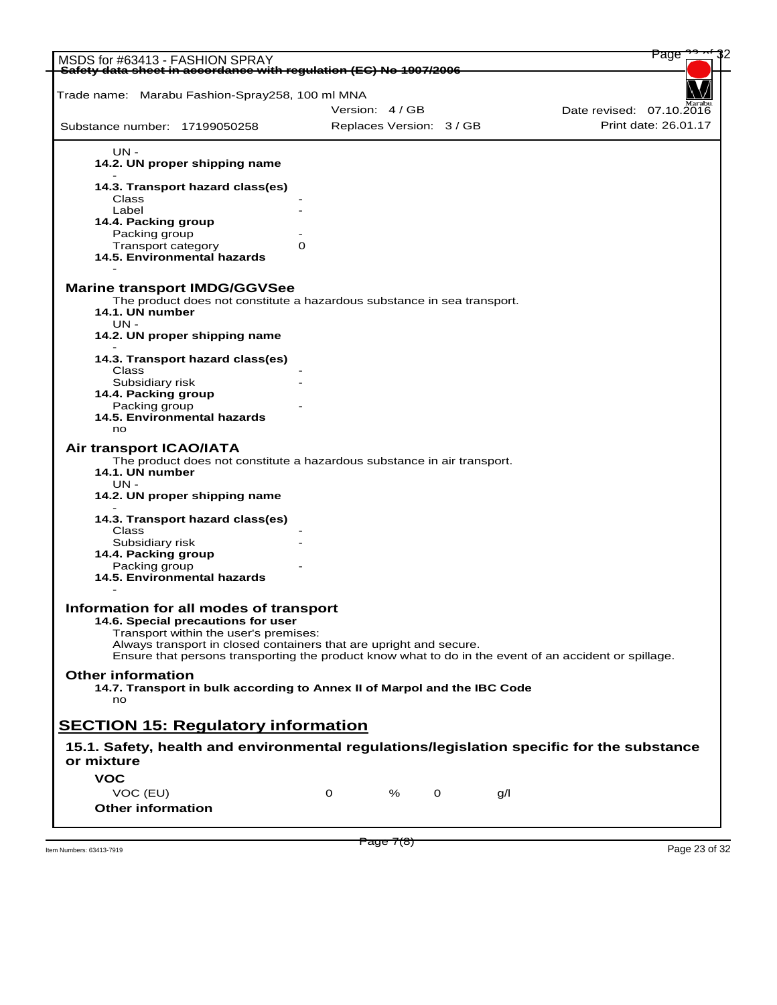| MSDS for #63413 - FASHION SPRAY                                                                                                                                                                                                                                                                      |   |                          |   |   |     | Page                     |  |
|------------------------------------------------------------------------------------------------------------------------------------------------------------------------------------------------------------------------------------------------------------------------------------------------------|---|--------------------------|---|---|-----|--------------------------|--|
| Safety data sheet in accordance with regulation (EC) No 1907/2006                                                                                                                                                                                                                                    |   |                          |   |   |     |                          |  |
|                                                                                                                                                                                                                                                                                                      |   |                          |   |   |     |                          |  |
| Trade name: Marabu Fashion-Spray258, 100 ml MNA                                                                                                                                                                                                                                                      |   |                          |   |   |     |                          |  |
|                                                                                                                                                                                                                                                                                                      |   | Version: 4/GB            |   |   |     | Date revised: 07.10.2016 |  |
| Substance number: 17199050258                                                                                                                                                                                                                                                                        |   | Replaces Version: 3 / GB |   |   |     | Print date: 26.01.17     |  |
| UN -                                                                                                                                                                                                                                                                                                 |   |                          |   |   |     |                          |  |
| 14.2. UN proper shipping name                                                                                                                                                                                                                                                                        |   |                          |   |   |     |                          |  |
| 14.3. Transport hazard class(es)                                                                                                                                                                                                                                                                     |   |                          |   |   |     |                          |  |
| Class                                                                                                                                                                                                                                                                                                |   |                          |   |   |     |                          |  |
| Label<br>14.4. Packing group                                                                                                                                                                                                                                                                         |   |                          |   |   |     |                          |  |
| Packing group                                                                                                                                                                                                                                                                                        |   |                          |   |   |     |                          |  |
| Transport category                                                                                                                                                                                                                                                                                   | 0 |                          |   |   |     |                          |  |
| 14.5. Environmental hazards                                                                                                                                                                                                                                                                          |   |                          |   |   |     |                          |  |
| <b>Marine transport IMDG/GGVSee</b><br>The product does not constitute a hazardous substance in sea transport.                                                                                                                                                                                       |   |                          |   |   |     |                          |  |
| 14.1. UN number<br>$UN -$                                                                                                                                                                                                                                                                            |   |                          |   |   |     |                          |  |
| 14.2. UN proper shipping name                                                                                                                                                                                                                                                                        |   |                          |   |   |     |                          |  |
| 14.3. Transport hazard class(es)<br>Class                                                                                                                                                                                                                                                            |   |                          |   |   |     |                          |  |
| Subsidiary risk                                                                                                                                                                                                                                                                                      |   |                          |   |   |     |                          |  |
| 14.4. Packing group                                                                                                                                                                                                                                                                                  |   |                          |   |   |     |                          |  |
| Packing group                                                                                                                                                                                                                                                                                        |   |                          |   |   |     |                          |  |
| 14.5. Environmental hazards<br>no                                                                                                                                                                                                                                                                    |   |                          |   |   |     |                          |  |
| Air transport ICAO/IATA<br>The product does not constitute a hazardous substance in air transport.<br>14.1. UN number<br>UN -<br>14.2. UN proper shipping name                                                                                                                                       |   |                          |   |   |     |                          |  |
| 14.3. Transport hazard class(es)                                                                                                                                                                                                                                                                     |   |                          |   |   |     |                          |  |
| Class                                                                                                                                                                                                                                                                                                |   |                          |   |   |     |                          |  |
| Subsidiary risk                                                                                                                                                                                                                                                                                      |   |                          |   |   |     |                          |  |
| 14.4. Packing group                                                                                                                                                                                                                                                                                  |   |                          |   |   |     |                          |  |
| Packing group<br>14.5. Environmental hazards                                                                                                                                                                                                                                                         |   |                          |   |   |     |                          |  |
| Information for all modes of transport<br>14.6. Special precautions for user<br>Transport within the user's premises:<br>Always transport in closed containers that are upright and secure.<br>Ensure that persons transporting the product know what to do in the event of an accident or spillage. |   |                          |   |   |     |                          |  |
| <b>Other information</b><br>14.7. Transport in bulk according to Annex II of Marpol and the IBC Code                                                                                                                                                                                                 |   |                          |   |   |     |                          |  |
| no                                                                                                                                                                                                                                                                                                   |   |                          |   |   |     |                          |  |
| <b>SECTION 15: Regulatory information</b>                                                                                                                                                                                                                                                            |   |                          |   |   |     |                          |  |
| 15.1. Safety, health and environmental regulations/legislation specific for the substance<br>or mixture                                                                                                                                                                                              |   |                          |   |   |     |                          |  |
| <b>VOC</b>                                                                                                                                                                                                                                                                                           |   |                          |   |   |     |                          |  |
| VOC (EU)                                                                                                                                                                                                                                                                                             | 0 |                          | % | 0 | q/l |                          |  |
| <b>Other information</b>                                                                                                                                                                                                                                                                             |   |                          |   |   |     |                          |  |
|                                                                                                                                                                                                                                                                                                      |   |                          |   |   |     |                          |  |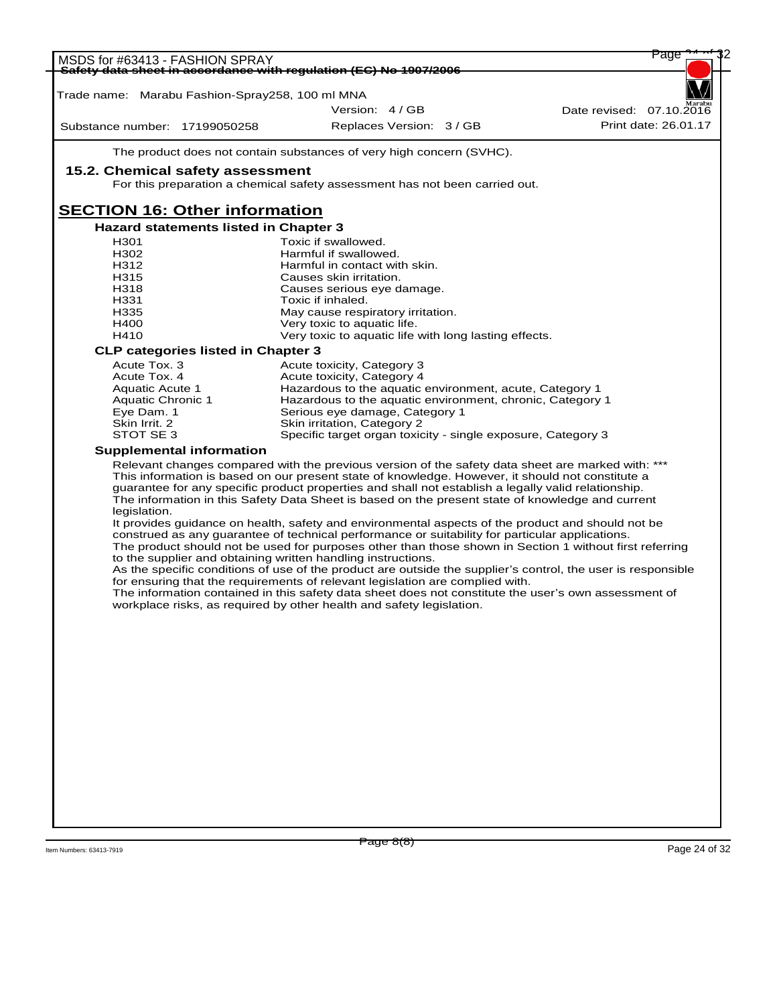| MSDS for #63413 - FASHION SPRAY                 |                                                                                                                                                                                                            | Page                     |
|-------------------------------------------------|------------------------------------------------------------------------------------------------------------------------------------------------------------------------------------------------------------|--------------------------|
|                                                 | Safety data sheet in accordance with requlation (EC) No 1907/2006                                                                                                                                          |                          |
|                                                 |                                                                                                                                                                                                            |                          |
| Trade name: Marabu Fashion-Spray258, 100 ml MNA |                                                                                                                                                                                                            |                          |
|                                                 | Version: 4/GB                                                                                                                                                                                              | Date revised: 07.10.2016 |
| Substance number: 17199050258                   | Replaces Version: 3 / GB                                                                                                                                                                                   | Print date: 26.01.17     |
|                                                 | The product does not contain substances of very high concern (SVHC).                                                                                                                                       |                          |
| 15.2. Chemical safety assessment                |                                                                                                                                                                                                            |                          |
|                                                 | For this preparation a chemical safety assessment has not been carried out.                                                                                                                                |                          |
|                                                 |                                                                                                                                                                                                            |                          |
| <b>SECTION 16: Other information</b>            |                                                                                                                                                                                                            |                          |
| <b>Hazard statements listed in Chapter 3</b>    |                                                                                                                                                                                                            |                          |
| H <sub>301</sub>                                | Toxic if swallowed.                                                                                                                                                                                        |                          |
| H <sub>302</sub><br>H312                        | Harmful if swallowed.<br>Harmful in contact with skin.                                                                                                                                                     |                          |
| H315                                            | Causes skin irritation.                                                                                                                                                                                    |                          |
| H318                                            | Causes serious eye damage.                                                                                                                                                                                 |                          |
| H331                                            | Toxic if inhaled.                                                                                                                                                                                          |                          |
| H335                                            | May cause respiratory irritation.                                                                                                                                                                          |                          |
| H400                                            | Very toxic to aquatic life.                                                                                                                                                                                |                          |
| H410                                            | Very toxic to aquatic life with long lasting effects.                                                                                                                                                      |                          |
| <b>CLP categories listed in Chapter 3</b>       |                                                                                                                                                                                                            |                          |
| Acute Tox. 3<br>Acute Tox. 4                    | Acute toxicity, Category 3<br>Acute toxicity, Category 4                                                                                                                                                   |                          |
| Aquatic Acute 1                                 | Hazardous to the aquatic environment, acute, Category 1                                                                                                                                                    |                          |
| <b>Aquatic Chronic 1</b>                        | Hazardous to the aquatic environment, chronic, Category 1                                                                                                                                                  |                          |
| Eye Dam. 1                                      | Serious eye damage, Category 1                                                                                                                                                                             |                          |
| Skin Irrit, 2                                   | Skin irritation, Category 2                                                                                                                                                                                |                          |
| STOT SE 3                                       | Specific target organ toxicity - single exposure, Category 3                                                                                                                                               |                          |
| <b>Supplemental information</b>                 |                                                                                                                                                                                                            |                          |
|                                                 | Relevant changes compared with the previous version of the safety data sheet are marked with: ***<br>This information is based on our present state of knowledge. However, it should not constitute a      |                          |
|                                                 | guarantee for any specific product properties and shall not establish a legally valid relationship.                                                                                                        |                          |
|                                                 | The information in this Safety Data Sheet is based on the present state of knowledge and current                                                                                                           |                          |
| legislation.                                    |                                                                                                                                                                                                            |                          |
|                                                 | It provides guidance on health, safety and environmental aspects of the product and should not be                                                                                                          |                          |
|                                                 | construed as any guarantee of technical performance or suitability for particular applications.<br>The product should not be used for purposes other than those shown in Section 1 without first referring |                          |
|                                                 | to the supplier and obtaining written handling instructions.                                                                                                                                               |                          |
|                                                 | As the specific conditions of use of the product are outside the supplier's control, the user is responsible                                                                                               |                          |
|                                                 | for ensuring that the requirements of relevant legislation are complied with.                                                                                                                              |                          |
|                                                 | The information contained in this safety data sheet does not constitute the user's own assessment of                                                                                                       |                          |
|                                                 | workplace risks, as required by other health and safety legislation.                                                                                                                                       |                          |
|                                                 |                                                                                                                                                                                                            |                          |
|                                                 |                                                                                                                                                                                                            |                          |
|                                                 |                                                                                                                                                                                                            |                          |
|                                                 |                                                                                                                                                                                                            |                          |
|                                                 |                                                                                                                                                                                                            |                          |
|                                                 |                                                                                                                                                                                                            |                          |
|                                                 |                                                                                                                                                                                                            |                          |
|                                                 |                                                                                                                                                                                                            |                          |
|                                                 |                                                                                                                                                                                                            |                          |
|                                                 |                                                                                                                                                                                                            |                          |
|                                                 |                                                                                                                                                                                                            |                          |
|                                                 |                                                                                                                                                                                                            |                          |
|                                                 |                                                                                                                                                                                                            |                          |
|                                                 |                                                                                                                                                                                                            |                          |
|                                                 |                                                                                                                                                                                                            |                          |

 $P \text{age } 8(8)$  Item Numbers: 63413-7919 Page 24 of 32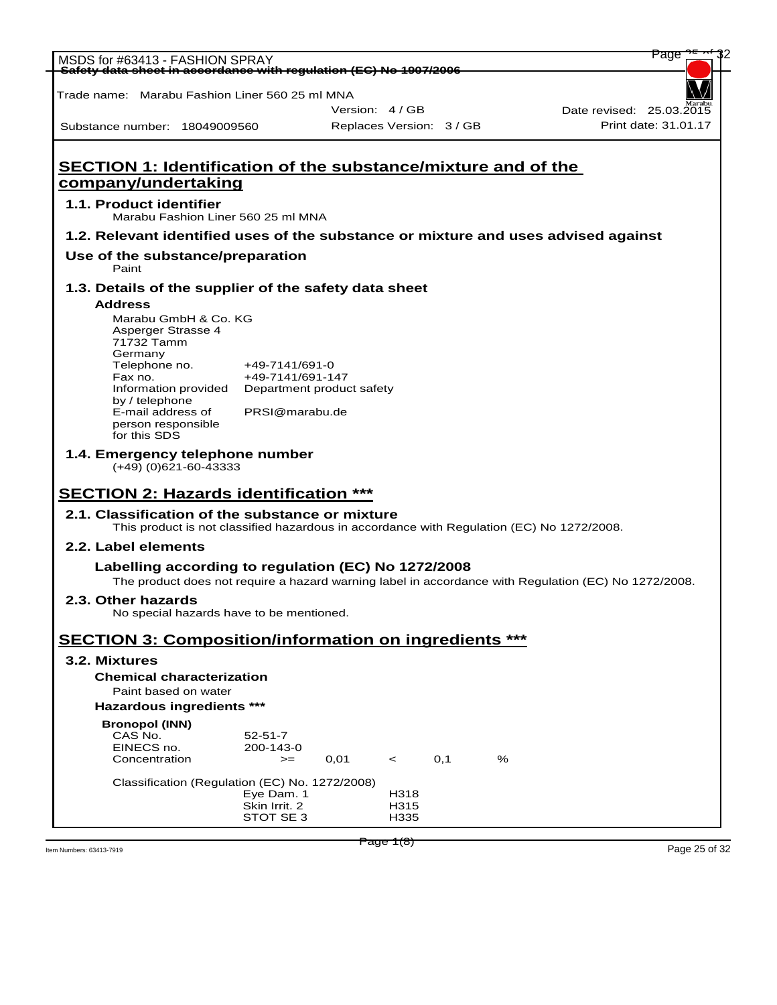| MSDS for #63413 - FASHION SPRAY                                                                      |                             |                          |              |     |   |                          | Page                 |
|------------------------------------------------------------------------------------------------------|-----------------------------|--------------------------|--------------|-----|---|--------------------------|----------------------|
| Safety data sheet in accordance with regulation (EC) No 1907/2006                                    |                             |                          |              |     |   |                          |                      |
| Trade name: Marabu Fashion Liner 560 25 ml MNA                                                       |                             |                          |              |     |   |                          |                      |
|                                                                                                      |                             | Version: 4 / GB          |              |     |   | Date revised: 25.03.2015 |                      |
| Substance number: 18049009560                                                                        |                             | Replaces Version: 3 / GB |              |     |   |                          | Print date: 31.01.17 |
|                                                                                                      |                             |                          |              |     |   |                          |                      |
| <b>SECTION 1: Identification of the substance/mixture and of the</b>                                 |                             |                          |              |     |   |                          |                      |
| company/undertaking                                                                                  |                             |                          |              |     |   |                          |                      |
| 1.1. Product identifier<br>Marabu Fashion Liner 560 25 ml MNA                                        |                             |                          |              |     |   |                          |                      |
| 1.2. Relevant identified uses of the substance or mixture and uses advised against                   |                             |                          |              |     |   |                          |                      |
| Use of the substance/preparation<br>Paint                                                            |                             |                          |              |     |   |                          |                      |
| 1.3. Details of the supplier of the safety data sheet                                                |                             |                          |              |     |   |                          |                      |
| <b>Address</b>                                                                                       |                             |                          |              |     |   |                          |                      |
| Marabu GmbH & Co. KG<br>Asperger Strasse 4                                                           |                             |                          |              |     |   |                          |                      |
| 71732 Tamm                                                                                           |                             |                          |              |     |   |                          |                      |
| Germany<br>Telephone no.                                                                             | +49-7141/691-0              |                          |              |     |   |                          |                      |
| Fax no.                                                                                              | +49-7141/691-147            |                          |              |     |   |                          |                      |
| Information provided<br>by / telephone                                                               | Department product safety   |                          |              |     |   |                          |                      |
| E-mail address of                                                                                    | PRSI@marabu.de              |                          |              |     |   |                          |                      |
| person responsible<br>for this SDS                                                                   |                             |                          |              |     |   |                          |                      |
| 1.4. Emergency telephone number                                                                      |                             |                          |              |     |   |                          |                      |
| $(+49)$ (0)621-60-43333                                                                              |                             |                          |              |     |   |                          |                      |
| <b>SECTION 2: Hazards identification ***</b>                                                         |                             |                          |              |     |   |                          |                      |
| 2.1. Classification of the substance or mixture                                                      |                             |                          |              |     |   |                          |                      |
| This product is not classified hazardous in accordance with Regulation (EC) No 1272/2008.            |                             |                          |              |     |   |                          |                      |
| 2.2. Label elements                                                                                  |                             |                          |              |     |   |                          |                      |
| Labelling according to regulation (EC) No 1272/2008                                                  |                             |                          |              |     |   |                          |                      |
| The product does not require a hazard warning label in accordance with Regulation (EC) No 1272/2008. |                             |                          |              |     |   |                          |                      |
| 2.3. Other hazards                                                                                   |                             |                          |              |     |   |                          |                      |
| No special hazards have to be mentioned.                                                             |                             |                          |              |     |   |                          |                      |
| <b>SECTION 3: Composition/information on ingredients ***</b>                                         |                             |                          |              |     |   |                          |                      |
| 3.2. Mixtures                                                                                        |                             |                          |              |     |   |                          |                      |
| <b>Chemical characterization</b>                                                                     |                             |                          |              |     |   |                          |                      |
| Paint based on water                                                                                 |                             |                          |              |     |   |                          |                      |
| <b>Hazardous ingredients ***</b>                                                                     |                             |                          |              |     |   |                          |                      |
| <b>Bronopol (INN)</b><br>CAS No.                                                                     | $52 - 51 - 7$               |                          |              |     |   |                          |                      |
| EINECS no.                                                                                           | 200-143-0                   |                          |              |     |   |                          |                      |
| Concentration                                                                                        | $>=$                        | 0,01                     | $\prec$      | 0,1 | % |                          |                      |
| Classification (Regulation (EC) No. 1272/2008)                                                       |                             |                          |              |     |   |                          |                      |
|                                                                                                      | Eye Dam. 1<br>Skin Irrit. 2 |                          | H318<br>H315 |     |   |                          |                      |
|                                                                                                      | STOT SE 3                   |                          | H335         |     |   |                          |                      |
|                                                                                                      |                             |                          | Page 1(8)    |     |   |                          |                      |
|                                                                                                      |                             |                          |              |     |   |                          | Page 25 of 32        |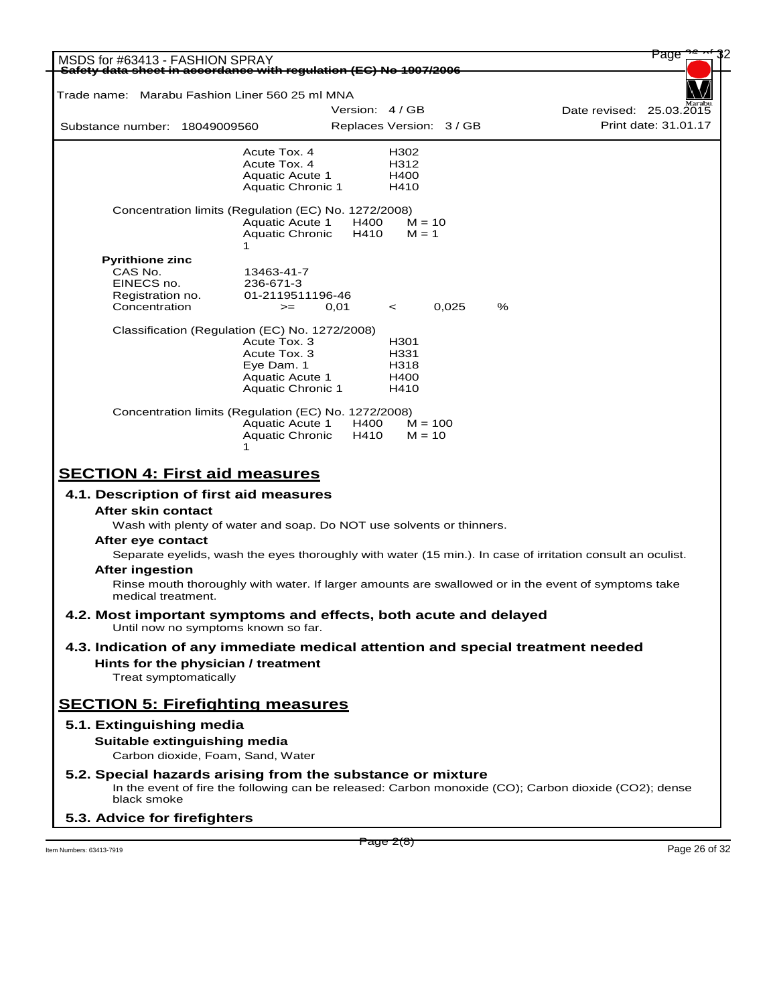| MSDS for #63413 - FASHION SPRAY<br>Safety data sheet in accordance with requlation (EC) No 1907/2006    |                                                       |                 |                          |   | Page                                                                                                       |
|---------------------------------------------------------------------------------------------------------|-------------------------------------------------------|-----------------|--------------------------|---|------------------------------------------------------------------------------------------------------------|
|                                                                                                         |                                                       |                 |                          |   |                                                                                                            |
| Trade name: Marabu Fashion Liner 560 25 ml MNA                                                          |                                                       | Version: 4 / GB |                          |   | Date revised: 25.03.2015                                                                                   |
| Substance number: 18049009560                                                                           |                                                       |                 | Replaces Version: 3 / GB |   | Print date: 31.01.17                                                                                       |
|                                                                                                         | Acute Tox. 4<br>Acute Tox. 4                          |                 | H302<br>H312             |   |                                                                                                            |
|                                                                                                         | <b>Aquatic Acute 1</b>                                |                 | H400                     |   |                                                                                                            |
|                                                                                                         | Aquatic Chronic 1                                     |                 | H410                     |   |                                                                                                            |
| Concentration limits (Regulation (EC) No. 1272/2008)                                                    | <b>Aquatic Acute 1</b><br><b>Aquatic Chronic</b><br>1 | H400<br>H410    | $M = 10$<br>$M = 1$      |   |                                                                                                            |
| <b>Pyrithione zinc</b>                                                                                  |                                                       |                 |                          |   |                                                                                                            |
| CAS No.                                                                                                 | 13463-41-7                                            |                 |                          |   |                                                                                                            |
| EINECS no.<br>Registration no.                                                                          | 236-671-3<br>01-2119511196-46                         |                 |                          |   |                                                                                                            |
| Concentration                                                                                           | $>=$                                                  | 0,01            | 0,025<br>$\prec$         | % |                                                                                                            |
| Classification (Regulation (EC) No. 1272/2008)                                                          |                                                       |                 |                          |   |                                                                                                            |
|                                                                                                         | Acute Tox. 3                                          |                 | H <sub>301</sub>         |   |                                                                                                            |
|                                                                                                         | Acute Tox. 3<br>Eye Dam. 1                            |                 | H331<br>H318             |   |                                                                                                            |
|                                                                                                         | Aquatic Acute 1                                       |                 | H400                     |   |                                                                                                            |
|                                                                                                         | Aquatic Chronic 1                                     |                 | H410                     |   |                                                                                                            |
| Concentration limits (Regulation (EC) No. 1272/2008)                                                    |                                                       |                 |                          |   |                                                                                                            |
|                                                                                                         | <b>Aquatic Acute 1</b><br><b>Aquatic Chronic</b>      | H400<br>H410    | $M = 100$<br>$M = 10$    |   |                                                                                                            |
|                                                                                                         |                                                       |                 |                          |   |                                                                                                            |
| <b>SECTION 4: First aid measures</b>                                                                    |                                                       |                 |                          |   |                                                                                                            |
| 4.1. Description of first aid measures                                                                  |                                                       |                 |                          |   |                                                                                                            |
| After skin contact                                                                                      |                                                       |                 |                          |   |                                                                                                            |
| Wash with plenty of water and soap. Do NOT use solvents or thinners.                                    |                                                       |                 |                          |   |                                                                                                            |
| After eye contact                                                                                       |                                                       |                 |                          |   |                                                                                                            |
|                                                                                                         |                                                       |                 |                          |   | Separate eyelids, wash the eyes thoroughly with water (15 min.). In case of irritation consult an oculist. |
| <b>After ingestion</b>                                                                                  |                                                       |                 |                          |   |                                                                                                            |
| medical treatment.                                                                                      |                                                       |                 |                          |   | Rinse mouth thoroughly with water. If larger amounts are swallowed or in the event of symptoms take        |
| 4.2. Most important symptoms and effects, both acute and delayed<br>Until now no symptoms known so far. |                                                       |                 |                          |   |                                                                                                            |
| 4.3. Indication of any immediate medical attention and special treatment needed                         |                                                       |                 |                          |   |                                                                                                            |
| Hints for the physician / treatment                                                                     |                                                       |                 |                          |   |                                                                                                            |
| Treat symptomatically                                                                                   |                                                       |                 |                          |   |                                                                                                            |
| <b>SECTION 5: Firefighting measures</b>                                                                 |                                                       |                 |                          |   |                                                                                                            |
| 5.1. Extinguishing media                                                                                |                                                       |                 |                          |   |                                                                                                            |
| Suitable extinguishing media<br>Carbon dioxide, Foam, Sand, Water                                       |                                                       |                 |                          |   |                                                                                                            |
| 5.2. Special hazards arising from the substance or mixture<br>black smoke                               |                                                       |                 |                          |   | In the event of fire the following can be released: Carbon monoxide (CO); Carbon dioxide (CO2); dense      |
| 5.3. Advice for firefighters                                                                            |                                                       |                 |                          |   |                                                                                                            |

 $P \cdot \text{age } Z(8)$  Item Numbers: 63413-7919 Page 26 of 32

Page 2(8)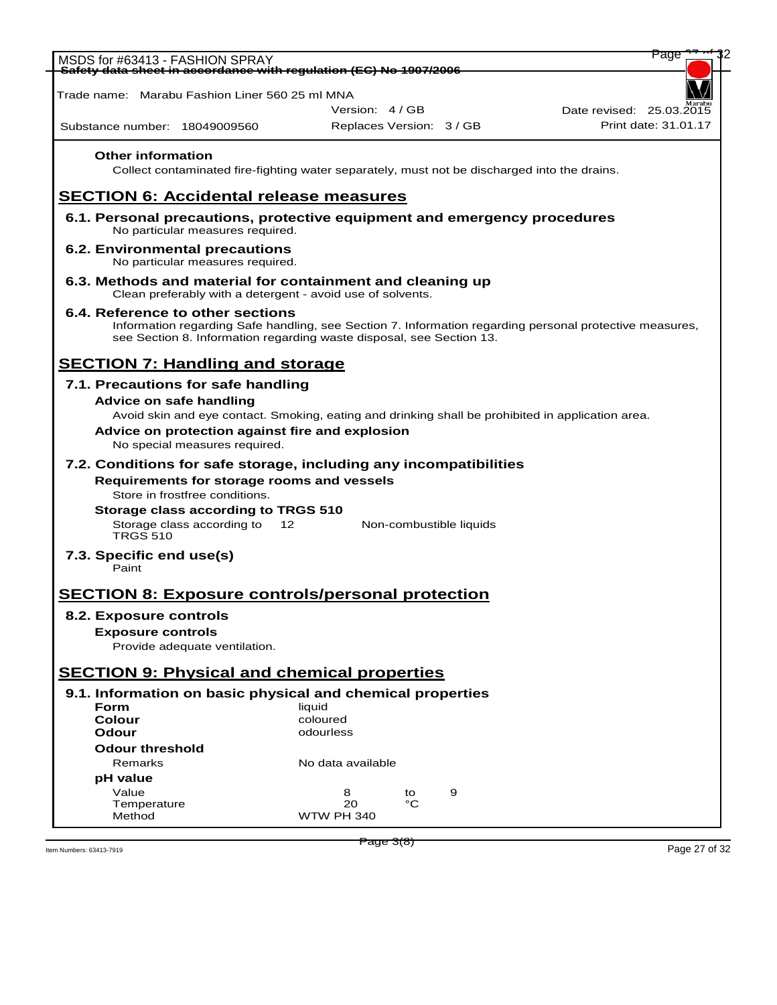| Version: 4 / GB<br>Date revised: 25.03.2015<br>Print date: 31.01.17<br>Replaces Version: 3 / GB<br><b>Other information</b><br>Collect contaminated fire-fighting water separately, must not be discharged into the drains.<br>6.1. Personal precautions, protective equipment and emergency procedures<br>No particular measures required.<br>6.2. Environmental precautions<br>No particular measures required.<br>6.3. Methods and material for containment and cleaning up<br>Clean preferably with a detergent - avoid use of solvents.<br>6.4. Reference to other sections<br>Information regarding Safe handling, see Section 7. Information regarding personal protective measures,<br>see Section 8. Information regarding waste disposal, see Section 13.<br>7.1. Precautions for safe handling<br>Advice on safe handling<br>Avoid skin and eye contact. Smoking, eating and drinking shall be prohibited in application area.<br>Advice on protection against fire and explosion<br>No special measures required.<br>7.2. Conditions for safe storage, including any incompatibilities<br>Requirements for storage rooms and vessels<br>Store in frostfree conditions.<br>Storage class according to TRGS 510<br>Storage class according to 12<br>Non-combustible liquids<br><b>TRGS 510</b><br>7.3. Specific end use(s)<br>Paint<br>8.2. Exposure controls<br><b>Exposure controls</b><br>Provide adequate ventilation.<br>9.1. Information on basic physical and chemical properties<br>Form<br>liquid<br>coloured<br>Colour<br>Odour<br>odourless<br><b>Odour threshold</b><br>Remarks<br>No data available<br>pH value<br>Value<br>8<br>9<br>to<br>°C<br>20<br>Temperature<br><b>WTW PH 340</b><br>Method | Safety data sheet in accordance with regulation (EC) No 1907/2006<br>Trade name: Marabu Fashion Liner 560 25 ml MNA<br>Substance number: 18049009560<br><b>SECTION 6: Accidental release measures</b><br><b>SECTION 7: Handling and storage</b><br><b>SECTION 8: Exposure controls/personal protection</b><br><b>SECTION 9: Physical and chemical properties</b> | Page |  | MSDS for #63413 - FASHION SPRAY |
|---------------------------------------------------------------------------------------------------------------------------------------------------------------------------------------------------------------------------------------------------------------------------------------------------------------------------------------------------------------------------------------------------------------------------------------------------------------------------------------------------------------------------------------------------------------------------------------------------------------------------------------------------------------------------------------------------------------------------------------------------------------------------------------------------------------------------------------------------------------------------------------------------------------------------------------------------------------------------------------------------------------------------------------------------------------------------------------------------------------------------------------------------------------------------------------------------------------------------------------------------------------------------------------------------------------------------------------------------------------------------------------------------------------------------------------------------------------------------------------------------------------------------------------------------------------------------------------------------------------------------------------------------------------------------------------------------------------------------|------------------------------------------------------------------------------------------------------------------------------------------------------------------------------------------------------------------------------------------------------------------------------------------------------------------------------------------------------------------|------|--|---------------------------------|
|                                                                                                                                                                                                                                                                                                                                                                                                                                                                                                                                                                                                                                                                                                                                                                                                                                                                                                                                                                                                                                                                                                                                                                                                                                                                                                                                                                                                                                                                                                                                                                                                                                                                                                                           |                                                                                                                                                                                                                                                                                                                                                                  |      |  |                                 |
|                                                                                                                                                                                                                                                                                                                                                                                                                                                                                                                                                                                                                                                                                                                                                                                                                                                                                                                                                                                                                                                                                                                                                                                                                                                                                                                                                                                                                                                                                                                                                                                                                                                                                                                           |                                                                                                                                                                                                                                                                                                                                                                  |      |  |                                 |
|                                                                                                                                                                                                                                                                                                                                                                                                                                                                                                                                                                                                                                                                                                                                                                                                                                                                                                                                                                                                                                                                                                                                                                                                                                                                                                                                                                                                                                                                                                                                                                                                                                                                                                                           |                                                                                                                                                                                                                                                                                                                                                                  |      |  |                                 |
|                                                                                                                                                                                                                                                                                                                                                                                                                                                                                                                                                                                                                                                                                                                                                                                                                                                                                                                                                                                                                                                                                                                                                                                                                                                                                                                                                                                                                                                                                                                                                                                                                                                                                                                           |                                                                                                                                                                                                                                                                                                                                                                  |      |  |                                 |
|                                                                                                                                                                                                                                                                                                                                                                                                                                                                                                                                                                                                                                                                                                                                                                                                                                                                                                                                                                                                                                                                                                                                                                                                                                                                                                                                                                                                                                                                                                                                                                                                                                                                                                                           |                                                                                                                                                                                                                                                                                                                                                                  |      |  |                                 |
|                                                                                                                                                                                                                                                                                                                                                                                                                                                                                                                                                                                                                                                                                                                                                                                                                                                                                                                                                                                                                                                                                                                                                                                                                                                                                                                                                                                                                                                                                                                                                                                                                                                                                                                           |                                                                                                                                                                                                                                                                                                                                                                  |      |  |                                 |
|                                                                                                                                                                                                                                                                                                                                                                                                                                                                                                                                                                                                                                                                                                                                                                                                                                                                                                                                                                                                                                                                                                                                                                                                                                                                                                                                                                                                                                                                                                                                                                                                                                                                                                                           |                                                                                                                                                                                                                                                                                                                                                                  |      |  |                                 |
|                                                                                                                                                                                                                                                                                                                                                                                                                                                                                                                                                                                                                                                                                                                                                                                                                                                                                                                                                                                                                                                                                                                                                                                                                                                                                                                                                                                                                                                                                                                                                                                                                                                                                                                           |                                                                                                                                                                                                                                                                                                                                                                  |      |  |                                 |
|                                                                                                                                                                                                                                                                                                                                                                                                                                                                                                                                                                                                                                                                                                                                                                                                                                                                                                                                                                                                                                                                                                                                                                                                                                                                                                                                                                                                                                                                                                                                                                                                                                                                                                                           |                                                                                                                                                                                                                                                                                                                                                                  |      |  |                                 |
|                                                                                                                                                                                                                                                                                                                                                                                                                                                                                                                                                                                                                                                                                                                                                                                                                                                                                                                                                                                                                                                                                                                                                                                                                                                                                                                                                                                                                                                                                                                                                                                                                                                                                                                           |                                                                                                                                                                                                                                                                                                                                                                  |      |  |                                 |
|                                                                                                                                                                                                                                                                                                                                                                                                                                                                                                                                                                                                                                                                                                                                                                                                                                                                                                                                                                                                                                                                                                                                                                                                                                                                                                                                                                                                                                                                                                                                                                                                                                                                                                                           |                                                                                                                                                                                                                                                                                                                                                                  |      |  |                                 |
|                                                                                                                                                                                                                                                                                                                                                                                                                                                                                                                                                                                                                                                                                                                                                                                                                                                                                                                                                                                                                                                                                                                                                                                                                                                                                                                                                                                                                                                                                                                                                                                                                                                                                                                           |                                                                                                                                                                                                                                                                                                                                                                  |      |  |                                 |
|                                                                                                                                                                                                                                                                                                                                                                                                                                                                                                                                                                                                                                                                                                                                                                                                                                                                                                                                                                                                                                                                                                                                                                                                                                                                                                                                                                                                                                                                                                                                                                                                                                                                                                                           |                                                                                                                                                                                                                                                                                                                                                                  |      |  |                                 |
|                                                                                                                                                                                                                                                                                                                                                                                                                                                                                                                                                                                                                                                                                                                                                                                                                                                                                                                                                                                                                                                                                                                                                                                                                                                                                                                                                                                                                                                                                                                                                                                                                                                                                                                           |                                                                                                                                                                                                                                                                                                                                                                  |      |  |                                 |
|                                                                                                                                                                                                                                                                                                                                                                                                                                                                                                                                                                                                                                                                                                                                                                                                                                                                                                                                                                                                                                                                                                                                                                                                                                                                                                                                                                                                                                                                                                                                                                                                                                                                                                                           |                                                                                                                                                                                                                                                                                                                                                                  |      |  |                                 |
|                                                                                                                                                                                                                                                                                                                                                                                                                                                                                                                                                                                                                                                                                                                                                                                                                                                                                                                                                                                                                                                                                                                                                                                                                                                                                                                                                                                                                                                                                                                                                                                                                                                                                                                           |                                                                                                                                                                                                                                                                                                                                                                  |      |  |                                 |
|                                                                                                                                                                                                                                                                                                                                                                                                                                                                                                                                                                                                                                                                                                                                                                                                                                                                                                                                                                                                                                                                                                                                                                                                                                                                                                                                                                                                                                                                                                                                                                                                                                                                                                                           |                                                                                                                                                                                                                                                                                                                                                                  |      |  |                                 |
|                                                                                                                                                                                                                                                                                                                                                                                                                                                                                                                                                                                                                                                                                                                                                                                                                                                                                                                                                                                                                                                                                                                                                                                                                                                                                                                                                                                                                                                                                                                                                                                                                                                                                                                           |                                                                                                                                                                                                                                                                                                                                                                  |      |  |                                 |
|                                                                                                                                                                                                                                                                                                                                                                                                                                                                                                                                                                                                                                                                                                                                                                                                                                                                                                                                                                                                                                                                                                                                                                                                                                                                                                                                                                                                                                                                                                                                                                                                                                                                                                                           |                                                                                                                                                                                                                                                                                                                                                                  |      |  |                                 |
|                                                                                                                                                                                                                                                                                                                                                                                                                                                                                                                                                                                                                                                                                                                                                                                                                                                                                                                                                                                                                                                                                                                                                                                                                                                                                                                                                                                                                                                                                                                                                                                                                                                                                                                           |                                                                                                                                                                                                                                                                                                                                                                  |      |  |                                 |
|                                                                                                                                                                                                                                                                                                                                                                                                                                                                                                                                                                                                                                                                                                                                                                                                                                                                                                                                                                                                                                                                                                                                                                                                                                                                                                                                                                                                                                                                                                                                                                                                                                                                                                                           |                                                                                                                                                                                                                                                                                                                                                                  |      |  |                                 |
|                                                                                                                                                                                                                                                                                                                                                                                                                                                                                                                                                                                                                                                                                                                                                                                                                                                                                                                                                                                                                                                                                                                                                                                                                                                                                                                                                                                                                                                                                                                                                                                                                                                                                                                           |                                                                                                                                                                                                                                                                                                                                                                  |      |  |                                 |
|                                                                                                                                                                                                                                                                                                                                                                                                                                                                                                                                                                                                                                                                                                                                                                                                                                                                                                                                                                                                                                                                                                                                                                                                                                                                                                                                                                                                                                                                                                                                                                                                                                                                                                                           |                                                                                                                                                                                                                                                                                                                                                                  |      |  |                                 |
|                                                                                                                                                                                                                                                                                                                                                                                                                                                                                                                                                                                                                                                                                                                                                                                                                                                                                                                                                                                                                                                                                                                                                                                                                                                                                                                                                                                                                                                                                                                                                                                                                                                                                                                           |                                                                                                                                                                                                                                                                                                                                                                  |      |  |                                 |
|                                                                                                                                                                                                                                                                                                                                                                                                                                                                                                                                                                                                                                                                                                                                                                                                                                                                                                                                                                                                                                                                                                                                                                                                                                                                                                                                                                                                                                                                                                                                                                                                                                                                                                                           |                                                                                                                                                                                                                                                                                                                                                                  |      |  |                                 |
|                                                                                                                                                                                                                                                                                                                                                                                                                                                                                                                                                                                                                                                                                                                                                                                                                                                                                                                                                                                                                                                                                                                                                                                                                                                                                                                                                                                                                                                                                                                                                                                                                                                                                                                           |                                                                                                                                                                                                                                                                                                                                                                  |      |  |                                 |
|                                                                                                                                                                                                                                                                                                                                                                                                                                                                                                                                                                                                                                                                                                                                                                                                                                                                                                                                                                                                                                                                                                                                                                                                                                                                                                                                                                                                                                                                                                                                                                                                                                                                                                                           |                                                                                                                                                                                                                                                                                                                                                                  |      |  |                                 |
|                                                                                                                                                                                                                                                                                                                                                                                                                                                                                                                                                                                                                                                                                                                                                                                                                                                                                                                                                                                                                                                                                                                                                                                                                                                                                                                                                                                                                                                                                                                                                                                                                                                                                                                           |                                                                                                                                                                                                                                                                                                                                                                  |      |  |                                 |
|                                                                                                                                                                                                                                                                                                                                                                                                                                                                                                                                                                                                                                                                                                                                                                                                                                                                                                                                                                                                                                                                                                                                                                                                                                                                                                                                                                                                                                                                                                                                                                                                                                                                                                                           |                                                                                                                                                                                                                                                                                                                                                                  |      |  |                                 |
|                                                                                                                                                                                                                                                                                                                                                                                                                                                                                                                                                                                                                                                                                                                                                                                                                                                                                                                                                                                                                                                                                                                                                                                                                                                                                                                                                                                                                                                                                                                                                                                                                                                                                                                           |                                                                                                                                                                                                                                                                                                                                                                  |      |  |                                 |
|                                                                                                                                                                                                                                                                                                                                                                                                                                                                                                                                                                                                                                                                                                                                                                                                                                                                                                                                                                                                                                                                                                                                                                                                                                                                                                                                                                                                                                                                                                                                                                                                                                                                                                                           |                                                                                                                                                                                                                                                                                                                                                                  |      |  |                                 |
|                                                                                                                                                                                                                                                                                                                                                                                                                                                                                                                                                                                                                                                                                                                                                                                                                                                                                                                                                                                                                                                                                                                                                                                                                                                                                                                                                                                                                                                                                                                                                                                                                                                                                                                           |                                                                                                                                                                                                                                                                                                                                                                  |      |  |                                 |
|                                                                                                                                                                                                                                                                                                                                                                                                                                                                                                                                                                                                                                                                                                                                                                                                                                                                                                                                                                                                                                                                                                                                                                                                                                                                                                                                                                                                                                                                                                                                                                                                                                                                                                                           |                                                                                                                                                                                                                                                                                                                                                                  |      |  |                                 |
|                                                                                                                                                                                                                                                                                                                                                                                                                                                                                                                                                                                                                                                                                                                                                                                                                                                                                                                                                                                                                                                                                                                                                                                                                                                                                                                                                                                                                                                                                                                                                                                                                                                                                                                           |                                                                                                                                                                                                                                                                                                                                                                  |      |  |                                 |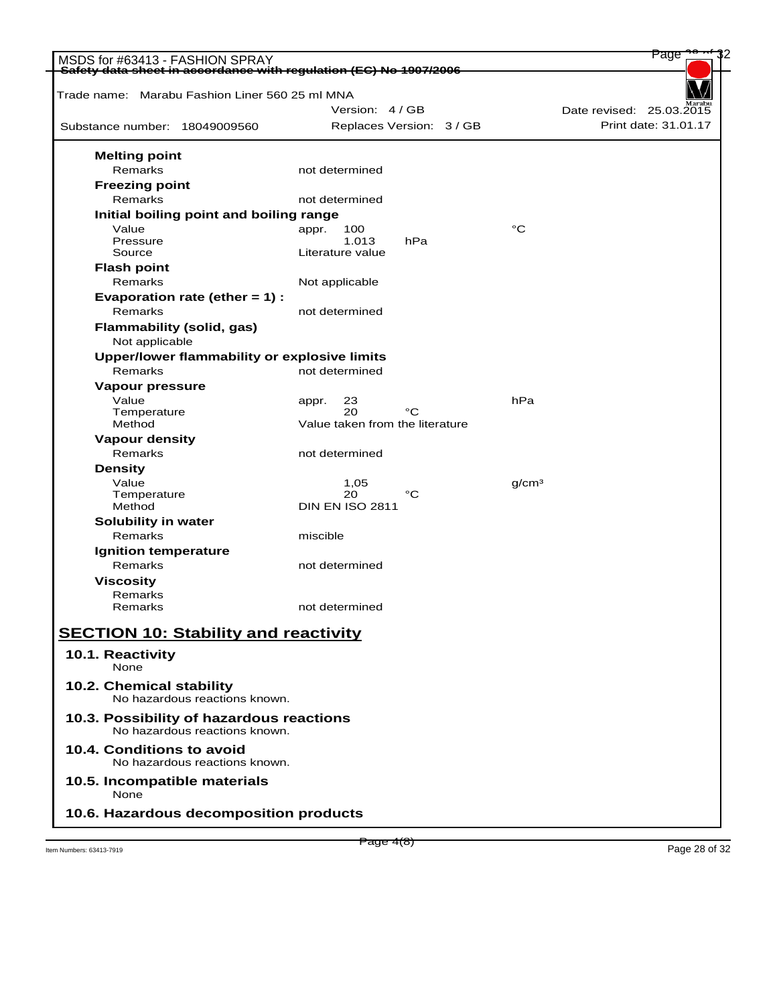| MSDS for #63413 - FASHION SPRAY                                           |                                    | Page                     |
|---------------------------------------------------------------------------|------------------------------------|--------------------------|
| Safety data sheet in accordance with regulation (EC) No 1907/2006         |                                    |                          |
| Trade name: Marabu Fashion Liner 560 25 ml MNA                            |                                    |                          |
|                                                                           | Version: 4/GB                      | Date revised: 25.03.2015 |
| Substance number: 18049009560                                             | Replaces Version: 3 / GB           | Print date: 31.01.17     |
| <b>Melting point</b>                                                      |                                    |                          |
| Remarks                                                                   | not determined                     |                          |
| <b>Freezing point</b>                                                     |                                    |                          |
| Remarks                                                                   | not determined                     |                          |
| Initial boiling point and boiling range                                   |                                    |                          |
| Value                                                                     | 100<br>appr.                       | °C                       |
| Pressure<br>Source                                                        | 1.013<br>hPa<br>Literature value   |                          |
| <b>Flash point</b>                                                        |                                    |                          |
| Remarks                                                                   | Not applicable                     |                          |
| Evaporation rate (ether $= 1$ ) :                                         |                                    |                          |
| Remarks                                                                   | not determined                     |                          |
| <b>Flammability (solid, gas)</b>                                          |                                    |                          |
| Not applicable                                                            |                                    |                          |
| Upper/lower flammability or explosive limits                              |                                    |                          |
| Remarks                                                                   | not determined                     |                          |
| Vapour pressure                                                           |                                    |                          |
| Value                                                                     | 23<br>appr.                        | hPa                      |
| Temperature                                                               | 20<br>°C                           |                          |
| Method                                                                    | Value taken from the literature    |                          |
| <b>Vapour density</b>                                                     |                                    |                          |
| Remarks                                                                   | not determined                     |                          |
| <b>Density</b>                                                            |                                    |                          |
| Value                                                                     | 1,05                               | q/cm <sup>3</sup>        |
| Temperature                                                               | 20<br>°C<br><b>DIN EN ISO 2811</b> |                          |
| Method                                                                    |                                    |                          |
| Solubility in water<br>Remarks                                            | miscible                           |                          |
| Ignition temperature                                                      |                                    |                          |
| Remarks                                                                   | not determined                     |                          |
| <b>Viscosity</b>                                                          |                                    |                          |
| Remarks                                                                   |                                    |                          |
| Remarks                                                                   | not determined                     |                          |
|                                                                           |                                    |                          |
| <b>SECTION 10: Stability and reactivity</b>                               |                                    |                          |
| 10.1. Reactivity                                                          |                                    |                          |
| None                                                                      |                                    |                          |
| 10.2. Chemical stability                                                  |                                    |                          |
| No hazardous reactions known.                                             |                                    |                          |
| 10.3. Possibility of hazardous reactions<br>No hazardous reactions known. |                                    |                          |
| 10.4. Conditions to avoid<br>No hazardous reactions known.                |                                    |                          |
| 10.5. Incompatible materials<br>None                                      |                                    |                          |
| 10.6. Hazardous decomposition products                                    |                                    |                          |
|                                                                           |                                    |                          |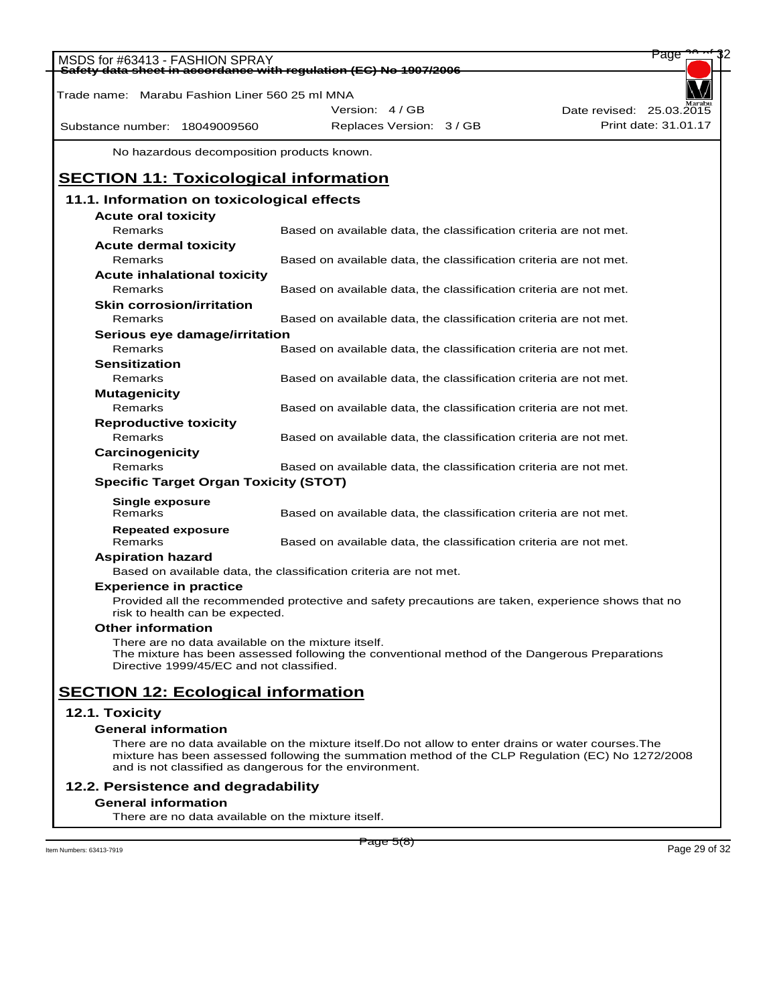| MSDS for #63413 - FASHION SPRAY                                   |                                                                                                     | Page                     |
|-------------------------------------------------------------------|-----------------------------------------------------------------------------------------------------|--------------------------|
| Safety data sheet in accordance with regulation (EC) No 1907/2006 |                                                                                                     |                          |
| Trade name: Marabu Fashion Liner 560 25 ml MNA                    |                                                                                                     |                          |
|                                                                   | Version: 4 / GB                                                                                     | Date revised: 25.03.2015 |
| Substance number: 18049009560                                     | Replaces Version: 3 / GB                                                                            | Print date: 31.01.17     |
| No hazardous decomposition products known.                        |                                                                                                     |                          |
| <b>SECTION 11: Toxicological information</b>                      |                                                                                                     |                          |
| 11.1. Information on toxicological effects                        |                                                                                                     |                          |
| <b>Acute oral toxicity</b>                                        |                                                                                                     |                          |
| Remarks                                                           | Based on available data, the classification criteria are not met.                                   |                          |
| <b>Acute dermal toxicity</b>                                      |                                                                                                     |                          |
| Remarks                                                           | Based on available data, the classification criteria are not met.                                   |                          |
| <b>Acute inhalational toxicity</b>                                |                                                                                                     |                          |
| Remarks                                                           | Based on available data, the classification criteria are not met.                                   |                          |
| <b>Skin corrosion/irritation</b>                                  |                                                                                                     |                          |
| Remarks                                                           |                                                                                                     |                          |
|                                                                   | Based on available data, the classification criteria are not met.                                   |                          |
| Serious eye damage/irritation                                     |                                                                                                     |                          |
| Remarks                                                           | Based on available data, the classification criteria are not met.                                   |                          |
| <b>Sensitization</b>                                              |                                                                                                     |                          |
| Remarks                                                           | Based on available data, the classification criteria are not met.                                   |                          |
| <b>Mutagenicity</b>                                               |                                                                                                     |                          |
| Remarks                                                           | Based on available data, the classification criteria are not met.                                   |                          |
| <b>Reproductive toxicity</b>                                      |                                                                                                     |                          |
| Remarks                                                           | Based on available data, the classification criteria are not met.                                   |                          |
| Carcinogenicity                                                   |                                                                                                     |                          |
| Remarks                                                           | Based on available data, the classification criteria are not met.                                   |                          |
| <b>Specific Target Organ Toxicity (STOT)</b>                      |                                                                                                     |                          |
| <b>Single exposure</b>                                            |                                                                                                     |                          |
| Remarks                                                           | Based on available data, the classification criteria are not met.                                   |                          |
| <b>Repeated exposure</b>                                          |                                                                                                     |                          |
| Remarks                                                           | Based on available data, the classification criteria are not met.                                   |                          |
| <b>Aspiration hazard</b>                                          |                                                                                                     |                          |
|                                                                   | Based on available data, the classification criteria are not met.                                   |                          |
| <b>Experience in practice</b>                                     |                                                                                                     |                          |
| risk to health can be expected.                                   | Provided all the recommended protective and safety precautions are taken, experience shows that no  |                          |
| <b>Other information</b>                                          |                                                                                                     |                          |
| There are no data available on the mixture itself.                |                                                                                                     |                          |
| Directive 1999/45/EC and not classified.                          | The mixture has been assessed following the conventional method of the Dangerous Preparations       |                          |
| <b>SECTION 12: Ecological information</b>                         |                                                                                                     |                          |
| 12.1. Toxicity                                                    |                                                                                                     |                          |
| <b>General information</b>                                        |                                                                                                     |                          |
|                                                                   | There are no data available on the mixture itself.Do not allow to enter drains or water courses.The |                          |
| and is not classified as dangerous for the environment.           | mixture has been assessed following the summation method of the CLP Regulation (EC) No 1272/2008    |                          |
| 12.2. Persistence and degradability                               |                                                                                                     |                          |
| <b>General information</b>                                        |                                                                                                     |                          |

There are no data available on the mixture itself.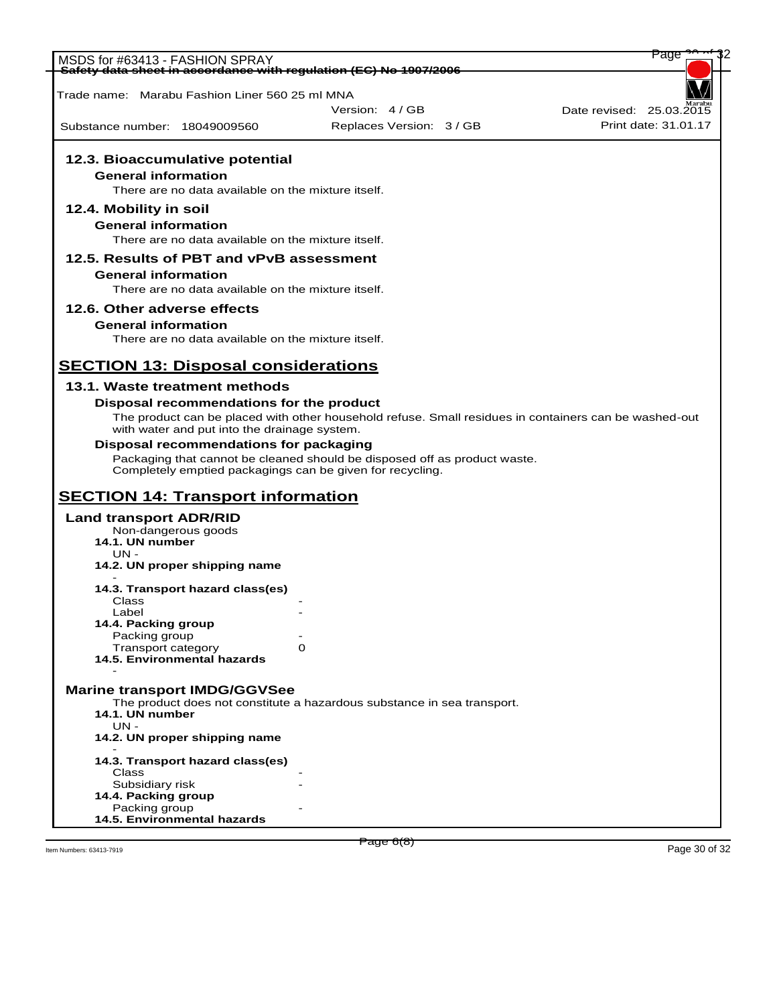| MSDS for #63413 - FASHION SPRAY                                   |                                                                                                       | Page                     |
|-------------------------------------------------------------------|-------------------------------------------------------------------------------------------------------|--------------------------|
| Safety data sheet in accordance with regulation (EC) No 1907/2006 |                                                                                                       |                          |
| Trade name:   Marabu Fashion Liner 560 25 ml MNA                  |                                                                                                       |                          |
|                                                                   | Version: 4 / GB                                                                                       | Date revised: 25.03.2015 |
| Substance number: 18049009560                                     | Replaces Version: 3 / GB                                                                              | Print date: 31.01.17     |
|                                                                   |                                                                                                       |                          |
| 12.3. Bioaccumulative potential                                   |                                                                                                       |                          |
| <b>General information</b>                                        |                                                                                                       |                          |
| There are no data available on the mixture itself.                |                                                                                                       |                          |
| 12.4. Mobility in soil                                            |                                                                                                       |                          |
| <b>General information</b>                                        |                                                                                                       |                          |
| There are no data available on the mixture itself.                |                                                                                                       |                          |
| 12.5. Results of PBT and vPvB assessment                          |                                                                                                       |                          |
| <b>General information</b>                                        |                                                                                                       |                          |
| There are no data available on the mixture itself.                |                                                                                                       |                          |
| 12.6. Other adverse effects                                       |                                                                                                       |                          |
| <b>General information</b>                                        |                                                                                                       |                          |
| There are no data available on the mixture itself.                |                                                                                                       |                          |
|                                                                   |                                                                                                       |                          |
| <b>SECTION 13: Disposal considerations</b>                        |                                                                                                       |                          |
| 13.1. Waste treatment methods                                     |                                                                                                       |                          |
| Disposal recommendations for the product                          |                                                                                                       |                          |
|                                                                   | The product can be placed with other household refuse. Small residues in containers can be washed-out |                          |
| with water and put into the drainage system.                      |                                                                                                       |                          |
| <b>Disposal recommendations for packaging</b>                     |                                                                                                       |                          |
| Completely emptied packagings can be given for recycling.         | Packaging that cannot be cleaned should be disposed off as product waste.                             |                          |
| <b>SECTION 14: Transport information</b>                          |                                                                                                       |                          |
|                                                                   |                                                                                                       |                          |
| <b>Land transport ADR/RID</b><br>Non-dangerous goods              |                                                                                                       |                          |
| 14.1. UN number                                                   |                                                                                                       |                          |
| $UN -$                                                            |                                                                                                       |                          |
| 14.2. UN proper shipping name                                     |                                                                                                       |                          |
| 14.3. Transport hazard class(es)                                  |                                                                                                       |                          |
| Class<br>Label                                                    |                                                                                                       |                          |
| 14.4. Packing group                                               |                                                                                                       |                          |
| Packing group                                                     |                                                                                                       |                          |
| <b>Transport category</b><br>14.5. Environmental hazards          | 0                                                                                                     |                          |
|                                                                   |                                                                                                       |                          |
| <b>Marine transport IMDG/GGVSee</b>                               |                                                                                                       |                          |
|                                                                   | The product does not constitute a hazardous substance in sea transport.                               |                          |
| 14.1. UN number<br>UN -                                           |                                                                                                       |                          |
| 14.2. UN proper shipping name                                     |                                                                                                       |                          |
|                                                                   |                                                                                                       |                          |
| 14.3. Transport hazard class(es)                                  |                                                                                                       |                          |
| Class<br>Subsidiary risk                                          |                                                                                                       |                          |
| 14.4. Packing group                                               |                                                                                                       |                          |
| Packing group<br>14.5. Environmental hazards                      |                                                                                                       |                          |
|                                                                   |                                                                                                       |                          |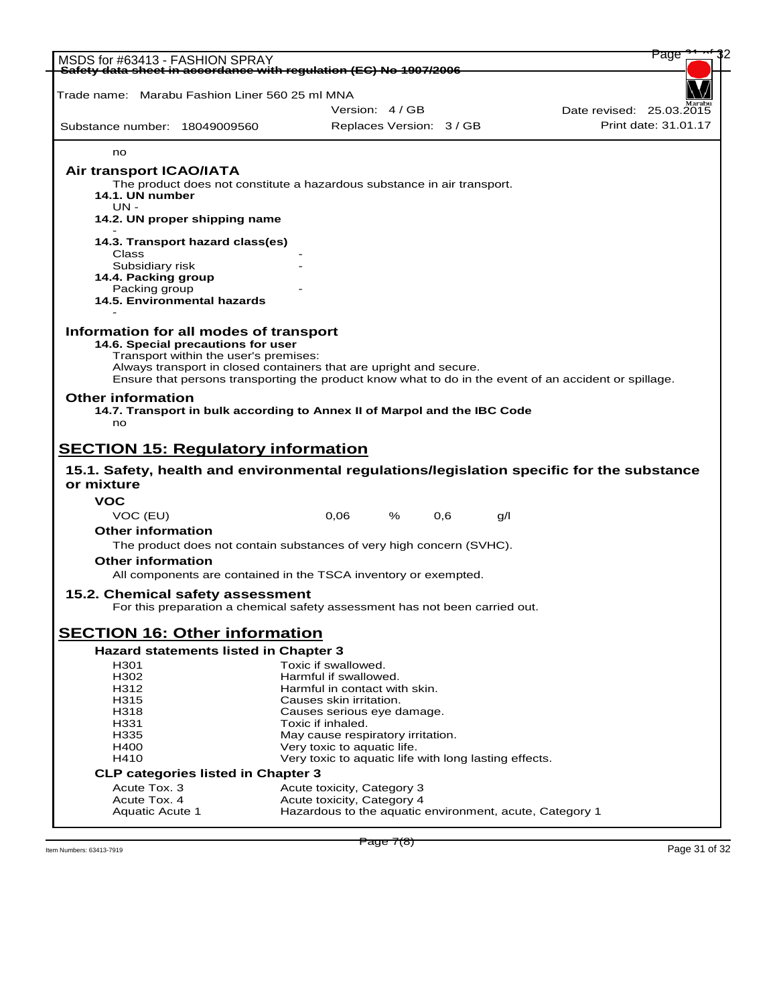| MSDS for #63413 - FASHION SPRAY                                                           |                                                                             |                                                                                                       |                          |     |                          | Page                 |  |
|-------------------------------------------------------------------------------------------|-----------------------------------------------------------------------------|-------------------------------------------------------------------------------------------------------|--------------------------|-----|--------------------------|----------------------|--|
| Safety data sheet in accordance with requlation (EC) No 1907/2006                         |                                                                             |                                                                                                       |                          |     |                          |                      |  |
| Trade name:   Marabu Fashion Liner 560 25 ml MNA                                          |                                                                             |                                                                                                       |                          |     |                          |                      |  |
|                                                                                           |                                                                             | Version: 4/GB                                                                                         |                          |     | Date revised: 25.03.2015 |                      |  |
| Substance number: 18049009560                                                             |                                                                             |                                                                                                       | Replaces Version: 3 / GB |     |                          | Print date: 31.01.17 |  |
|                                                                                           |                                                                             |                                                                                                       |                          |     |                          |                      |  |
| no                                                                                        |                                                                             |                                                                                                       |                          |     |                          |                      |  |
| <b>Air transport ICAO/IATA</b>                                                            |                                                                             |                                                                                                       |                          |     |                          |                      |  |
|                                                                                           | The product does not constitute a hazardous substance in air transport.     |                                                                                                       |                          |     |                          |                      |  |
| 14.1. UN number<br>$UN -$                                                                 |                                                                             |                                                                                                       |                          |     |                          |                      |  |
|                                                                                           | 14.2. UN proper shipping name                                               |                                                                                                       |                          |     |                          |                      |  |
|                                                                                           |                                                                             |                                                                                                       |                          |     |                          |                      |  |
|                                                                                           | 14.3. Transport hazard class(es)                                            |                                                                                                       |                          |     |                          |                      |  |
| Class<br>Subsidiary risk                                                                  |                                                                             |                                                                                                       |                          |     |                          |                      |  |
| 14.4. Packing group                                                                       |                                                                             |                                                                                                       |                          |     |                          |                      |  |
| Packing group                                                                             |                                                                             |                                                                                                       |                          |     |                          |                      |  |
|                                                                                           | 14.5. Environmental hazards                                                 |                                                                                                       |                          |     |                          |                      |  |
|                                                                                           |                                                                             |                                                                                                       |                          |     |                          |                      |  |
| Information for all modes of transport                                                    | 14.6. Special precautions for user                                          |                                                                                                       |                          |     |                          |                      |  |
|                                                                                           | Transport within the user's premises:                                       |                                                                                                       |                          |     |                          |                      |  |
|                                                                                           | Always transport in closed containers that are upright and secure.          |                                                                                                       |                          |     |                          |                      |  |
|                                                                                           |                                                                             | Ensure that persons transporting the product know what to do in the event of an accident or spillage. |                          |     |                          |                      |  |
|                                                                                           |                                                                             |                                                                                                       |                          |     |                          |                      |  |
| <b>Other information</b>                                                                  |                                                                             |                                                                                                       |                          |     |                          |                      |  |
|                                                                                           | 14.7. Transport in bulk according to Annex II of Marpol and the IBC Code    |                                                                                                       |                          |     |                          |                      |  |
| no                                                                                        |                                                                             |                                                                                                       |                          |     |                          |                      |  |
|                                                                                           |                                                                             |                                                                                                       |                          |     |                          |                      |  |
| <b>SECTION 15: Regulatory information</b>                                                 |                                                                             |                                                                                                       |                          |     |                          |                      |  |
| 15.1. Safety, health and environmental regulations/legislation specific for the substance |                                                                             |                                                                                                       |                          |     |                          |                      |  |
| or mixture                                                                                |                                                                             |                                                                                                       |                          |     |                          |                      |  |
| VOC                                                                                       |                                                                             |                                                                                                       |                          |     |                          |                      |  |
| VOC (EU)                                                                                  |                                                                             | 0,06                                                                                                  | %<br>0,6                 | g/l |                          |                      |  |
| <b>Other information</b>                                                                  |                                                                             |                                                                                                       |                          |     |                          |                      |  |
|                                                                                           | The product does not contain substances of very high concern (SVHC).        |                                                                                                       |                          |     |                          |                      |  |
| <b>Other information</b>                                                                  |                                                                             |                                                                                                       |                          |     |                          |                      |  |
|                                                                                           | All components are contained in the TSCA inventory or exempted.             |                                                                                                       |                          |     |                          |                      |  |
| 15.2. Chemical safety assessment                                                          |                                                                             |                                                                                                       |                          |     |                          |                      |  |
|                                                                                           | For this preparation a chemical safety assessment has not been carried out. |                                                                                                       |                          |     |                          |                      |  |
|                                                                                           |                                                                             |                                                                                                       |                          |     |                          |                      |  |
| <b>SECTION 16: Other information</b>                                                      | <b>Hazard statements listed in Chapter 3</b>                                |                                                                                                       |                          |     |                          |                      |  |
| H301                                                                                      |                                                                             | Toxic if swallowed.                                                                                   |                          |     |                          |                      |  |
| H302                                                                                      |                                                                             | Harmful if swallowed.                                                                                 |                          |     |                          |                      |  |
| H312                                                                                      |                                                                             | Harmful in contact with skin.                                                                         |                          |     |                          |                      |  |
| H315<br>H318                                                                              |                                                                             | Causes skin irritation.                                                                               |                          |     |                          |                      |  |
| H331                                                                                      |                                                                             | Causes serious eye damage.<br>Toxic if inhaled.                                                       |                          |     |                          |                      |  |
| H335                                                                                      |                                                                             | May cause respiratory irritation.                                                                     |                          |     |                          |                      |  |
| H400                                                                                      |                                                                             | Very toxic to aquatic life.                                                                           |                          |     |                          |                      |  |
| H410                                                                                      |                                                                             | Very toxic to aquatic life with long lasting effects.                                                 |                          |     |                          |                      |  |
|                                                                                           | <b>CLP categories listed in Chapter 3</b>                                   |                                                                                                       |                          |     |                          |                      |  |
| Acute Tox. 3<br>Acute Tox. 4                                                              |                                                                             | Acute toxicity, Category 3<br>Acute toxicity, Category 4                                              |                          |     |                          |                      |  |

 $\frac{1}{2}$  Item Numbers: 63413-7919 Page 31 of 32